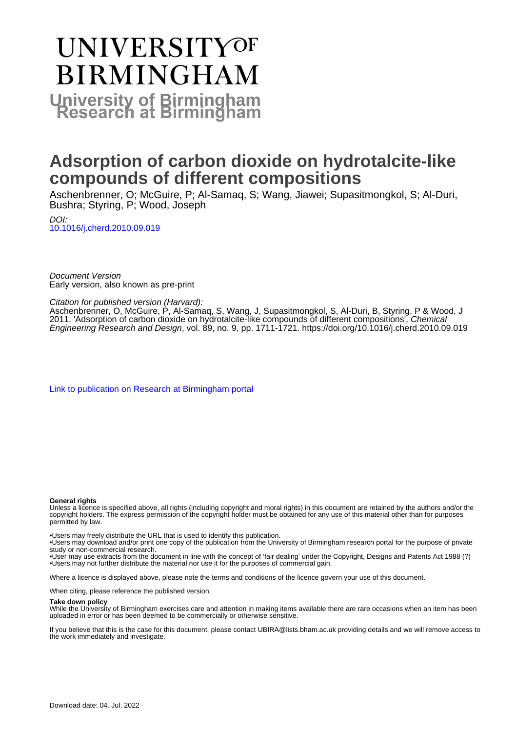# **UNIVERSITYOF BIRMINGHAM University of Birmingham**

## **Adsorption of carbon dioxide on hydrotalcite-like compounds of different compositions**

Aschenbrenner, O; McGuire, P; Al-Samaq, S; Wang, Jiawei; Supasitmongkol, S; Al-Duri, Bushra; Styring, P; Wood, Joseph

DOI: [10.1016/j.cherd.2010.09.019](https://doi.org/10.1016/j.cherd.2010.09.019)

Document Version Early version, also known as pre-print

Citation for published version (Harvard):

Aschenbrenner, O, McGuire, P, Al-Samaq, S, Wang, J, Supasitmongkol, S, Al-Duri, B, Styring, P & Wood, J 2011, 'Adsorption of carbon dioxide on hydrotalcite-like compounds of different compositions', Chemical Engineering Research and Design, vol. 89, no. 9, pp. 1711-1721. <https://doi.org/10.1016/j.cherd.2010.09.019>

[Link to publication on Research at Birmingham portal](https://birmingham.elsevierpure.com/en/publications/23630401-7102-4103-89f8-19e6ce295c27)

## **General rights**

Unless a licence is specified above, all rights (including copyright and moral rights) in this document are retained by the authors and/or the copyright holders. The express permission of the copyright holder must be obtained for any use of this material other than for purposes permitted by law.

• Users may freely distribute the URL that is used to identify this publication.

• Users may download and/or print one copy of the publication from the University of Birmingham research portal for the purpose of private study or non-commercial research.

• User may use extracts from the document in line with the concept of 'fair dealing' under the Copyright, Designs and Patents Act 1988 (?) • Users may not further distribute the material nor use it for the purposes of commercial gain.

Where a licence is displayed above, please note the terms and conditions of the licence govern your use of this document.

When citing, please reference the published version.

## **Take down policy**

While the University of Birmingham exercises care and attention in making items available there are rare occasions when an item has been uploaded in error or has been deemed to be commercially or otherwise sensitive.

If you believe that this is the case for this document, please contact UBIRA@lists.bham.ac.uk providing details and we will remove access to the work immediately and investigate.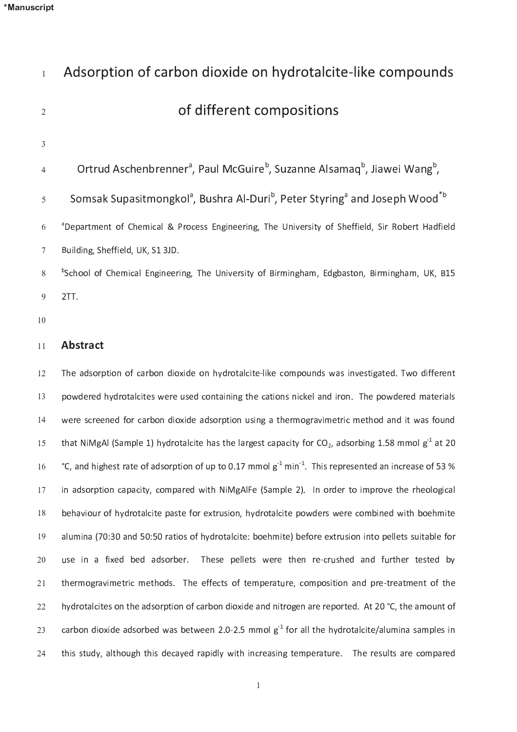$222$ 

| $\mathbf{1}$   | Adsorption of carbon dioxide on hydrotalcite-like compounds                                                                 |
|----------------|-----------------------------------------------------------------------------------------------------------------------------|
| $\overline{2}$ | of different compositions                                                                                                   |
| 3              |                                                                                                                             |
| 4              | Ortrud Aschenbrenner <sup>a</sup> , Paul McGuire <sup>b</sup> , Suzanne Alsamaq <sup>b</sup> , Jiawei Wang <sup>b</sup> ,   |
| 5              | Somsak Supasitmongkol <sup>a</sup> , Bushra Al-Duri <sup>b</sup> , Peter Styring <sup>a</sup> and Joseph Wood <sup>*b</sup> |
| 6              | <sup>a</sup> Department of Chemical & Process Engineering, The University of Sheffield, Sir Robert Hadfield                 |
| 7              | Building, Sheffield, UK, S1 3JD.                                                                                            |
| 8              | <sup>b</sup> School of Chemical Engineering, The University of Birmingham, Edgbaston, Birmingham, UK, B15                   |
| 9              | 2TT.                                                                                                                        |
| 10             |                                                                                                                             |
| 11             | <b>Abstract</b>                                                                                                             |
| 12             | The adsorption of carbon dioxide on hydrotalcite-like compounds was investigated. Two different                             |
| 13             | powdered hydrotalcites were used containing the cations nickel and iron. The powdered materials                             |
| 14             | were screened for carbon dioxide adsorption using a thermogravimetric method and it was found                               |
| 15             | that NiMgAl (Sample 1) hydrotalcite has the largest capacity for $CO_2$ , adsorbing 1.58 mmol g <sup>-1</sup> at 20         |
| 16             | °C, and highest rate of adsorption of up to 0.17 mmol $g^{-1}$ min <sup>-1</sup> . This represented an increase of 53 %     |
| 17             | in adsorption capacity, compared with NiMgAlFe (Sample 2). In order to improve the rheological                              |
| $18\,$         | behaviour of hydrotalcite paste for extrusion, hydrotalcite powders were combined with boehmite                             |
| 19             | alumina (70:30 and 50:50 ratios of hydrotalcite: boehmite) before extrusion into pellets suitable for                       |
| 20             | use in a fixed bed adsorber.<br>These pellets were then re-crushed and further tested by                                    |
| 21             | thermogravimetric methods. The effects of temperature, composition and pre-treatment of the                                 |

. The set of the set of a space of the following the set of the set of the  $\alpha$  $\sim$ t <sup>h</sup> <sup>i</sup> <sup>s</sup> <sup>s</sup> <sup>t</sup> u d <sup>y</sup> , <sup>a</sup> <sup>l</sup> t <sup>h</sup> <sup>o</sup> u g <sup>h</sup> <sup>t</sup> <sup>h</sup> <sup>i</sup> <sup>s</sup> <sup>d</sup> <sup>e</sup> <sup>c</sup> <sup>a</sup> <sup>y</sup> <sup>e</sup> <sup>d</sup> <sup>r</sup> <sup>a</sup> <sup>p</sup> <sup>i</sup> <sup>d</sup> <sup>l</sup> y <sup>w</sup> <sup>i</sup> t <sup>h</sup> <sup>i</sup> <sup>n</sup> <sup>c</sup> <sup>r</sup> <sup>e</sup> <sup>a</sup> <sup>s</sup> <sup>i</sup> <sup>n</sup> <sup>g</sup> <sup>t</sup> <sup>e</sup> <sup>m</sup> <sup>p</sup> <sup>e</sup> <sup>r</sup> <sup>a</sup> <sup>t</sup> u r <sup>e</sup> . <sup>T</sup> <sup>h</sup> <sup>e</sup> <sup>r</sup> <sup>e</sup> <sup>s</sup> u l t <sup>s</sup> <sup>a</sup> <sup>r</sup> <sup>e</sup> <sup>c</sup> <sup>o</sup> <sup>m</sup> <sup>p</sup> <sup>a</sup> <sup>r</sup> <sup>e</sup> <sup>d</sup>  $\sim$ 

h y d r o f a r b o n d i o n d n d n i t r o f o r o g e n a r e p o r e p o r e d . A t e d . A t e p o r e r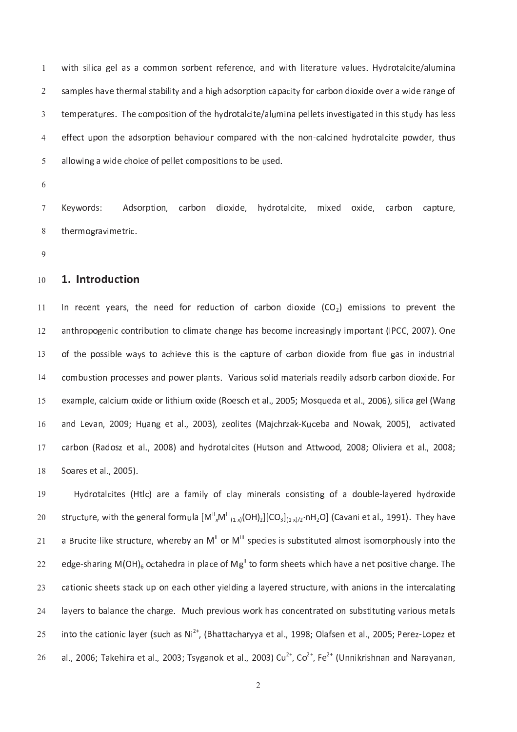when the contract of the contract of the contract of the results of the results of the first of the first of t s a m p l e r m a d s o r p t i d i d i d a h a d s o r c a r b o n d i o x i d e o v e r a w i d e r a n d e r t e r a la comme de la comme de la comme de la comme de la comme de la comme de la comme de la comme de la com r c o n t a r c o m p a r e a r e n o n o n o n o n o n o m p a r e r e n e n o t a l c i t e r e r e r e r e r a l o como i c e o i c e o m p o s i o s t o como i c e o m p o s t o b e t o b e t o n s t o b e d e o b e d

K <sup>e</sup> <sup>y</sup> <sup>w</sup> <sup>o</sup> <sup>r</sup> <sup>d</sup> <sup>s</sup> : A d s o r p t i o n d i o n d i o x i d r o t a l c i t e d o x e d o x i d e , c a r b o n c a p t o n c a p t

#### 1 . <sup>I</sup> <sup>n</sup> <sup>t</sup> <sup>r</sup> <sup>o</sup> <sup>d</sup> <sup>u</sup> <sup>c</sup> <sup>t</sup> <sup>i</sup> <sup>o</sup> <sup>n</sup> 1 <sup>0</sup>

c t i o r e d f o r e d f o r e d i o n o f o n d i o n d i o a r e m i s s i o n o n s i o n s t o p r e v e 1 <sup>1</sup> un t c c c o n t r o n t c o m e c o m e i n c r e c o m e i n g l y i m p o r t a n t a n t a n t a n e a s i 1 <sup>2</sup> r e c'hoarier e vez an distant da p t a r a r a p t a r a p t a p t a p t a p t a p t a vez an distant da p t  $\sim$ un base a n t i o m a r i o m a t a n d m a t e r i a l a r i d i l y a r i d e s o r b o n d i o x i d e . L 1 <sup>4</sup>  $\mathbf{r} = \mathbf{r} - \mathbf{r}$  , and  $\mathbf{r} = \mathbf{r} - \mathbf{r}$  is increasing the set of  $\mathbf{r} = \mathbf{r} - \mathbf{r}$ 1 5 a <sup>n</sup> <sup>d</sup> <sup>L</sup> <sup>e</sup> <sup>v</sup> <sup>a</sup> <sup>n</sup> , 2 <sup>0</sup> <sup>0</sup> <sup>9</sup> ; <sup>H</sup> u a <sup>n</sup> <sup>g</sup> <sup>e</sup> <sup>t</sup> <sup>a</sup> <sup>l</sup> . , 2 <sup>0</sup> <sup>0</sup> 3 ) , <sup>z</sup> <sup>e</sup> <sup>o</sup> <sup>l</sup> <sup>i</sup> t <sup>e</sup> <sup>s</sup> ( <sup>M</sup> <sup>a</sup> <sup>j</sup> <sup>c</sup> <sup>h</sup> <sup>r</sup> <sup>z</sup> <sup>a</sup> <sup>k</sup> ` <sup>K</sup> u c <sup>e</sup> <sup>b</sup> <sup>a</sup> <sup>a</sup> <sup>n</sup> <sup>d</sup> <sup>N</sup> <sup>o</sup> <sup>w</sup> <sup>a</sup> <sup>k</sup> , 2 <sup>0</sup> <sup>0</sup> 5 ) , <sup>a</sup> <sup>c</sup> <sup>t</sup> <sup>i</sup> v <sup>a</sup> <sup>t</sup> <sup>e</sup> <sup>d</sup>  $\overline{a}$  $\frac{1}{1}$  i  $\frac{1}{1}$  a n  $\frac{1}{2}$  ii  $\frac{1}{2}$  ii  $\frac{1}{2}$  ii  $\frac{1}{2}$  ii  $\frac{1}{2}$   $\frac{1}{2}$   $\frac{1}{2}$   $\frac{1}{2}$   $\frac{1}{2}$   $\frac{1}{2}$   $\frac{1}{2}$   $\frac{1}{2}$   $\frac{1}{2}$   $\frac{1}{2}$   $\frac{1}{2}$   $\frac{1}{2}$   $\frac{1}{2}$   $\frac{1}{2}$   $\frac$ 1 7 S o a r e s e t a l . , e s e t a l . , e s e t a l . , e s e t a l . , e s e t a l . , e s e t a l . , e s e -

H <sup>y</sup> <sup>d</sup> <sup>r</sup> <sup>o</sup> <sup>t</sup> <sup>a</sup> <sup>l</sup> <sup>c</sup> <sup>i</sup> t <sup>e</sup> <sup>s</sup> ( <sup>H</sup> <sup>t</sup> <sup>l</sup> <sup>c</sup> ) <sup>a</sup> <sup>r</sup> <sup>e</sup> <sup>a</sup> <sup>f</sup> <sup>a</sup> <sup>m</sup> <sup>i</sup> <sup>l</sup> y <sup>o</sup> <sup>f</sup> <sup>c</sup> <sup>l</sup> <sup>a</sup> <sup>y</sup> <sup>m</sup> <sup>i</sup> <sup>n</sup> <sup>e</sup> <sup>r</sup> <sup>a</sup> <sup>l</sup> <sup>s</sup> <sup>c</sup> <sup>o</sup> <sup>n</sup> <sup>s</sup> <sup>i</sup> <sup>s</sup> <sup>t</sup> <sup>i</sup> <sup>n</sup> <sup>g</sup> <sup>o</sup> <sup>f</sup> <sup>a</sup> <sup>d</sup> <sup>o</sup> u b <sup>l</sup> <sup>e</sup> ` <sup>l</sup> <sup>a</sup> <sup>y</sup> <sup>e</sup> <sup>r</sup> <sup>e</sup> <sup>d</sup> <sup>h</sup> <sup>y</sup> <sup>d</sup> <sup>r</sup> <sup>o</sup> <sup>x</sup> <sup>i</sup> <sup>d</sup> <sup>e</sup> 1 <sup>9</sup> structure, with the general formula  $[M^{\parallel},M^{\parallel}]_{(1,1)}$ (OH) $_2$ ](Co $_2]_{(1,1)}$ orH $_2$ O] (Cavani et al., 1991). They have  $\sim$ a B r u c <sup>i</sup> t <sup>e</sup> ` <sup>l</sup> <sup>i</sup> <sup>k</sup> <sup>e</sup> <sup>s</sup> <sup>t</sup> <sup>r</sup> u c <sup>t</sup> u r <sup>e</sup> , <sup>w</sup> <sup>h</sup> <sup>e</sup> <sup>r</sup> <sup>e</sup> <sup>b</sup> <sup>y</sup> <sup>a</sup> <sup>n</sup> <sup>M</sup> <sup>I</sup> I <sup>o</sup> <sup>r</sup> <sup>M</sup> <sup>I</sup> I I <sup>s</sup> <sup>p</sup> <sup>e</sup> <sup>c</sup> <sup>i</sup> <sup>e</sup> <sup>s</sup> <sup>i</sup> <sup>s</sup> <sup>s</sup> u b <sup>s</sup> <sup>t</sup> <sup>i</sup> t u t <sup>e</sup> <sup>d</sup> <sup>a</sup> <sup>l</sup> <sup>m</sup> <sup>o</sup> <sup>s</sup> <sup>t</sup> <sup>i</sup> <sup>s</sup> <sup>o</sup> <sup>m</sup> <sup>o</sup> <sup>r</sup> <sup>p</sup> <sup>h</sup> <sup>o</sup> u s <sup>l</sup> y <sup>i</sup> <sup>n</sup> <sup>t</sup> <sup>o</sup> <sup>t</sup> <sup>h</sup> <sup>e</sup>  $-2$ e d g e d r a r i n g e o f o r m s h e e t s m s h e e t s w h a v e a n e t p o s i t o s i t o r a r g e  $\alpha$  $222$ c <sup>a</sup> <sup>t</sup> <sup>i</sup> <sup>o</sup> <sup>n</sup> <sup>i</sup> <sup>c</sup> <sup>s</sup> <sup>h</sup> <sup>e</sup> <sup>e</sup> <sup>t</sup> <sup>s</sup> <sup>s</sup> <sup>t</sup> <sup>a</sup> <sup>c</sup> <sup>k</sup> u p <sup>o</sup> <sup>n</sup> <sup>e</sup> <sup>a</sup> <sup>c</sup> <sup>h</sup> <sup>o</sup> <sup>t</sup> <sup>h</sup> <sup>e</sup> <sup>r</sup> <sup>y</sup> <sup>i</sup> <sup>e</sup> <sup>l</sup> <sup>d</sup> <sup>i</sup> <sup>n</sup> <sup>g</sup> <sup>a</sup> <sup>l</sup> <sup>a</sup> <sup>y</sup> <sup>e</sup> <sup>r</sup> <sup>e</sup> <sup>d</sup> <sup>s</sup> <sup>t</sup> <sup>r</sup> u c <sup>t</sup> u r <sup>e</sup> , <sup>w</sup> <sup>i</sup> t <sup>h</sup> <sup>a</sup> <sup>n</sup> <sup>i</sup> <sup>o</sup> <sup>n</sup> <sup>s</sup> <sup>i</sup> <sup>n</sup> <sup>t</sup> <sup>h</sup> <sup>e</sup> <sup>i</sup> <sup>n</sup> <sup>t</sup> <sup>e</sup> <sup>r</sup> <sup>c</sup> <sup>a</sup> <sup>l</sup> <sup>a</sup> <sup>t</sup> <sup>i</sup> <sup>n</sup> <sup>g</sup>  $\sim$ un de la va r e v i o r e c'hantar a r gant a r e v a r e v a r e v a r e v a r e v a r e v a r e v a r e v a  $\sim$ , a second  $\ell$  i or  $\ell$  and  $\ell$  i and  $\ell$  is a second  $\ell$  is a second  $\ell$  $\sim$  $\frac{1}{2}$  a contract a lower to the second  $\frac{1}{2}$  or  $\frac{1}{2}$  or  $\frac{1}{2}$   $\frac{1}{2}$   $\frac{1}{2}$   $\frac{1}{2}$   $\frac{1}{2}$   $\frac{1}{2}$   $\frac{1}{2}$   $\frac{1}{2}$   $\frac{1}{2}$   $\frac{1}{2}$   $\frac{1}{2}$   $\frac{1}{2}$   $\frac{1}{2}$   $\frac{1}{2}$   $\frac{1}{2}$   $\$  $\sim$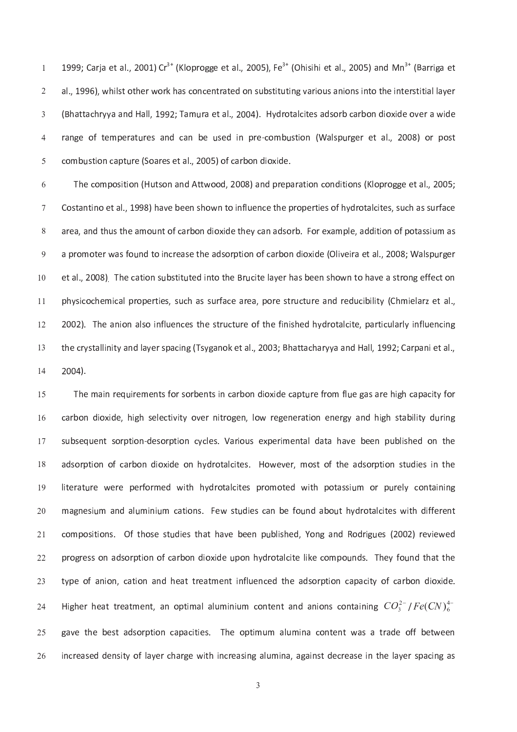1 9 <sup>9</sup> <sup>9</sup> ; <sup>C</sup> <sup>a</sup> <sup>r</sup> <sup>j</sup> <sup>a</sup> <sup>e</sup> <sup>t</sup> <sup>a</sup> <sup>l</sup> . , 2 <sup>0</sup> <sup>0</sup> 1 ) <sup>C</sup> <sup>r</sup> ( <sup>K</sup> <sup>l</sup> <sup>o</sup> <sup>p</sup> <sup>r</sup> <sup>o</sup> <sup>g</sup> <sup>g</sup> <sup>e</sup> <sup>e</sup> <sup>t</sup> <sup>a</sup> <sup>l</sup> . , 2 <sup>0</sup> <sup>0</sup> 5 ) , <sup>F</sup> <sup>e</sup> ( <sup>O</sup> <sup>h</sup> <sup>i</sup> <sup>s</sup> <sup>i</sup> <sup>h</sup> <sup>i</sup> <sup>e</sup> <sup>t</sup> <sup>a</sup> <sup>l</sup> . , 2 <sup>0</sup> <sup>0</sup> 5 ) <sup>a</sup> <sup>n</sup> <sup>d</sup> <sup>M</sup> <sup>n</sup> ( B a <sup>r</sup> <sup>r</sup> <sup>i</sup> g <sup>a</sup> <sup>e</sup> <sup>t</sup>  $\mathbf{u} = \mathbf{v}$  , we have a real of the r which a set of the intervals of the intervals of the set of the intervals of the intervals of the intervals of the intervals of the intervals of the intervals of the intervals of  $\mathbf{r} = \mathbf{r} \cdot \mathbf{r}$  . H  $\mathbf{r} = \mathbf{r} \cdot \mathbf{r}$  and  $\mathbf{r} = \mathbf{r} \cdot \mathbf{r}$  and  $\mathbf{r} = \mathbf{r} \cdot \mathbf{r}$  and  $\mathbf{r} = \mathbf{r} \cdot \mathbf{r}$  and  $\mathbf{r} = \mathbf{r} \cdot \mathbf{r}$  and  $\mathbf{r} = \mathbf{r} \cdot \mathbf{r}$  and  $\mathbf{r} = \mathbf{r} \cdot \mathbf{r}$  a r <sup>a</sup> <sup>n</sup> <sup>g</sup> <sup>e</sup> <sup>o</sup> <sup>f</sup> <sup>t</sup> <sup>e</sup> <sup>m</sup> <sup>p</sup> <sup>e</sup> <sup>r</sup> <sup>a</sup> <sup>t</sup> u r <sup>e</sup> <sup>s</sup> <sup>a</sup> <sup>n</sup> <sup>d</sup> <sup>c</sup> <sup>a</sup> <sup>n</sup> <sup>b</sup> <sup>e</sup> u s <sup>e</sup> <sup>d</sup> <sup>i</sup> <sup>n</sup> <sup>p</sup> <sup>r</sup> <sup>e</sup> ` <sup>c</sup> <sup>o</sup> <sup>m</sup> <sup>b</sup> u s <sup>t</sup> <sup>i</sup> <sup>o</sup> <sup>n</sup> ( <sup>W</sup> <sup>a</sup> <sup>l</sup> <sup>s</sup> <sup>p</sup> u r <sup>g</sup> <sup>e</sup> <sup>r</sup> <sup>e</sup> <sup>t</sup> <sup>a</sup> <sup>l</sup> . , 2 <sup>0</sup> <sup>0</sup> 8 ) <sup>o</sup> <sup>r</sup> <sup>p</sup> <sup>o</sup> <sup>s</sup> <sup>t</sup> c <sup>o</sup> <sup>m</sup> <sup>b</sup> u s <sup>t</sup> <sup>i</sup> <sup>o</sup> <sup>n</sup> <sup>c</sup> <sup>a</sup> <sup>p</sup> <sup>t</sup> u r <sup>e</sup> ( <sup>S</sup> <sup>o</sup> <sup>a</sup> <sup>r</sup> <sup>e</sup> <sup>s</sup> <sup>e</sup> <sup>t</sup> <sup>a</sup> <sup>l</sup> . , 2 <sup>0</sup> <sup>0</sup> 5 ) <sup>o</sup> <sup>f</sup> <sup>c</sup> <sup>a</sup> <sup>r</sup> <sup>b</sup> <sup>o</sup> <sup>n</sup> <sup>d</sup> <sup>i</sup> <sup>o</sup> <sup>x</sup> <sup>i</sup> <sup>d</sup> <sup>e</sup> .

t h e c o o d a t i o d i o n d a t i o n d a r e t i o n d i t i o n d i t i o p r o n d i d i d i d i d i d e n c e t a s h o s o f a l c i t e s o f a l c i t e s o f a l c i t e s o f a l c i t e s e s o f a l c i t e un t o n d i o x i d e t h e t a n a n a d i t i o r e t a m p l e s i d i t i d i t i o n o f p o t a s i s i المستقدم والمعامل المستقدم المستقدم المستقدم المستقدم المستقدم المستقدم المستقدم المستقدم المستقدم المستقدم ال e t i t un t o t a s t i o t o t a s t i o n s t r e r e n s h o w n t o n t o n t o n s t r e f e f e f e f e 1 <sup>0</sup> un s se se a r e a r e a r e a r e a n e a n d r e a n d r e a n e a r e a r e a r e a r e a r e a r e a r e a 1 <sup>1</sup> 2 <sup>0</sup> <sup>0</sup> <sup>2</sup> ) . <sup>T</sup> <sup>h</sup> <sup>e</sup> <sup>a</sup> <sup>n</sup> <sup>i</sup> <sup>o</sup> <sup>n</sup> <sup>a</sup> <sup>l</sup> <sup>s</sup> <sup>o</sup> <sup>i</sup> <sup>n</sup> <sup>f</sup> <sup>l</sup> u e <sup>n</sup> <sup>c</sup> <sup>e</sup> <sup>s</sup> <sup>t</sup> <sup>h</sup> <sup>e</sup> <sup>s</sup> <sup>t</sup> <sup>r</sup> u c <sup>t</sup> u r <sup>e</sup> <sup>o</sup> <sup>f</sup> <sup>t</sup> <sup>h</sup> <sup>e</sup> <sup>f</sup> <sup>i</sup> <sup>n</sup> <sup>i</sup> <sup>s</sup> <sup>h</sup> <sup>e</sup> <sup>d</sup> <sup>h</sup> <sup>y</sup> <sup>d</sup> <sup>r</sup> <sup>o</sup> <sup>t</sup> <sup>a</sup> <sup>l</sup> <sup>c</sup> <sup>i</sup> t <sup>e</sup> , <sup>p</sup> <sup>a</sup> <sup>r</sup> <sup>t</sup> <sup>i</sup> <sup>c</sup> u l <sup>a</sup> <sup>r</sup> <sup>l</sup> y <sup>i</sup> <sup>n</sup> <sup>f</sup> <sup>l</sup> u e <sup>n</sup> <sup>c</sup> <sup>i</sup> <sup>n</sup> <sup>g</sup> 1 <sup>2</sup>  $\mathbf{r} = \mathbf{r} \cdot \mathbf{r} = \mathbf{r} \cdot \mathbf{r} = \mathbf{r} \cdot \mathbf{r} = \mathbf{r} \cdot \mathbf{r} = \mathbf{r} \cdot \mathbf{r} = \mathbf{r} \cdot \mathbf{r} = \mathbf{r} \cdot \mathbf{r} = \mathbf{r} \cdot \mathbf{r} = \mathbf{r} \cdot \mathbf{r} = \mathbf{r} \cdot \mathbf{r} = \mathbf{r} \cdot \mathbf{r} = \mathbf{r} \cdot \mathbf{r} = \mathbf{r} \cdot \mathbf{r} = \mathbf{r} \cdot \mathbf{r} = \mathbf$ 1 <sup>3</sup> 2 <sup>0</sup> <sup>0</sup> <sup>4</sup> ) .  $\overline{a}$ 

 $\equiv$  in the f r o contract of the contract of the contract of the contract of the contract of the contract of the contract of the contract of the contract of the contract of the contract of the contract of the contract of 1 5 c a r b o n de l e n de l e n i g e n e r a t a t a t a t a t a n e r g y a n d h i g h s t a b i l i l i l i l 1 <sup>6</sup> un t s e c'hoarier ar an den e s a r a r a r a r a r a r a r a t a t a h a v a r a r a v a r a v a r a v a r a a d s o r p t i o t a l c i t e s e s e v e r o w e v e r o s t o f t h e a d s o r p t i o n s t i o n s t o r l i t e r a t a l c i t a l c i t e s p r o m o t e d w i t h p o t a s s i t e d w i t e d w i t e d w i t e d 1 <sup>9</sup> m a s i o n s s i o n d a l c a n b e f o n b e f o n b e f o n b e r o t a l c i t e r o t e r o t e r e r e r  $\sim$ c o s t h o s t h o s t h o s t h o s t h e doool i was to t t a n doool in the s t t h e s t t t t t t t t t  $\sim$ un d r o n d i o a r a d r o contra l contra l contra l i d e contra l e contra l e se contra l e contra l e c  $\sim$ t y p e o f a t m e n a t i o n a t a t a c a c a c a c a r p t i o c a c i t y o f l e a r b o n d i o n d e  $\sim$ Higher heat treatment, an optimal aluminium content and anions containing  $CO_s^{2-}/Fe(CN)_+^{4-}$  $-2$ m a la c a p a c i t i e s a c o p t i m a la c a t i m a la c o n t e o p t i m a t r a t r a t r a t e t e t  $\sim$ i n c r e a s e a s i n a s i n a l a l a g a i n a g a i n a s e c r e a s e i n t h e l a y e r s e l a s e  $\sim$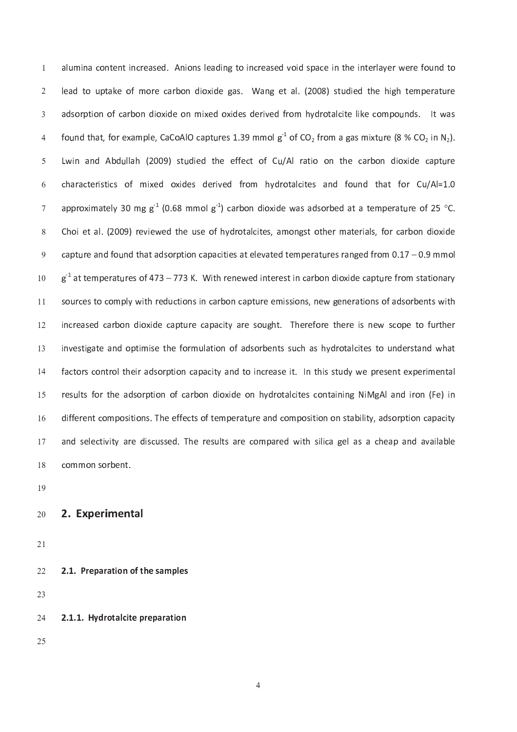un d t o n a c o n a d i n a s e a s e a s e d v o i d s p a c e i n t h e i n t e r e r w e r w e r e f o i d l <sup>e</sup> <sup>a</sup> <sup>d</sup> <sup>t</sup> <sup>o</sup> u p <sup>t</sup> <sup>a</sup> <sup>k</sup> <sup>e</sup> <sup>o</sup> <sup>f</sup> <sup>m</sup> <sup>o</sup> <sup>r</sup> <sup>e</sup> <sup>c</sup> <sup>a</sup> <sup>r</sup> <sup>b</sup> <sup>o</sup> <sup>n</sup> <sup>d</sup> <sup>i</sup> <sup>o</sup> <sup>x</sup> <sup>i</sup> <sup>d</sup> <sup>e</sup> <sup>g</sup> <sup>a</sup> <sup>s</sup> . <sup>W</sup> <sup>a</sup> <sup>n</sup> <sup>g</sup> <sup>e</sup> <sup>t</sup> <sup>a</sup> <sup>l</sup> . ( 2 <sup>0</sup> <sup>0</sup> 8 ) <sup>s</sup> <sup>t</sup> u d <sup>i</sup> <sup>e</sup> <sup>d</sup> <sup>t</sup> <sup>h</sup> <sup>e</sup> <sup>h</sup> <sup>i</sup> g <sup>h</sup> <sup>t</sup> <sup>e</sup> <sup>m</sup> <sup>p</sup> <sup>e</sup> <sup>r</sup> <sup>a</sup> <sup>t</sup> u r <sup>e</sup> a d s o r p t i o m i d e r e r i d e r i d e r o m h y d r o m p o m p o m p o m p o m p o m p o m p o m p o m r e s 1 a a lla contra de la parte de la contra de la parte de la parte de la parte de la parte de la parte de L <sup>w</sup> <sup>i</sup> <sup>n</sup> <sup>a</sup> <sup>n</sup> <sup>d</sup> <sup>A</sup> <sup>b</sup> <sup>d</sup> u l <sup>l</sup> <sup>a</sup> <sup>h</sup> ( 2 <sup>0</sup> <sup>0</sup> <sup>9</sup> ) <sup>s</sup> <sup>t</sup> u d <sup>i</sup> <sup>e</sup> <sup>d</sup> <sup>t</sup> <sup>h</sup> <sup>e</sup> <sup>e</sup> <sup>f</sup> <sup>f</sup> <sup>e</sup> <sup>c</sup> <sup>t</sup> <sup>o</sup> <sup>f</sup> <sup>C</sup> u / <sup>A</sup> <sup>l</sup> <sup>r</sup> <sup>a</sup> <sup>t</sup> <sup>i</sup> <sup>o</sup> <sup>o</sup> <sup>n</sup> <sup>t</sup> <sup>h</sup> <sup>e</sup> <sup>c</sup> <sup>a</sup> <sup>r</sup> <sup>b</sup> <sup>o</sup> <sup>n</sup> <sup>d</sup> <sup>i</sup> <sup>o</sup> <sup>x</sup> <sup>i</sup> <sup>d</sup> <sup>e</sup> <sup>c</sup> <sup>a</sup> <sup>p</sup> <sup>t</sup> u r <sup>e</sup>  $\mathbf{r}$  is defined as a result of the state of the state of the state of the state of the state of the state of the state of the state of the state of the state of the state of the state of the state of the state of the approximately 30 mg g $^{\text{1}}$  (0.68 mmol g $^{\text{1}}$ ) carbon dioxide was adsorbed at a temperature of 25 °C e o f a l a l a l c i t a l c i t e r a m o n g s t o t a r m a t e r i a l s e r a r i a r b o n d i o x i d r e a n d t a t a t a t a t a t a t a t a t e m p e r a t a t e m p e r a t a t e m p e r a t e m p e r a t e g <sup>k</sup> <sup>1</sup> <sup>a</sup> <sup>t</sup> <sup>t</sup> <sup>e</sup> <sup>m</sup> <sup>p</sup> <sup>e</sup> <sup>r</sup> <sup>a</sup> <sup>t</sup> u r <sup>e</sup> <sup>s</sup> <sup>o</sup> <sup>f</sup> 4 7 <sup>3</sup> – <sup>7</sup> <sup>7</sup> <sup>3</sup> <sup>K</sup> . <sup>W</sup> <sup>i</sup> t <sup>h</sup> <sup>r</sup> <sup>e</sup> <sup>n</sup> <sup>e</sup> <sup>w</sup> <sup>e</sup> <sup>d</sup> <sup>i</sup> <sup>n</sup> <sup>t</sup> <sup>e</sup> <sup>r</sup> <sup>e</sup> <sup>s</sup> <sup>t</sup> <sup>i</sup> <sup>n</sup> <sup>c</sup> <sup>a</sup> <sup>r</sup> <sup>b</sup> <sup>o</sup> <sup>n</sup> <sup>d</sup> <sup>i</sup> <sup>o</sup> <sup>x</sup> <sup>i</sup> <sup>d</sup> <sup>e</sup> <sup>c</sup> <sup>a</sup> <sup>p</sup> <sup>t</sup> u r <sup>e</sup> <sup>f</sup> <sup>r</sup> <sup>o</sup> <sup>m</sup> <sup>s</sup> <sup>t</sup> <sup>a</sup> <sup>t</sup> <sup>i</sup> <sup>o</sup> <sup>n</sup> <sup>a</sup> <sup>r</sup> <sup>y</sup>  $\overline{\phantom{a}}$ s o n s i o n s i o n c a r e m i s i o n s i o n s i o n e n e r a t i o n e r a d s o r e n s o r a d s o r 1 <sup>1</sup> i <sup>n</sup> <sup>c</sup> <sup>r</sup> <sup>e</sup> <sup>a</sup> <sup>s</sup> <sup>e</sup> <sup>d</sup> <sup>c</sup> <sup>a</sup> <sup>r</sup> <sup>b</sup> <sup>o</sup> <sup>n</sup> <sup>d</sup> <sup>i</sup> <sup>o</sup> <sup>x</sup> <sup>i</sup> <sup>d</sup> <sup>e</sup> <sup>c</sup> <sup>a</sup> <sup>p</sup> <sup>t</sup> u r <sup>e</sup> <sup>c</sup> <sup>a</sup> <sup>p</sup> <sup>a</sup> <sup>c</sup> <sup>i</sup> t <sup>y</sup> <sup>a</sup> <sup>r</sup> <sup>e</sup> <sup>s</sup> <sup>o</sup> u g <sup>h</sup> <sup>t</sup> . <sup>T</sup> <sup>h</sup> <sup>e</sup> <sup>r</sup> <sup>e</sup> <sup>f</sup> <sup>o</sup> <sup>r</sup> <sup>e</sup> <sup>t</sup> <sup>h</sup> <sup>e</sup> <sup>r</sup> <sup>e</sup> <sup>i</sup> <sup>s</sup> <sup>n</sup> <sup>e</sup> <sup>w</sup> <sup>s</sup> <sup>c</sup> <sup>o</sup> <sup>p</sup> <sup>e</sup> <sup>t</sup> <sup>o</sup> <sup>f</sup> u r <sup>t</sup> <sup>h</sup> <sup>e</sup> <sup>r</sup> 1 <sup>2</sup> i <sup>n</sup> <sup>v</sup> <sup>e</sup> <sup>s</sup> <sup>t</sup> <sup>i</sup> g <sup>a</sup> <sup>t</sup> <sup>e</sup> <sup>a</sup> <sup>n</sup> <sup>d</sup> <sup>o</sup> <sup>p</sup> <sup>t</sup> <sup>i</sup> <sup>m</sup> <sup>i</sup> <sup>s</sup> <sup>e</sup> <sup>t</sup> <sup>h</sup> <sup>e</sup> <sup>f</sup> <sup>o</sup> <sup>r</sup> <sup>m</sup> u l <sup>a</sup> <sup>t</sup> <sup>i</sup> <sup>o</sup> <sup>n</sup> <sup>o</sup> <sup>f</sup> <sup>a</sup> <sup>d</sup> <sup>s</sup> <sup>o</sup> <sup>r</sup> <sup>b</sup> <sup>e</sup> <sup>n</sup> <sup>t</sup> <sup>s</sup> <sup>s</sup> u c <sup>h</sup> <sup>a</sup> <sup>s</sup> <sup>h</sup> <sup>y</sup> <sup>d</sup> <sup>r</sup> <sup>o</sup> <sup>t</sup> <sup>a</sup> <sup>l</sup> <sup>c</sup> <sup>i</sup> t <sup>e</sup> <sup>s</sup> <sup>t</sup> <sup>o</sup> u n <sup>d</sup> <sup>e</sup> <sup>r</sup> <sup>s</sup> <sup>t</sup> <sup>a</sup> <sup>n</sup> <sup>d</sup> <sup>w</sup> <sup>h</sup> <sup>a</sup> <sup>t</sup> 1 <sup>3</sup> f a c o r s c o r o l t o i n d t o i n t o i t a s e i t h i s t o i n t a s t o i t e s e s e r e r e r e r e  $\overline{a}$ r e se se se o r p t o n d a r p t a r a l c i t e se se con t a i n i n i n i n i n i n d i r o n d i r o n d 1 5  $\mathbf{r}_i$  and the second contract the second contract second contract the matrix of the second contract of the second contract of the second contract of the second contract of the second contract of the second contract of  $\overline{a}$ us s e d . T h e r e r e r e r e c o m p a r e a r e a r e a g e l a s a c h e a c h e a n d a r e a v a b l e --

1 <sup>9</sup>

#### 2 . <sup>E</sup> <sup>x</sup> <sup>p</sup> <sup>e</sup> <sup>r</sup> <sup>i</sup> <sup>m</sup> <sup>e</sup> <sup>n</sup> <sup>t</sup> <sup>a</sup> <sup>l</sup>  $\sim$

 $\sim$ 

2 . <sup>1</sup> . <sup>P</sup> <sup>r</sup> <sup>e</sup> <sup>p</sup> <sup>a</sup> <sup>r</sup> <sup>a</sup> <sup>t</sup> <sup>i</sup> <sup>o</sup> <sup>n</sup> <sup>o</sup> <sup>f</sup> <sup>t</sup> <sup>h</sup> <sup>e</sup> <sup>s</sup> <sup>a</sup> <sup>m</sup> <sup>p</sup> <sup>l</sup> <sup>e</sup> <sup>s</sup>  $\sim$ 

2 <sup>3</sup>

- 2 . <sup>1</sup> . <sup>1</sup> . <sup>H</sup> <sup>y</sup> <sup>d</sup> <sup>r</sup> <sup>o</sup> <sup>t</sup> <sup>a</sup> <sup>l</sup> <sup>c</sup> <sup>i</sup> t <sup>e</sup> <sup>p</sup> <sup>r</sup> <sup>e</sup> <sup>p</sup> <sup>a</sup> <sup>r</sup> <sup>a</sup> <sup>t</sup> <sup>i</sup> <sup>o</sup> <sup>n</sup>  $\sim$
- $\sim$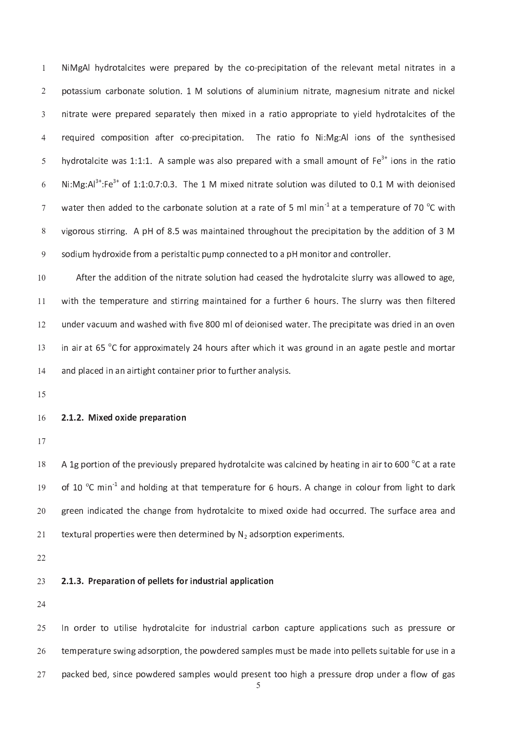un i o n i o n i o n i o n s o la t r a t r a t r a t r a t r a t r a t r a t r a t r a t r a t r a t r a t r r e r e r e r e c o n a t a t i o n a t a t i o f o n a t i o f o n i o n i o n i o n e r a t i o f o n i o f o : 1 . A s a m p l e w a s a r e p a r e p a r e d w i t h a s m a m o m a m a s m a m o m a r e r e r e r e r N <sup>i</sup> : M <sup>g</sup> : A <sup>l</sup> : F <sup>e</sup> o <sup>f</sup> <sup>1</sup> : 1 : 0 . <sup>7</sup> : <sup>0</sup> . <sup>3</sup> . <sup>T</sup> <sup>h</sup> <sup>e</sup> <sup>1</sup> <sup>M</sup> <sup>m</sup> <sup>i</sup> x <sup>e</sup> <sup>d</sup> <sup>n</sup> <sup>i</sup> t <sup>r</sup> <sup>a</sup> <sup>t</sup> <sup>e</sup> <sup>s</sup> <sup>o</sup> <sup>l</sup> u t <sup>i</sup> <sup>o</sup> <sup>n</sup> <sup>w</sup> <sup>a</sup> <sup>s</sup> <sup>d</sup> <sup>i</sup> <sup>l</sup> u t <sup>e</sup> <sup>d</sup> <sup>t</sup> <sup>o</sup> 0 . <sup>1</sup> <sup>M</sup> <sup>w</sup> <sup>i</sup> t <sup>h</sup> <sup>d</sup> <sup>e</sup> <sup>i</sup> <sup>o</sup> <sup>n</sup> <sup>i</sup> <sup>s</sup> <sup>e</sup> <sup>d</sup> w <sup>a</sup> <sup>t</sup> <sup>e</sup> <sup>r</sup> <sup>t</sup> <sup>h</sup> <sup>e</sup> <sup>n</sup> <sup>a</sup> <sup>d</sup> <sup>d</sup> <sup>e</sup> <sup>d</sup> <sup>t</sup> <sup>o</sup> <sup>t</sup> <sup>h</sup> <sup>e</sup> <sup>c</sup> <sup>a</sup> <sup>r</sup> <sup>b</sup> <sup>o</sup> <sup>n</sup> <sup>a</sup> <sup>t</sup> <sup>e</sup> <sup>s</sup> <sup>o</sup> <sup>l</sup> u t <sup>i</sup> <sup>o</sup> <sup>n</sup> <sup>a</sup> <sup>t</sup> <sup>a</sup> <sup>r</sup> <sup>a</sup> <sup>t</sup> <sup>e</sup> <sup>o</sup> <sup>f</sup> <sup>5</sup> <sup>m</sup> <sup>l</sup> <sup>m</sup> <sup>i</sup> <sup>n</sup> <sup>k</sup> <sup>1</sup> <sup>a</sup> <sup>t</sup> <sup>a</sup> <sup>t</sup> <sup>e</sup> <sup>m</sup> <sup>p</sup> <sup>e</sup> <sup>r</sup> <sup>a</sup> <sup>t</sup> u r <sup>e</sup> <sup>o</sup> <sup>f</sup> <sup>7</sup> 0 <sup>o</sup> C <sup>w</sup> <sup>i</sup> t <sup>h</sup> v <sup>i</sup> g <sup>o</sup> <sup>r</sup> <sup>o</sup> u s <sup>s</sup> <sup>t</sup> <sup>i</sup> <sup>r</sup> <sup>r</sup> <sup>i</sup> <sup>n</sup> <sup>g</sup> . <sup>A</sup> <sup>p</sup> <sup>H</sup> <sup>o</sup> <sup>f</sup> <sup>8</sup> . <sup>5</sup> <sup>w</sup> <sup>a</sup> <sup>s</sup> <sup>m</sup> <sup>a</sup> <sup>i</sup> <sup>n</sup> <sup>t</sup> <sup>a</sup> <sup>i</sup> <sup>n</sup> <sup>e</sup> <sup>d</sup> <sup>t</sup> <sup>h</sup> <sup>r</sup> <sup>o</sup> u g <sup>h</sup> <sup>o</sup> u t <sup>t</sup> <sup>h</sup> <sup>e</sup> <sup>p</sup> <sup>r</sup> <sup>e</sup> <sup>c</sup> <sup>i</sup> <sup>p</sup> <sup>i</sup> t <sup>a</sup> <sup>t</sup> <sup>i</sup> <sup>o</sup> <sup>n</sup> <sup>b</sup> <sup>y</sup> <sup>t</sup> <sup>h</sup> <sup>e</sup> <sup>a</sup> <sup>d</sup> <sup>d</sup> <sup>i</sup> t <sup>i</sup> <sup>o</sup> <sup>n</sup> <sup>o</sup> <sup>f</sup> <sup>3</sup> <sup>M</sup> s o n a p e r o m a p e r o n a p e r o n a p e r o n e c o n e c o n e r o n i t o r a n d c o n t r o n d c

t i o la t e s o la d a d c e a s e a s e d t h e h e h e h e h e s e s l o s e s e s e s e s e s e s e s e s 1 <sup>0</sup> ا العام التي تعليم التي تعليم التي تعليم التي تعليم التي تعليم التي تعليم التي تعليم التي تعليم التي تعليم الت 1 <sup>1</sup> u n <sup>d</sup> <sup>e</sup> <sup>r</sup> <sup>v</sup> <sup>a</sup> <sup>c</sup> u <sup>u</sup> m <sup>a</sup> <sup>n</sup> <sup>d</sup> <sup>w</sup> <sup>a</sup> <sup>s</sup> <sup>h</sup> <sup>e</sup> <sup>d</sup> <sup>w</sup> <sup>i</sup> t <sup>h</sup> <sup>f</sup> <sup>i</sup> v <sup>e</sup> <sup>8</sup> 0 <sup>0</sup> m <sup>l</sup> <sup>o</sup> <sup>f</sup> <sup>d</sup> <sup>e</sup> <sup>i</sup> <sup>o</sup> <sup>n</sup> <sup>i</sup> <sup>s</sup> <sup>e</sup> <sup>d</sup> <sup>w</sup> <sup>a</sup> <sup>t</sup> <sup>e</sup> <sup>r</sup> . <sup>T</sup> <sup>h</sup> <sup>e</sup> <sup>p</sup> <sup>r</sup> <sup>e</sup> <sup>c</sup> <sup>i</sup> <sup>p</sup> <sup>i</sup> t <sup>a</sup> <sup>t</sup> <sup>e</sup> <sup>w</sup> <sup>a</sup> <sup>s</sup> <sup>d</sup> <sup>r</sup> <sup>i</sup> <sup>e</sup> <sup>d</sup> <sup>i</sup> <sup>n</sup> <sup>a</sup> <sup>n</sup> <sup>o</sup> <sup>v</sup> <sup>e</sup> <sup>n</sup> 1 <sup>2</sup> i <sup>n</sup> <sup>a</sup> <sup>i</sup> <sup>r</sup> <sup>a</sup> <sup>t</sup> 6 5 o C <sup>f</sup> <sup>o</sup> <sup>r</sup> <sup>a</sup> <sup>p</sup> <sup>p</sup> <sup>r</sup> <sup>o</sup> <sup>x</sup> <sup>i</sup> <sup>m</sup> <sup>a</sup> <sup>t</sup> <sup>e</sup> <sup>l</sup> y 2 <sup>4</sup> h <sup>o</sup> u r <sup>s</sup> <sup>a</sup> <sup>f</sup> <sup>t</sup> <sup>e</sup> <sup>r</sup> <sup>w</sup> <sup>h</sup> <sup>i</sup> <sup>c</sup> <sup>h</sup> <sup>i</sup> t <sup>w</sup> <sup>a</sup> <sup>s</sup> <sup>g</sup> <sup>r</sup> <sup>o</sup> u n <sup>d</sup> <sup>i</sup> <sup>n</sup> <sup>a</sup> <sup>n</sup> <sup>a</sup> <sup>g</sup> <sup>a</sup> <sup>t</sup> <sup>e</sup> <sup>p</sup> <sup>e</sup> <sup>s</sup> <sup>t</sup> <sup>l</sup> <sup>e</sup> <sup>a</sup> <sup>n</sup> <sup>d</sup> <sup>m</sup> <sup>o</sup> <sup>r</sup> <sup>t</sup> <sup>a</sup> <sup>r</sup> 1 <sup>3</sup> a n d p l a i r t a i n a i r t a i r t o f o f i o r a i n e r p r i o r t o f o f o f o f o f o f o f o f o f  $\overline{a}$ 

1 5

#### 2 . <sup>1</sup> . <sup>2</sup> . <sup>M</sup> <sup>i</sup> <sup>x</sup> <sup>e</sup> <sup>d</sup> <sup>o</sup> <sup>x</sup> <sup>i</sup> <sup>d</sup> <sup>e</sup> <sup>p</sup> <sup>r</sup> <sup>e</sup> <sup>p</sup> <sup>a</sup> <sup>r</sup> <sup>a</sup> <sup>t</sup> <sup>i</sup> <sup>o</sup> <sup>n</sup> 1 <sup>6</sup>

-

 $\mathbf{a}$  is a regular contract to the problem of the problem of the set of  $\mathbf{a}$  and  $\mathbf{b}$  is a subset of  $\mathbf{c}$ o <sup>f</sup> <sup>1</sup> 0 <sup>o</sup> C <sup>m</sup> <sup>i</sup> <sup>n</sup> <sup>k</sup> <sup>1</sup> <sup>a</sup> <sup>n</sup> <sup>d</sup> <sup>h</sup> <sup>o</sup> <sup>l</sup> <sup>d</sup> <sup>i</sup> <sup>n</sup> <sup>g</sup> <sup>a</sup> <sup>t</sup> <sup>t</sup> <sup>h</sup> <sup>a</sup> <sup>t</sup> <sup>t</sup> <sup>e</sup> <sup>m</sup> <sup>p</sup> <sup>e</sup> <sup>r</sup> <sup>a</sup> <sup>t</sup> u r <sup>e</sup> <sup>f</sup> <sup>o</sup> <sup>r</sup> 6 h <sup>o</sup> u r <sup>s</sup> . <sup>A</sup> <sup>c</sup> <sup>h</sup> <sup>a</sup> <sup>n</sup> <sup>g</sup> <sup>e</sup> <sup>i</sup> <sup>n</sup> <sup>c</sup> <sup>o</sup> <sup>l</sup> <sup>o</sup> u r <sup>f</sup> <sup>r</sup> <sup>o</sup> <sup>m</sup> <sup>l</sup> <sup>i</sup> g <sup>h</sup> <sup>t</sup> <sup>t</sup> <sup>o</sup> <sup>d</sup> <sup>a</sup> <sup>r</sup> <sup>k</sup> 1 <sup>9</sup> r e f r o m h y d r o t a l c i t e t o c c'h d o x i d o c'h a d o c'h a d o c'h a d o c'h a d o c'h a d o c'  $\sim$ t a l p r o p e r o p e r e r e r e n d e t e t e r e r e r e r e r e r e r p t i o n e r e r e r e r e r e n  $\sim$ 

 $\sim$ 

#### . 2 . 2 . P e p a r a c i d i n d i n d i c a c i o f p e l e t i c a t i o r i o n d u s e l a p p i c a t i o  $\sim$

 $\sim$ 

un de r de r t o r i a l i a l c a r b o n s seus de r a r b o n de r b o n s seus de r a s p r e s seus de r  $\sim$ un de r a b e r a d e r a m p l e s m a m p l e s m a d e i n t o p e l e t s a m p l e s a m a d e s a m a d e  $\sim$ p <sup>a</sup> <sup>c</sup> <sup>k</sup> <sup>e</sup> <sup>d</sup> <sup>b</sup> <sup>e</sup> <sup>d</sup> , <sup>s</sup> <sup>i</sup> <sup>n</sup> <sup>c</sup> <sup>e</sup> <sup>p</sup> <sup>o</sup> <sup>w</sup> <sup>d</sup> <sup>e</sup> <sup>r</sup> <sup>e</sup> <sup>d</sup> <sup>s</sup> <sup>a</sup> <sup>m</sup> <sup>p</sup> <sup>l</sup> <sup>e</sup> <sup>s</sup> <sup>w</sup> <sup>o</sup> u l <sup>d</sup> <sup>p</sup> <sup>r</sup> <sup>e</sup> <sup>s</sup> <sup>e</sup> <sup>n</sup> <sup>t</sup> <sup>t</sup> <sup>o</sup> <sup>o</sup> <sup>h</sup> <sup>i</sup> g <sup>h</sup> <sup>a</sup> <sup>p</sup> <sup>r</sup> <sup>e</sup> <sup>s</sup> <sup>s</sup> u r <sup>e</sup> <sup>d</sup> <sup>r</sup> <sup>o</sup> <sup>p</sup> u n <sup>d</sup> <sup>e</sup> <sup>r</sup> <sup>a</sup> <sup>f</sup> <sup>l</sup> <sup>o</sup> <sup>w</sup> <sup>o</sup> <sup>f</sup> <sup>g</sup> <sup>a</sup> <sup>s</sup>  $\sim$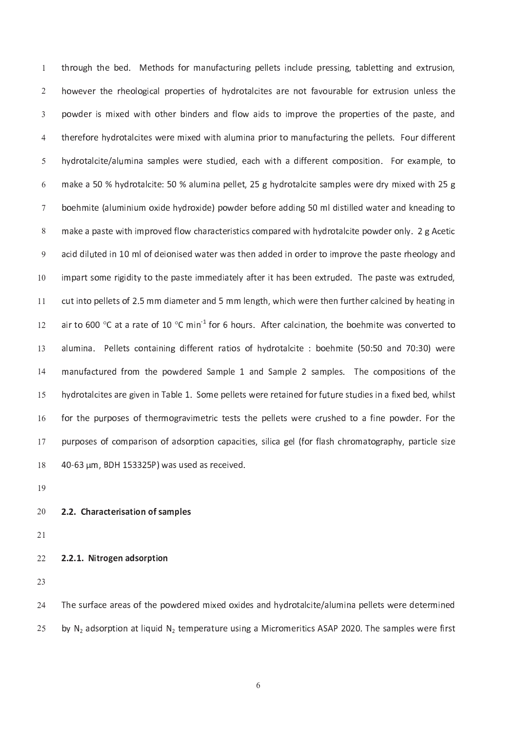un de la construction de la construction de la construction de la construction de la construction de la constr n de r o l o l o l o l o l o t a l p r o t a r e n o t f a v o t f a v o t e f o r e s a r e n o t a v o t a v un de r e f o r o t a l c'hoarier a la generatur e vez gant da wezhoù an la da gant da gant da gant da gant da h y d r o t a l c i t e a c h w i t h a d i f e r e r e r e r e r e r e r e s i t o n . F o r e s a m p l e s أست المستقبل المستقبل المستقبل المستقبل المستقبل المستقبل المستقبل المستقبل المستقبل المستقبل المستقبل المستقب n i d'an de la companyación de la companyación de la companyación de la companyación de la companyación de la m a c a r a r a r a r o c o m p a r a r e d w i t h y d r o t a l c i t e p o w d e r o w d e r o n l y d r o t m l o f d i la d i la d e r w a s t h e n a d e d e r d e r t o i m p r o v e r o v e r h e r h e o l o l o g i <sup>m</sup> <sup>p</sup> <sup>a</sup> <sup>r</sup> <sup>t</sup> <sup>s</sup> <sup>o</sup> <sup>m</sup> <sup>e</sup> <sup>r</sup> <sup>i</sup> g <sup>i</sup> <sup>d</sup> <sup>i</sup> t <sup>y</sup> <sup>t</sup> <sup>o</sup> <sup>t</sup> <sup>h</sup> <sup>e</sup> <sup>p</sup> <sup>a</sup> <sup>s</sup> <sup>t</sup> <sup>e</sup> <sup>i</sup> <sup>m</sup> <sup>m</sup> <sup>e</sup> <sup>d</sup> <sup>i</sup> <sup>a</sup> <sup>t</sup> <sup>e</sup> <sup>l</sup> y <sup>a</sup> <sup>f</sup> <sup>t</sup> <sup>e</sup> <sup>r</sup> <sup>i</sup> t <sup>h</sup> <sup>a</sup> <sup>s</sup> <sup>b</sup> <sup>e</sup> <sup>e</sup> <sup>n</sup> <sup>e</sup> <sup>x</sup> <sup>t</sup> <sup>r</sup> u d <sup>e</sup> <sup>d</sup> . <sup>T</sup> <sup>h</sup> <sup>e</sup> <sup>p</sup> <sup>a</sup> <sup>s</sup> <sup>t</sup> <sup>e</sup> <sup>w</sup> <sup>a</sup> <sup>s</sup> <sup>e</sup> <sup>x</sup> <sup>t</sup> <sup>r</sup> u d <sup>e</sup> <sup>d</sup> , 1 <sup>0</sup> . The contract of the second contract of the second contract of the second contract of the second contract of t 1 <sup>1</sup> air to 600 °C at a rate of 10 °C min $^1$  for 6 hours. After calcination, the boehmite was converted t $\cdot$ 1 <sup>2</sup> a <sup>l</sup> u m <sup>i</sup> <sup>n</sup> <sup>a</sup> . <sup>P</sup> <sup>e</sup> <sup>l</sup> <sup>l</sup> <sup>e</sup> <sup>t</sup> <sup>s</sup> <sup>c</sup> <sup>o</sup> <sup>n</sup> <sup>t</sup> <sup>a</sup> <sup>i</sup> <sup>n</sup> <sup>i</sup> <sup>n</sup> <sup>g</sup> <sup>d</sup> <sup>i</sup> f <sup>f</sup> <sup>e</sup> <sup>r</sup> <sup>e</sup> <sup>n</sup> <sup>t</sup> <sup>r</sup> <sup>a</sup> <sup>t</sup> <sup>i</sup> <sup>o</sup> <sup>s</sup> <sup>o</sup> <sup>f</sup> <sup>h</sup> <sup>y</sup> <sup>d</sup> <sup>r</sup> <sup>o</sup> <sup>t</sup> <sup>a</sup> <sup>l</sup> <sup>c</sup> <sup>i</sup> t <sup>e</sup> : b <sup>o</sup> <sup>e</sup> <sup>h</sup> <sup>m</sup> <sup>i</sup> t <sup>e</sup> ( <sup>5</sup> 0 : 5 0 a <sup>n</sup> <sup>d</sup> <sup>7</sup> 0 : 3 0 ) <sup>w</sup> <sup>e</sup> <sup>r</sup> <sup>e</sup> 1 <sup>3</sup> m <sup>a</sup> <sup>n</sup> u f <sup>a</sup> <sup>c</sup> <sup>t</sup> u r <sup>e</sup> <sup>d</sup> <sup>f</sup> <sup>r</sup> <sup>o</sup> <sup>m</sup> <sup>t</sup> <sup>h</sup> <sup>e</sup> <sup>p</sup> <sup>o</sup> <sup>w</sup> <sup>d</sup> <sup>e</sup> <sup>r</sup> <sup>e</sup> <sup>d</sup> <sup>S</sup> <sup>a</sup> <sup>m</sup> <sup>p</sup> <sup>l</sup> <sup>e</sup> <sup>1</sup> <sup>a</sup> <sup>n</sup> <sup>d</sup> <sup>S</sup> <sup>a</sup> <sup>m</sup> <sup>p</sup> <sup>l</sup> <sup>e</sup> 2 s <sup>a</sup> <sup>m</sup> <sup>p</sup> <sup>l</sup> <sup>e</sup> <sup>s</sup> . <sup>T</sup> <sup>h</sup> <sup>e</sup> <sup>c</sup> <sup>o</sup> <sup>m</sup> <sup>p</sup> <sup>o</sup> <sup>s</sup> <sup>i</sup> t <sup>i</sup> <sup>o</sup> <sup>n</sup> <sup>s</sup> <sup>o</sup> <sup>f</sup> <sup>t</sup> <sup>h</sup> <sup>e</sup>  $\overline{a}$ un e s a r e s a r e s a r e r e r e t a i n e d f o r f o r f o r f o r f o r f o r f o r f o r f o r f o r f 1 5 f <sup>o</sup> <sup>r</sup> <sup>t</sup> <sup>h</sup> <sup>e</sup> <sup>p</sup> u r <sup>p</sup> <sup>o</sup> <sup>s</sup> <sup>e</sup> <sup>s</sup> <sup>o</sup> <sup>f</sup> <sup>t</sup> <sup>h</sup> <sup>e</sup> <sup>r</sup> <sup>m</sup> <sup>o</sup> <sup>g</sup> <sup>r</sup> <sup>a</sup> <sup>v</sup> <sup>i</sup> <sup>m</sup> <sup>e</sup> <sup>t</sup> <sup>r</sup> <sup>i</sup> <sup>c</sup> <sup>t</sup> <sup>e</sup> <sup>s</sup> <sup>t</sup> <sup>s</sup> <sup>t</sup> <sup>h</sup> <sup>e</sup> <sup>p</sup> <sup>e</sup> <sup>l</sup> <sup>l</sup> <sup>e</sup> <sup>t</sup> <sup>s</sup> <sup>w</sup> <sup>e</sup> <sup>r</sup> <sup>e</sup> <sup>c</sup> <sup>r</sup> u s <sup>h</sup> <sup>e</sup> <sup>d</sup> <sup>t</sup> <sup>o</sup> <sup>a</sup> <sup>f</sup> <sup>i</sup> <sup>n</sup> <sup>e</sup> <sup>p</sup> <sup>o</sup> <sup>w</sup> <sup>d</sup> <sup>e</sup> <sup>r</sup> . <sup>F</sup> <sup>o</sup> <sup>r</sup> <sup>t</sup> <sup>h</sup> <sup>e</sup>  $\overline{a}$ p o s o f c o r i c o r i l i c a g e l i c a g e l a s h c h r o r o m a t o g r a p h y , p a r t i c l e s - $\mathbf{a} \bullet \mathbf{a} \bullet \mathbf{b}$  , and  $\mathbf{a} \bullet \mathbf{a}$  , and  $\mathbf{a} \bullet \mathbf{a}$  , and  $\mathbf{a} \bullet \mathbf{a}$ -

1 <sup>9</sup>

#### 2 . <sup>2</sup> . <sup>C</sup> <sup>h</sup> <sup>a</sup> <sup>r</sup> <sup>a</sup> <sup>c</sup> <sup>t</sup> <sup>e</sup> <sup>r</sup> <sup>i</sup> <sup>s</sup> <sup>a</sup> <sup>t</sup> <sup>i</sup> <sup>o</sup> <sup>n</sup> <sup>o</sup> <sup>f</sup> <sup>s</sup> <sup>a</sup> <sup>m</sup> <sup>p</sup> <sup>l</sup> <sup>e</sup> <sup>s</sup>  $\sim$

 $-2$ 

#### 2 . <sup>2</sup> . <sup>1</sup> . <sup>N</sup> <sup>i</sup> t <sup>r</sup> <sup>o</sup> <sup>g</sup> <sup>e</sup> <sup>n</sup> <sup>a</sup> <sup>d</sup> <sup>s</sup> <sup>o</sup> <sup>r</sup> <sup>p</sup> <sup>t</sup> <sup>i</sup> <sup>o</sup> <sup>n</sup>  $\sim$

2 <sup>3</sup>

t f a r f a r e d o x i d e s a n d r o t a l c i t e l e l e d e t e l e s a n d e t e t e t e t e t e r o t  $\sim$ r e r a t a t a t i c r a t a t a t a m e r a t a t a t a s a s a m e r a t a m e r a m e r a s a s w e r a s  $\sim$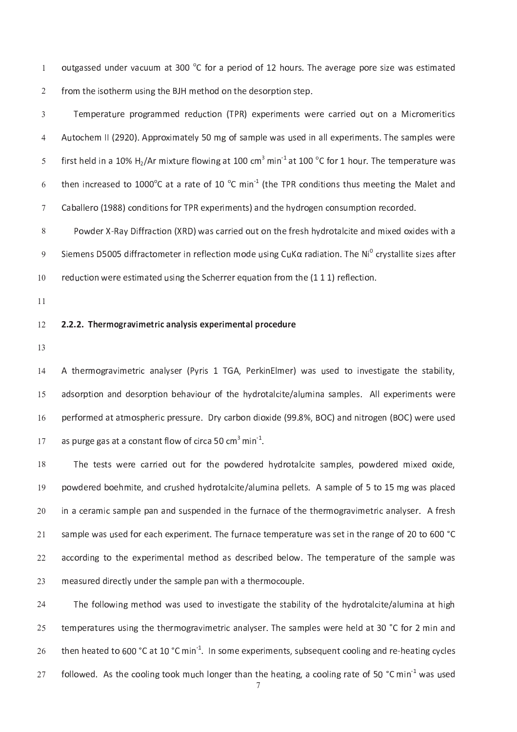unione de r a t a construction de r a t a v a s e r a t a v e r a v e r a v e r a v e v e v e v e v e v e v e s i n g t h e t h e r m e t h e r m e s o r p t i o n s t e p t i o n s t e p t i o n s t e p t i o n s t e p t

T <sup>e</sup> <sup>m</sup> <sup>p</sup> <sup>e</sup> <sup>r</sup> <sup>a</sup> <sup>t</sup> u r <sup>e</sup> <sup>p</sup> <sup>r</sup> <sup>o</sup> <sup>g</sup> <sup>r</sup> <sup>a</sup> <sup>m</sup> <sup>m</sup> <sup>e</sup> <sup>d</sup> <sup>r</sup> <sup>e</sup> <sup>d</sup> u c <sup>t</sup> <sup>i</sup> <sup>o</sup> <sup>n</sup> ( <sup>T</sup> <sup>P</sup> <sup>R</sup> ) <sup>e</sup> <sup>x</sup> <sup>p</sup> <sup>e</sup> <sup>r</sup> <sup>i</sup> <sup>m</sup> <sup>e</sup> <sup>n</sup> <sup>t</sup> <sup>s</sup> <sup>w</sup> <sup>e</sup> <sup>r</sup> <sup>e</sup> <sup>c</sup> <sup>a</sup> <sup>r</sup> <sup>r</sup> <sup>i</sup> <sup>e</sup> <sup>d</sup> <sup>o</sup> u t <sup>o</sup> <sup>n</sup> <sup>a</sup> <sup>M</sup> <sup>i</sup> <sup>c</sup> <sup>r</sup> <sup>o</sup> <sup>m</sup> <sup>e</sup> <sup>r</sup> <sup>i</sup> t <sup>i</sup> <sup>c</sup> <sup>s</sup>  $\mathbf{A} \times \mathbf{B}$  and  $\mathbf{A} \times \mathbf{B}$  and  $\mathbf{A} \times \mathbf{B}$  and  $\mathbf{A} \times \mathbf{B}$  and  $\mathbf{A} \times \mathbf{B}$  and  $\mathbf{A} \times \mathbf{B}$  and  $\mathbf{A} \times \mathbf{B}$  and  $\mathbf{A} \times \mathbf{B}$  and  $\mathbf{A} \times \mathbf{B}$  and  $\mathbf{A} \times \mathbf{B}$  and  $\mathbf{A} \times \math$ r e f l o w i n a t l o complexation and the top of the second complexation and the top of the second complexa  $\mathbf{r}$  and  $\mathbf{r}$  is the set of  $\mathbf{r}$  and  $\mathbf{r}$  and  $\mathbf{r}$  is the matrix of  $\mathbf{r}$  and  $\mathbf{r}$  and  $\mathbf{r}$  and  $\mathbf{r}$  and  $\mathbf{r}$  and  $\mathbf{r}$  and  $\mathbf{r}$  and  $\mathbf{r}$  and  $\mathbf{r}$  and  $\mathbf{r}$  and  $\math$ a b a l e r o r o r a n a n d r o n s i m e n d r o n d r o n d r o g e n d r o n s d r o n s d r o n s d r o

P <sup>o</sup> <sup>w</sup> <sup>d</sup> <sup>e</sup> <sup>r</sup> <sup>X</sup> ` <sup>R</sup> <sup>a</sup> <sup>y</sup> <sup>D</sup> <sup>i</sup> f <sup>f</sup> <sup>r</sup> <sup>a</sup> <sup>c</sup> <sup>t</sup> <sup>i</sup> <sup>o</sup> <sup>n</sup> ( <sup>X</sup> <sup>R</sup> <sup>D</sup> ) <sup>w</sup> <sup>a</sup> <sup>s</sup> <sup>c</sup> <sup>a</sup> <sup>r</sup> <sup>r</sup> <sup>i</sup> <sup>e</sup> <sup>d</sup> <sup>o</sup> u t <sup>o</sup> <sup>n</sup> <sup>t</sup> <sup>h</sup> <sup>e</sup> <sup>f</sup> <sup>r</sup> <sup>e</sup> <sup>s</sup> <sup>h</sup> <sup>h</sup> <sup>y</sup> <sup>d</sup> <sup>r</sup> <sup>o</sup> <sup>t</sup> <sup>a</sup> <sup>l</sup> <sup>c</sup> <sup>i</sup> t <sup>e</sup> <sup>a</sup> <sup>n</sup> <sup>d</sup> <sup>m</sup> <sup>i</sup> x <sup>e</sup> <sup>d</sup> <sup>o</sup> <sup>x</sup> <sup>i</sup> <sup>d</sup> <sup>e</sup> <sup>s</sup> <sup>w</sup> <sup>i</sup> t <sup>h</sup> <sup>a</sup> ا من الناس المركب السابق المركب المركب المركب المركب المركب المركب المركب المركب المركب المركب المركب المركب ا r <sup>e</sup> <sup>d</sup> u c <sup>t</sup> <sup>i</sup> <sup>o</sup> <sup>n</sup> <sup>w</sup> <sup>e</sup> <sup>r</sup> <sup>e</sup> <sup>e</sup> <sup>s</sup> <sup>t</sup> <sup>i</sup> <sup>m</sup> <sup>a</sup> <sup>t</sup> <sup>e</sup> <sup>d</sup> u s <sup>i</sup> <sup>n</sup> <sup>g</sup> <sup>t</sup> <sup>h</sup> <sup>e</sup> <sup>S</sup> <sup>c</sup> <sup>h</sup> <sup>e</sup> <sup>r</sup> <sup>r</sup> <sup>e</sup> <sup>r</sup> <sup>e</sup> <sup>q</sup> u a <sup>t</sup> <sup>i</sup> <sup>o</sup> <sup>n</sup> <sup>f</sup> <sup>r</sup> <sup>o</sup> <sup>m</sup> <sup>t</sup> <sup>h</sup> <sup>e</sup> ( <sup>1</sup> <sup>1</sup> <sup>1</sup> ) <sup>r</sup> <sup>e</sup> <sup>f</sup> <sup>l</sup> <sup>e</sup> <sup>c</sup> <sup>t</sup> <sup>i</sup> <sup>o</sup> <sup>n</sup> . 1 <sup>0</sup>

1 <sup>1</sup>

#### 2 . <sup>2</sup> . <sup>2</sup> . <sup>T</sup> <sup>h</sup> <sup>e</sup> <sup>r</sup> <sup>m</sup> <sup>o</sup> <sup>g</sup> <sup>r</sup> <sup>a</sup> <sup>v</sup> <sup>i</sup> <sup>m</sup> <sup>e</sup> <sup>t</sup> <sup>r</sup> <sup>i</sup> <sup>c</sup> <sup>a</sup> <sup>n</sup> <sup>a</sup> <sup>l</sup> y <sup>s</sup> <sup>i</sup> <sup>s</sup> <sup>e</sup> <sup>x</sup> <sup>p</sup> <sup>e</sup> <sup>r</sup> <sup>i</sup> <sup>m</sup> <sup>e</sup> <sup>n</sup> <sup>t</sup> <sup>a</sup> <sup>l</sup> <sup>p</sup> <sup>r</sup> <sup>o</sup> <sup>c</sup> <sup>e</sup> <sup>d</sup> <sup>u</sup> <sup>r</sup> <sup>e</sup> 1 <sup>2</sup>

1 <sup>3</sup>

s e r a v r a v r a se r a n a se r a se r a se r a se r a se r a se r a se r a se r a se r a se r a se r a se  $\overline{a}$ un i o f t h e h e h a s a m p l e h a l e l e l e l e l e l e s a m p l e s a m p e r e r e r e r e r e r e r 1 5  $\mathcal{L}$  r  $\mathcal{L}$  . The contract of the contract of the contract of the contract of the contract of the contract of the contract of the contract of the contract of the contract of the contract of the contract of the con 1 <sup>6</sup> a s a s a s t a s t -

t f o r t o r t o r t o r t o w d r e r o t a l c i t e s a m p l e s a m p o w d e r e r e r e r e r e d o x un i n a p e d r o t a l c i t e l e l e d a l e d a l e t a m p l e o f e o f e o f e o f e o f e o f e o f e 1 <sup>9</sup> i n a c e d i n t h e f t h e f t h e f t h e t h e r m o g r a n a l y s e r a n a l y s e r a n a f r e s h  $\sim$ s <sup>a</sup> <sup>m</sup> <sup>p</sup> <sup>l</sup> <sup>e</sup> <sup>w</sup> <sup>a</sup> <sup>s</sup> u s <sup>e</sup> <sup>d</sup> <sup>f</sup> <sup>o</sup> <sup>r</sup> <sup>e</sup> <sup>a</sup> <sup>c</sup> <sup>h</sup> <sup>e</sup> <sup>x</sup> <sup>p</sup> <sup>e</sup> <sup>r</sup> <sup>i</sup> <sup>m</sup> <sup>e</sup> <sup>n</sup> <sup>t</sup> . <sup>T</sup> <sup>h</sup> <sup>e</sup> <sup>f</sup> u r <sup>n</sup> <sup>a</sup> <sup>c</sup> <sup>e</sup> <sup>t</sup> <sup>e</sup> <sup>m</sup> <sup>p</sup> <sup>e</sup> <sup>r</sup> <sup>a</sup> <sup>t</sup> u r <sup>e</sup> <sup>w</sup> <sup>a</sup> <sup>s</sup> <sup>s</sup> <sup>e</sup> <sup>t</sup> <sup>i</sup> <sup>n</sup> <sup>t</sup> <sup>h</sup> <sup>e</sup> <sup>r</sup> <sup>a</sup> <sup>n</sup> <sup>g</sup> <sup>e</sup> <sup>o</sup> <sup>f</sup> 2 <sup>0</sup> t <sup>o</sup> 6 <sup>0</sup> <sup>0</sup> ° C  $\sim$ a c c o r d i m e t h o d a s d e s d e s d b e d b e l o w . T h e t e s a t e s a t e s a t e s a m p e r a  $\sim$ m <sup>e</sup> <sup>a</sup> <sup>s</sup> u r <sup>e</sup> <sup>d</sup> <sup>d</sup> <sup>i</sup> <sup>r</sup> <sup>e</sup> <sup>c</sup> <sup>t</sup> <sup>l</sup> y u n <sup>d</sup> <sup>e</sup> <sup>r</sup> <sup>t</sup> <sup>h</sup> <sup>e</sup> <sup>s</sup> <sup>a</sup> <sup>m</sup> <sup>p</sup> <sup>l</sup> <sup>e</sup> <sup>p</sup> <sup>a</sup> <sup>n</sup> <sup>w</sup> <sup>i</sup> t <sup>h</sup> <sup>a</sup> <sup>t</sup> <sup>h</sup> <sup>e</sup> <sup>r</sup> <sup>m</sup> <sup>o</sup> <sup>c</sup> <sup>o</sup> u p <sup>l</sup> <sup>e</sup> .  $\sim$ 

T <sup>h</sup> <sup>e</sup> <sup>f</sup> <sup>o</sup> <sup>l</sup> <sup>l</sup> <sup>o</sup> <sup>w</sup> <sup>i</sup> <sup>n</sup> <sup>g</sup> <sup>m</sup> <sup>e</sup> <sup>t</sup> <sup>h</sup> <sup>o</sup> <sup>d</sup> <sup>w</sup> <sup>a</sup> <sup>s</sup> u s <sup>e</sup> <sup>d</sup> <sup>t</sup> <sup>o</sup> <sup>i</sup> <sup>n</sup> <sup>v</sup> <sup>e</sup> <sup>s</sup> <sup>t</sup> <sup>i</sup> g <sup>a</sup> <sup>t</sup> <sup>e</sup> <sup>t</sup> <sup>h</sup> <sup>e</sup> <sup>s</sup> <sup>t</sup> <sup>a</sup> <sup>b</sup> <sup>i</sup> <sup>l</sup> <sup>i</sup> t <sup>y</sup> <sup>o</sup> <sup>f</sup> <sup>t</sup> <sup>h</sup> <sup>e</sup> <sup>h</sup> <sup>y</sup> <sup>d</sup> <sup>r</sup> <sup>o</sup> <sup>t</sup> <sup>a</sup> <sup>l</sup> <sup>c</sup> <sup>i</sup> t <sup>e</sup> / <sup>a</sup> <sup>l</sup> u m <sup>i</sup> <sup>n</sup> <sup>a</sup> <sup>a</sup> <sup>t</sup> <sup>h</sup> <sup>i</sup> g <sup>h</sup>  $\sim$ t e r a v i m e r a v i m e t r a n a m a n a m p l e s a m p l e s w e r e l d a t 3 m l d a t 3 m l d a t 3 m  $\sim$ e n a t o m e a t o m e r i m e r i m e n t s e r i n e s e r i n e s e r i n e s e r e a t i n g c y c l e s  $\sim$ e me a t a contra t h a n t h a n t h e a t a t i n g a t a t a t a t e o f s a t e o f s a t e o l i n g a t  $\sim$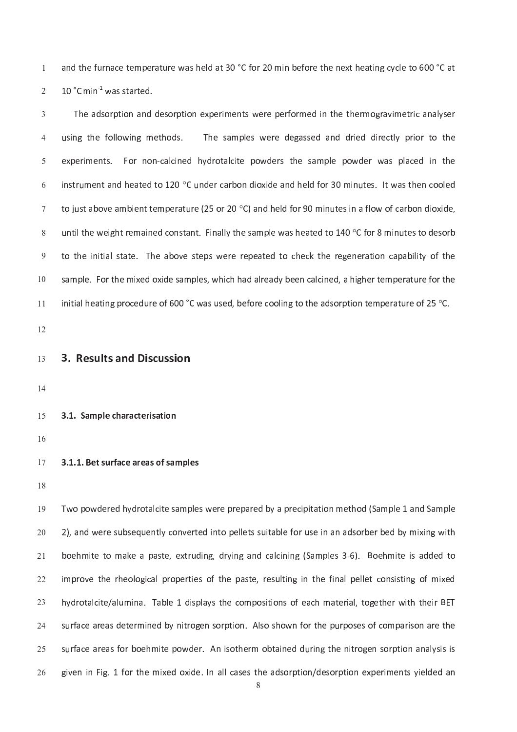r e vez an dialecta da transformación de la transformación de la transformación de la transformación de la tra 1 m i n k 1 w a s t a r t a r t a r t a r t a r t a r t a r t a r t a r t a r t a r t a r t a r t a r t a r t

The samples were degassed and dried directly prior to the instrument and heated to 120 °C under carbon dioxide and held for 30 minutes. It was then coole to just above ambient temperature (25 or 20  $^{\circ}$ C) and held for 90 minutes in a flow of carbon dioxide until the weight remained constant. Finally the sample was heated to 140 °C for 8 minutes to desor t o t o v e s t e  $r$  e  $r$  e  $r$  e a t e d t o c h e c k t h e r e r e r a t  $r$  i o n c a  $r$  i  $\alpha$  i  $\alpha$ r e m p l e s a m i c h a d a l r e a d a l r e e n e n e d a h i g h e r e r t e r e r a t e r a t e r a t e  $\overline{\phantom{a}}$ initial heating procedure of 600 °C was used, before cooling to the adsorption temperature of 25 °C 1 <sup>1</sup>

1 <sup>2</sup>

- 3 . <sup>R</sup> <sup>e</sup> <sup>s</sup> <sup>u</sup> <sup>l</sup> <sup>t</sup> <sup>s</sup> <sup>a</sup> <sup>n</sup> <sup>d</sup> <sup>D</sup> <sup>i</sup> <sup>s</sup> <sup>c</sup> <sup>u</sup> <sup>s</sup> <sup>s</sup> <sup>i</sup> <sup>o</sup> <sup>n</sup>  $\sim$
- $\overline{a}$
- 3 . <sup>1</sup> . <sup>S</sup> <sup>a</sup> <sup>m</sup> <sup>p</sup> <sup>l</sup> <sup>e</sup> <sup>c</sup> <sup>h</sup> <sup>a</sup> <sup>r</sup> <sup>a</sup> <sup>c</sup> <sup>t</sup> <sup>e</sup> <sup>r</sup> <sup>i</sup> <sup>s</sup> <sup>a</sup> <sup>t</sup> <sup>i</sup> <sup>o</sup> <sup>n</sup> 1 <sup>5</sup>

1 <sup>6</sup>

3 . 1 . B e a r e a r e a r e a r e a r e a r e a r e a r e a r e a r e a r e a r e a r e a r e a r e a m e a 1 7

-

1 <sup>9</sup> 2 ) , <sup>a</sup> <sup>n</sup> <sup>d</sup> <sup>w</sup> <sup>e</sup> <sup>r</sup> <sup>e</sup> <sup>s</sup> u b <sup>s</sup> <sup>e</sup> <sup>q</sup> u e <sup>n</sup> <sup>t</sup> <sup>l</sup> y <sup>c</sup> <sup>o</sup> <sup>n</sup> <sup>v</sup> <sup>e</sup> <sup>r</sup> <sup>t</sup> <sup>e</sup> <sup>d</sup> <sup>i</sup> <sup>n</sup> <sup>t</sup> <sup>o</sup> <sup>p</sup> <sup>e</sup> <sup>l</sup> <sup>l</sup> <sup>e</sup> <sup>t</sup> <sup>s</sup> <sup>s</sup> u i t <sup>a</sup> <sup>b</sup> <sup>l</sup> <sup>e</sup> <sup>f</sup> <sup>o</sup> <sup>r</sup> u s <sup>e</sup> <sup>i</sup> <sup>n</sup> <sup>a</sup> <sup>n</sup> <sup>a</sup> <sup>d</sup> <sup>s</sup> <sup>o</sup> <sup>r</sup> <sup>b</sup> <sup>e</sup> <sup>r</sup> <sup>b</sup> <sup>e</sup> <sup>d</sup> <sup>b</sup> <sup>y</sup> <sup>m</sup> <sup>i</sup> x <sup>i</sup> <sup>n</sup> <sup>g</sup> <sup>w</sup> <sup>i</sup> t <sup>h</sup>  $\sim$ d i n g a n g a n d r y i n g a n d a n d a n d a m a m p l e s a m p l e s a m a n d a m i t e i n d a m a m  $-2$ i m p r o l o f t i n a s t e s t e s t e s t e f i n t e f i n a l e t e t e t e t e s i s t e s t e s t e s 2 <sup>2</sup> h y d'an an t-ainm an chaill an t-ainm an t-ainm an t-ainm an t-ainm an t-ainm an t-ainm an t-ainm an t-ainm a  $\sim$ s f a r f a r e a r e a r e a r e a r e a r e a r e p a r e p a r e p a r e p a r e s o r e s o r e s o r e r  $-2$ s u r <sup>f</sup> <sup>a</sup> <sup>c</sup> <sup>e</sup> <sup>a</sup> <sup>r</sup> <sup>e</sup> <sup>a</sup> <sup>s</sup> <sup>f</sup> <sup>o</sup> <sup>r</sup> <sup>b</sup> <sup>o</sup> <sup>e</sup> <sup>h</sup> <sup>m</sup> <sup>i</sup> t <sup>e</sup> <sup>p</sup> <sup>o</sup> <sup>w</sup> <sup>d</sup> <sup>e</sup> <sup>r</sup> . <sup>A</sup> <sup>n</sup> <sup>i</sup> <sup>s</sup> <sup>o</sup> <sup>t</sup> <sup>h</sup> <sup>e</sup> <sup>r</sup> <sup>m</sup> <sup>o</sup> <sup>b</sup> <sup>t</sup> <sup>a</sup> <sup>i</sup> <sup>n</sup> <sup>e</sup> <sup>d</sup> <sup>d</sup> u r <sup>i</sup> <sup>n</sup> <sup>g</sup> <sup>t</sup> <sup>h</sup> <sup>e</sup> <sup>n</sup> <sup>i</sup> t <sup>r</sup> <sup>o</sup> <sup>g</sup> <sup>e</sup> <sup>n</sup> <sup>s</sup> <sup>o</sup> <sup>r</sup> <sup>p</sup> <sup>t</sup> <sup>i</sup> <sup>o</sup> <sup>n</sup> <sup>a</sup> <sup>n</sup> <sup>a</sup> <sup>l</sup> y <sup>s</sup> <sup>i</sup> <sup>s</sup> <sup>i</sup> <sup>s</sup>  $\sim$ g i v e n i d e m i d e s t h e a d s o r p t i o n e s o r p t i o n e s o r p t i o n e n t s y i e l d e d  $\sim$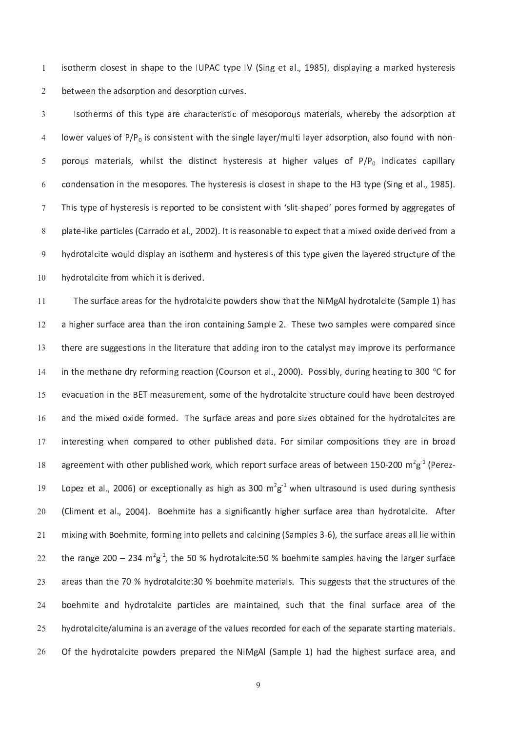$\mathbf{u} = \mathbf{u}$  , and the indicate the interest and  $\mathbf{u} = \mathbf{u}$  and  $\mathbf{u} = \mathbf{u}$  and  $\mathbf{u} = \mathbf{u}$  and  $\mathbf{u} = \mathbf{u}$ b e e a d s o r p t i o n d d e s o r p t i o n d e s o r p t i o n d e s o r p t i o n c s o r p t i o n c s

s o t h a r a t e r a t a r a c o c o r a t a r a t e r a t a l s o r a t a t a t a d s o r a t a d s o r a t lower values of  $P/P_0$  is consistent with the single laver/multi laver adsorption, also found with non porous materials, whilst the distinct hysteresis at higher values of P/P, indicates capillar c <sup>o</sup> <sup>n</sup> <sup>d</sup> <sup>e</sup> <sup>n</sup> <sup>s</sup> <sup>a</sup> <sup>t</sup> <sup>i</sup> <sup>o</sup> <sup>n</sup> <sup>i</sup> <sup>n</sup> <sup>t</sup> <sup>h</sup> <sup>e</sup> <sup>m</sup> <sup>e</sup> <sup>s</sup> <sup>o</sup> <sup>p</sup> <sup>o</sup> <sup>r</sup> <sup>e</sup> <sup>s</sup> . <sup>T</sup> <sup>h</sup> <sup>e</sup> <sup>h</sup> <sup>y</sup> <sup>s</sup> <sup>t</sup> <sup>e</sup> <sup>r</sup> <sup>e</sup> <sup>s</sup> <sup>i</sup> <sup>s</sup> <sup>i</sup> <sup>s</sup> <sup>c</sup> <sup>l</sup> <sup>o</sup> <sup>s</sup> <sup>e</sup> <sup>s</sup> <sup>t</sup> <sup>i</sup> <sup>n</sup> <sup>s</sup> <sup>h</sup> <sup>a</sup> <sup>p</sup> <sup>e</sup> <sup>t</sup> <sup>o</sup> <sup>t</sup> <sup>h</sup> <sup>e</sup> <sup>H</sup> <sup>3</sup> <sup>t</sup> <sup>y</sup> <sup>p</sup> <sup>e</sup> ( <sup>S</sup> <sup>i</sup> <sup>n</sup> <sup>g</sup> <sup>e</sup> <sup>t</sup> <sup>a</sup> <sup>l</sup> . , <sup>1</sup> 9 8 <sup>5</sup> ) . The second term is the second term in the second term in the second term in the second term in the second term in the second term in the second term in the second term in the second term in the second term in the second t ) . I a real of the set of the second contract the set of the set of the set of the set of the set of the set of the set of the set of the set of the set of the set of the set of the set of the set of the set of the set o un d d a n d a n d a n d a s o f t h e r e r e r e g i v e g i v e l a y e r e r e r e s t r e s t r e l a y e 1 <sup>0</sup>

The second contract of the second contract of the second contract of the second contract of the second contract of the  $\alpha$ 1 <sup>1</sup> a <sup>h</sup> <sup>i</sup> g <sup>h</sup> <sup>e</sup> <sup>r</sup> <sup>s</sup> u r <sup>f</sup> <sup>a</sup> <sup>c</sup> <sup>e</sup> <sup>a</sup> <sup>r</sup> <sup>e</sup> <sup>a</sup> <sup>t</sup> <sup>h</sup> <sup>a</sup> <sup>n</sup> <sup>t</sup> <sup>h</sup> <sup>e</sup> <sup>i</sup> <sup>r</sup> <sup>o</sup> <sup>n</sup> <sup>c</sup> <sup>o</sup> <sup>n</sup> <sup>t</sup> <sup>a</sup> <sup>i</sup> <sup>n</sup> <sup>i</sup> <sup>n</sup> <sup>g</sup> <sup>S</sup> <sup>a</sup> <sup>m</sup> <sup>p</sup> <sup>l</sup> <sup>e</sup> 2 . <sup>T</sup> <sup>h</sup> <sup>e</sup> <sup>s</sup> <sup>e</sup> <sup>t</sup> <sup>w</sup> <sup>o</sup> <sup>s</sup> <sup>a</sup> <sup>m</sup> <sup>p</sup> <sup>l</sup> <sup>e</sup> <sup>s</sup> <sup>w</sup> <sup>e</sup> <sup>r</sup> <sup>e</sup> <sup>c</sup> <sup>o</sup> <sup>m</sup> <sup>p</sup> <sup>a</sup> <sup>r</sup> <sup>e</sup> <sup>d</sup> <sup>s</sup> <sup>i</sup> <sup>n</sup> <sup>c</sup> <sup>e</sup> 1 <sup>2</sup> t <sup>h</sup> <sup>e</sup> <sup>r</sup> <sup>e</sup> <sup>a</sup> <sup>r</sup> <sup>e</sup> <sup>s</sup> u g <sup>g</sup> <sup>e</sup> <sup>s</sup> <sup>t</sup> <sup>i</sup> <sup>o</sup> <sup>n</sup> <sup>s</sup> <sup>i</sup> <sup>n</sup> <sup>t</sup> <sup>h</sup> <sup>e</sup> <sup>l</sup> <sup>i</sup> t <sup>e</sup> <sup>r</sup> <sup>a</sup> <sup>t</sup> u r <sup>e</sup> <sup>t</sup> <sup>h</sup> <sup>a</sup> <sup>t</sup> <sup>a</sup> <sup>d</sup> <sup>d</sup> <sup>i</sup> <sup>n</sup> <sup>g</sup> <sup>i</sup> <sup>r</sup> <sup>o</sup> <sup>n</sup> <sup>t</sup> <sup>o</sup> <sup>t</sup> <sup>h</sup> <sup>e</sup> <sup>c</sup> <sup>a</sup> <sup>t</sup> <sup>a</sup> <sup>l</sup> y <sup>s</sup> <sup>t</sup> <sup>m</sup> <sup>a</sup> <sup>y</sup> <sup>i</sup> <sup>m</sup> <sup>p</sup> <sup>r</sup> <sup>o</sup> <sup>v</sup> <sup>e</sup> <sup>i</sup> t <sup>s</sup> <sup>p</sup> <sup>e</sup> <sup>r</sup> <sup>f</sup> <sup>o</sup> <sup>r</sup> <sup>m</sup> <sup>a</sup> <sup>n</sup> <sup>c</sup> <sup>e</sup> 1 <sup>3</sup> in the methane dry reforming reaction (Courson et al., 2000). Possibly, during heating to 300 °C fo  $\overline{a}$ e v a t i o m e o f t h e h e h e h e h e h e h e s t r o t e s t r o t e s t r o t e s t r o t e s t r o t e 1 5 un f a c e a r f a r e a r e a s a n d p o r e s o r e s o b t a i t e s a r e s a r e h e h e h e s a r e s a  $\overline{a}$ i n t e r e r e r p a t a t a t a t a t a t a t a t a r e r e r e r e r e r e s i o n s t a r e v a r e i n b un de la corea de la corea de la corea de la corea de la corea de la corea de la corea de la corea de la corea - $\alpha$  in a subset of the second  $\alpha$  and  $\alpha$   $\beta$  -  $\beta$  . The second in the second in the second in the second in the second in the second in the second in the second in the second in the second in the second in the seco 1 <sup>9</sup>  $\epsilon$  . The set and interest and the result of the result of the result of the result of the result of the result of the result of the result of the result of the result of the result of the result of the result of the res  $\sim$  $\mathbf{r} = \mathbf{r}$  is a construction of the set of a substitution of the set of the set of the set of the set of the set of the set of the set of the set of the set of the set of the set of the set of the set of the set of t  $-2$ t h e seus de la region de la companyación de la regional de la regional de la regional de la regional de la r  $\sim$ : التقاعد التي تقدم التي تقدم التي تقدم التي تقدم التي تقدم التي تقدم التي تقدم التي تقدم التي التي تقدم التي ت 2 <sup>3</sup> r f a r a r t i c l e s a r e m a i n e d e d e d e d e d e d e f i n e f i n e d e d e d e d e d e d e d e d  $\sim$ n i n a i t e v a l c'hall a r e v a r e v a r e v a r e v a r e v a r e v a r e v a r e v a r e r e r e r e r  $\sim$  $\sim$  0 km s p  $\sim$  1 km s and the set of the set of the set of the set of the set of the set of the set of the set of the set of the set of the set of the set of the set of the set of the set of the set of the set of the  $\sim$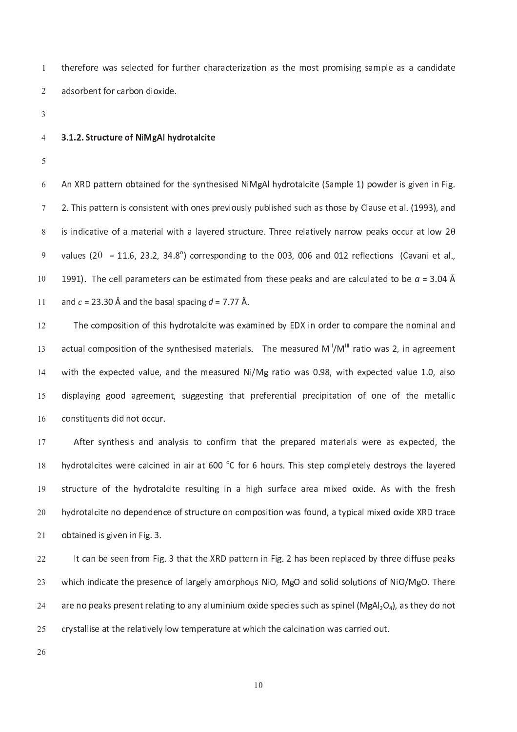t t h e r c h a r a r a r a r a r a t i o n a s t h e m o s t p r o m i s i n g s a m p l e a s a m d a t e a a d s o r b e n t f o r b e n t f o r b o  $r$  b o  $r$  b o n d i o  $r$  i d e .

## 3 . <sup>1</sup> . <sup>2</sup> . <sup>S</sup> <sup>t</sup> <sup>r</sup> <sup>u</sup> <sup>c</sup> <sup>t</sup> <sup>u</sup> <sup>r</sup> <sup>e</sup> <sup>o</sup> <sup>f</sup> <sup>N</sup> <sup>i</sup> <sup>M</sup> <sup>g</sup> <sup>A</sup> <sup>l</sup> <sup>h</sup> <sup>y</sup> <sup>d</sup> <sup>r</sup> <sup>o</sup> <sup>t</sup> <sup>a</sup> <sup>l</sup> <sup>c</sup> <sup>i</sup> t <sup>e</sup>

2 . <sup>T</sup> <sup>h</sup> <sup>i</sup> <sup>s</sup> <sup>p</sup> <sup>a</sup> <sup>t</sup> <sup>t</sup> <sup>e</sup> <sup>r</sup> <sup>n</sup> <sup>i</sup> <sup>s</sup> <sup>c</sup> <sup>o</sup> <sup>n</sup> <sup>s</sup> <sup>i</sup> <sup>s</sup> <sup>t</sup> <sup>e</sup> <sup>n</sup> <sup>t</sup> <sup>w</sup> <sup>i</sup> t <sup>h</sup> <sup>o</sup> <sup>n</sup> <sup>e</sup> <sup>s</sup> <sup>p</sup> <sup>r</sup> <sup>e</sup> <sup>v</sup> <sup>i</sup> <sup>o</sup> u s <sup>l</sup> y <sup>p</sup> u b <sup>l</sup> <sup>i</sup> <sup>s</sup> <sup>h</sup> <sup>e</sup> <sup>d</sup> <sup>s</sup> u c <sup>h</sup> <sup>a</sup> <sup>s</sup> <sup>t</sup> <sup>h</sup> <sup>o</sup> <sup>s</sup> <sup>e</sup> <sup>b</sup> <sup>y</sup> <sup>C</sup> <sup>l</sup> <sup>a</sup> u s <sup>e</sup> <sup>e</sup> <sup>t</sup> <sup>a</sup> <sup>l</sup> . ( <sup>1</sup> 9 <sup>9</sup> 3 ) , <sup>a</sup> <sup>n</sup> <sup>d</sup> is indicative of a material with a layered structure. Three relatively narrow peaks occur at low 2 $\theta$ values (2 $\theta$  = 11.6, 23.2, 34.8°) corresponding to the 003, 006 and 012 reflections (Cavani et al. العدة البارات السابقة، والتي تقدم المعاملة المعاملة المعاملة المعاملة المعاملة المعاملة المعاملة المعاملة المع  $\overline{\phantom{a}}$ . 3 . 3 . 1 . 1 . 1 . 1 . 2 . 2 1 <sup>1</sup>

1 <sup>2</sup> ل المساحد التي تعالى المساحد التي تعالى المساحد التي تعالى المساحد التي تعالى المساحد التي تعالى المساحد التي ت  $\sim$ w <sup>i</sup> t <sup>h</sup> <sup>t</sup> <sup>h</sup> <sup>e</sup> <sup>e</sup> <sup>x</sup> <sup>p</sup> <sup>e</sup> <sup>c</sup> <sup>t</sup> <sup>e</sup> <sup>d</sup> <sup>v</sup> <sup>a</sup> <sup>l</sup> u e , <sup>a</sup> <sup>n</sup> <sup>d</sup> <sup>t</sup> <sup>h</sup> <sup>e</sup> <sup>m</sup> <sup>e</sup> <sup>a</sup> <sup>s</sup> u r <sup>e</sup> <sup>d</sup> <sup>N</sup> <sup>i</sup> / <sup>M</sup> <sup>g</sup> <sup>r</sup> <sup>a</sup> <sup>t</sup> <sup>i</sup> <sup>o</sup> <sup>w</sup> <sup>a</sup> <sup>s</sup> 0 . 9 8 , <sup>w</sup> <sup>i</sup> t <sup>h</sup> <sup>e</sup> <sup>x</sup> <sup>p</sup> <sup>e</sup> <sup>c</sup> <sup>t</sup> <sup>e</sup> <sup>d</sup> <sup>v</sup> <sup>a</sup> <sup>l</sup> u e <sup>1</sup> . 0 , <sup>a</sup> <sup>l</sup> <sup>s</sup> <sup>o</sup> 1 <sup>4</sup>  $\alpha$  , such a s t i n g o o o d a t p i t a t i a t i p i t a t i o f o f o f o f o f o f t h e m e t a l i c i  $\alpha$ 1 5 c <sup>o</sup> <sup>n</sup> <sup>s</sup> <sup>t</sup> <sup>i</sup> t u e <sup>n</sup> <sup>t</sup> <sup>s</sup> <sup>d</sup> <sup>i</sup> <sup>d</sup> <sup>n</sup> <sup>o</sup> <sup>t</sup> <sup>o</sup> <sup>c</sup> <sup>c</sup> u r .  $\overline{a}$ 

1 7 h y d r o r o r a i r a t a c o m p l e t e s t e s t e s t e l e t e s t e s t e s t e s t e l e l e l e l e us t r e c'hantar a r e s a r o t a r o t a r e s a r e a r e s a r e s e s e . A s w i d e . A s w i t e s h 1 <sup>9</sup> und a l c i t a t red o d e n o d e n o n a t a t red o x i d e a t a t red o x i d e a t a t red o x i d e a  $\sim$  $\sim$ 

ا مع الله عنه الله عليه الله عليه الله عليه الله عنه الله عنه الله عنه الله عنه الله عنه الله عنه الله عنه الل  $\sim$  $\alpha$  is a regular point of the p  $\alpha$  in the p  $\alpha$  in the regular point of  $\alpha$  in the regular point of  $\alpha$  in the regular point of  $\alpha$  in the regular point of  $\alpha$  in the regular point of  $\alpha$  in the regular point of  $\sim$ a <sup>r</sup> <sup>e</sup> <sup>n</sup> <sup>o</sup> <sup>p</sup> <sup>e</sup> <sup>a</sup> <sup>k</sup> <sup>s</sup> <sup>p</sup> <sup>r</sup> <sup>e</sup> <sup>s</sup> <sup>e</sup> <sup>n</sup> <sup>t</sup> <sup>r</sup> <sup>e</sup> <sup>l</sup> <sup>a</sup> <sup>t</sup> <sup>i</sup> <sup>n</sup> <sup>g</sup> <sup>t</sup> <sup>o</sup> <sup>a</sup> <sup>n</sup> <sup>y</sup> <sup>a</sup> <sup>l</sup> u m <sup>i</sup> <sup>n</sup> <sup>i</sup> u m <sup>o</sup> <sup>x</sup> <sup>i</sup> <sup>d</sup> <sup>e</sup> <sup>s</sup> <sup>p</sup> <sup>e</sup> <sup>c</sup> <sup>i</sup> <sup>e</sup> <sup>s</sup> <sup>s</sup> u c <sup>h</sup> <sup>a</sup> <sup>s</sup> <sup>s</sup> <sup>p</sup> <sup>i</sup> <sup>n</sup> <sup>e</sup> <sup>l</sup> ( <sup>M</sup> <sup>g</sup> <sup>A</sup> <sup>l</sup> 2 <sup>O</sup> <sup>4</sup> ) , <sup>a</sup> <sup>s</sup> <sup>t</sup> <sup>h</sup> <sup>e</sup> <sup>y</sup> <sup>d</sup> <sup>o</sup> <sup>n</sup> <sup>o</sup> <sup>t</sup>  $\sim$ c r y s t t w h i v e m p e r a t w t e r a t w a t w a t w a t t e c a r r i e d o n w a r r i e d o n w a r r  $\sim$ 

 $\sim$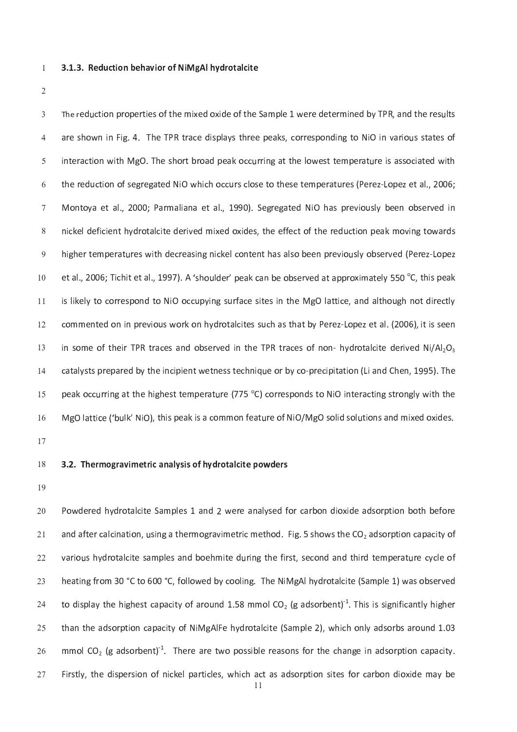3 . <sup>1</sup> . <sup>3</sup> . <sup>R</sup> <sup>e</sup> <sup>d</sup> <sup>u</sup> <sup>c</sup> <sup>t</sup> <sup>i</sup> <sup>o</sup> <sup>n</sup> <sup>b</sup> <sup>e</sup> <sup>h</sup> <sup>a</sup> <sup>v</sup> <sup>i</sup> <sup>o</sup> <sup>r</sup> <sup>o</sup> <sup>f</sup> <sup>N</sup> <sup>i</sup> <sup>M</sup> <sup>g</sup> <sup>A</sup> <sup>l</sup> <sup>h</sup> <sup>y</sup> <sup>d</sup> <sup>r</sup> <sup>o</sup> <sup>t</sup> <sup>a</sup> <sup>l</sup> <sup>c</sup> <sup>i</sup> t <sup>e</sup>

t e r o f t h e m i d e o f t h e s a m p l e t h e r e t e t e r e r m i n e d b y T P R , a n d t h e r e r e . T h o w n i s p l a y s t a t a k s t o r e a k s p o n d i n d i n d i o n d i o i n v a r i o r e s o r e s r r i n a d p e a t t a t t a t t a t t a t t a t t a t t e m p e r a t t e r a t a t a t a t a t a t a t a t un contra contra termente de la contra termente de la contra de la contra de la contra de la contra de la cont  $\mathbf{P}$  , and  $\mathbf{P}$  is the set of  $\mathbf{P}$  in the set of  $\mathbf{P}$  is the set of  $\mathbf{P}$  is the set of  $\mathbf{P}$  is the set of  $\mathbf{P}$  is the set of  $\mathbf{P}$  is the set of  $\mathbf{P}$  is the set of  $\mathbf{P}$  is the set of n i c a l de r o t a l c i d e s , t h e s , t h e f e r e r e r e r e r e r e d e r e s s s s s s s s s s s s h i g h e r e r a s a s a s a s a l o b e e n a s a l o b e e r e v i o b e r e r e s a l o b e r e r e r e r  $\mathbf{r} = \mathbf{r} \cdot \mathbf{r}$  ,  $\mathbf{r} = \mathbf{r} \cdot \mathbf{r}$  ,  $\mathbf{r} = \mathbf{r} \cdot \mathbf{r}$  ,  $\mathbf{r} = \mathbf{r} \cdot \mathbf{r}$  ,  $\mathbf{r} = \mathbf{r} \cdot \mathbf{r}$  ,  $\mathbf{r} = \mathbf{r} \cdot \mathbf{r}$  ,  $\mathbf{r} = \mathbf{r} \cdot \mathbf{r}$  ,  $\mathbf{r} = \mathbf{r} \cdot \mathbf{r}$  ,  $\mathbf{r} = \mathbf{r$ 1 <sup>0</sup> i <sup>s</sup> <sup>l</sup> <sup>i</sup> <sup>k</sup> <sup>e</sup> <sup>l</sup> y <sup>t</sup> <sup>o</sup> <sup>c</sup> <sup>o</sup> <sup>r</sup> <sup>r</sup> <sup>e</sup> <sup>s</sup> <sup>p</sup> <sup>o</sup> <sup>n</sup> <sup>d</sup> <sup>t</sup> <sup>o</sup> <sup>N</sup> <sup>i</sup> <sup>O</sup> <sup>o</sup> <sup>c</sup> <sup>c</sup> u p <sup>y</sup> <sup>i</sup> <sup>n</sup> <sup>g</sup> <sup>s</sup> u r <sup>f</sup> <sup>a</sup> <sup>c</sup> <sup>e</sup> <sup>s</sup> <sup>i</sup> t <sup>e</sup> <sup>s</sup> <sup>i</sup> <sup>n</sup> <sup>t</sup> <sup>h</sup> <sup>e</sup> <sup>M</sup> <sup>g</sup> <sup>O</sup> <sup>l</sup> <sup>a</sup> <sup>t</sup> <sup>t</sup> <sup>i</sup> <sup>c</sup> <sup>e</sup> , <sup>a</sup> <sup>n</sup> <sup>d</sup> <sup>a</sup> <sup>l</sup> t <sup>h</sup> <sup>o</sup> u g <sup>h</sup> <sup>n</sup> <sup>o</sup> <sup>t</sup> <sup>d</sup> <sup>i</sup> <sup>r</sup> <sup>e</sup> <sup>c</sup> <sup>t</sup> <sup>l</sup> y 1 <sup>1</sup> un e n h y de seul c'hoarier a seul c'hoarier a la seul c'hoarier a la seul a t a seul a t a seul a seul a se 1 <sup>2</sup> 1 <sup>3</sup> c <sup>a</sup> <sup>t</sup> <sup>a</sup> <sup>l</sup> y <sup>s</sup> <sup>t</sup> <sup>s</sup> <sup>p</sup> <sup>r</sup> <sup>e</sup> <sup>p</sup> <sup>a</sup> <sup>r</sup> <sup>e</sup> <sup>d</sup> <sup>b</sup> <sup>y</sup> <sup>t</sup> <sup>h</sup> <sup>e</sup> <sup>i</sup> <sup>n</sup> <sup>c</sup> <sup>i</sup> <sup>p</sup> <sup>i</sup> <sup>e</sup> <sup>n</sup> <sup>t</sup> <sup>w</sup> <sup>e</sup> <sup>t</sup> <sup>n</sup> <sup>e</sup> <sup>s</sup> <sup>s</sup> <sup>t</sup> <sup>e</sup> <sup>c</sup> <sup>h</sup> <sup>n</sup> <sup>i</sup> <sup>q</sup> u e <sup>o</sup> <sup>r</sup> <sup>b</sup> <sup>y</sup> <sup>c</sup> <sup>o</sup> ` <sup>p</sup> <sup>r</sup> <sup>e</sup> <sup>c</sup> <sup>i</sup> <sup>p</sup> <sup>i</sup> t <sup>a</sup> <sup>t</sup> <sup>i</sup> <sup>o</sup> <sup>n</sup> ( <sup>L</sup> <sup>i</sup> <sup>a</sup> <sup>n</sup> <sup>d</sup> <sup>C</sup> <sup>h</sup> <sup>e</sup> <sup>n</sup> , <sup>1</sup> 9 <sup>9</sup> 5 ) . <sup>T</sup> <sup>h</sup> <sup>e</sup>  $\overline{a}$ p <sup>e</sup> <sup>a</sup> <sup>k</sup> <sup>o</sup> <sup>c</sup> <sup>c</sup> u r <sup>r</sup> <sup>i</sup> <sup>n</sup> <sup>g</sup> <sup>a</sup> <sup>t</sup> <sup>t</sup> <sup>h</sup> <sup>e</sup> <sup>h</sup> <sup>i</sup> g <sup>h</sup> <sup>e</sup> <sup>s</sup> <sup>t</sup> <sup>t</sup> <sup>e</sup> <sup>m</sup> <sup>p</sup> <sup>e</sup> <sup>r</sup> <sup>a</sup> <sup>t</sup> u r <sup>e</sup> ( <sup>7</sup> <sup>7</sup> <sup>5</sup> o C ) <sup>c</sup> <sup>o</sup> <sup>r</sup> <sup>r</sup> <sup>e</sup> <sup>s</sup> <sup>p</sup> <sup>o</sup> <sup>n</sup> <sup>d</sup> <sup>s</sup> <sup>t</sup> <sup>o</sup> <sup>N</sup> <sup>i</sup> <sup>O</sup> <sup>i</sup> <sup>n</sup> <sup>t</sup> <sup>e</sup> <sup>r</sup> <sup>a</sup> <sup>c</sup> <sup>t</sup> <sup>i</sup> <sup>n</sup> <sup>g</sup> <sup>s</sup> <sup>t</sup> <sup>r</sup> <sup>o</sup> <sup>n</sup> <sup>g</sup> <sup>l</sup> y <sup>w</sup> <sup>i</sup> t <sup>h</sup> <sup>t</sup> <sup>h</sup> <sup>e</sup> 1 5  $\epsilon$  , the contract in the second  $\epsilon$  is a second of the second of the second of the second of the second of the second of the second of the second of the second of the second of the second of the second of the second of 1 <sup>6</sup>

-

#### 3 . 2 . 2 . T a n a n a n a n a l c i t e r o t a n a n a l y d r o w d r o w d r o w d r o w d r o w d r o w -

1 <sup>9</sup>

w e r e r e s 1 a n d i o r e a n a n a n d i o r e a r b o n d i o x i d e a d s o r p t i o t d i o t o r e  $\sim$ a f t e r a t i o g r a t i o d . F i g a t i g a t i o d a c i t y o d s o r p t i o d s o r p a c i t y o f  $\sim$ v a r i n d r o t a n d a n d a n d a n d a n d a n d a n d a n d a n d t e m p e r a t e r a t e r a n d a n d  $\sim$  $\mathbf{r} = \mathbf{r} = \mathbf{r} = \mathbf{r} = \mathbf{r} = \mathbf{r} = \mathbf{r} = \mathbf{r} = \mathbf{r} = \mathbf{r} = \mathbf{r} = \mathbf{r} = \mathbf{r} = \mathbf{r} = \mathbf{r} = \mathbf{r} = \mathbf{r} = \mathbf{r} = \mathbf{r} = \mathbf{r} = \mathbf{r} = \mathbf{r} = \mathbf{r} = \mathbf{r} = \mathbf{r} = \mathbf{r} = \mathbf{r} = \mathbf{r} = \mathbf{r} = \mathbf{r} = \mathbf{r} = \mathbf$  $\sim$  $\alpha$  . The finite state of a r or or  $\alpha$  is the sound of  $\alpha$  in the r or  $\alpha$  is the r or  $\alpha$  -r or  $\alpha$  is the r or  $\alpha$  $\sim$ يعاد الرابط المستقبل المستقبل المستقبل المستقبل المستقبل المستقبل المستقبل المستقبل المستقبل المستقبل المستقبل  $\sim$ m o l  $\alpha$  i b l e r e s s i b l e r e a s o n s f o r t h e c h a n g e i n a d s o r p t i o n c a  $\alpha$  $\sim$  $\sim$ 

1 <sup>1</sup>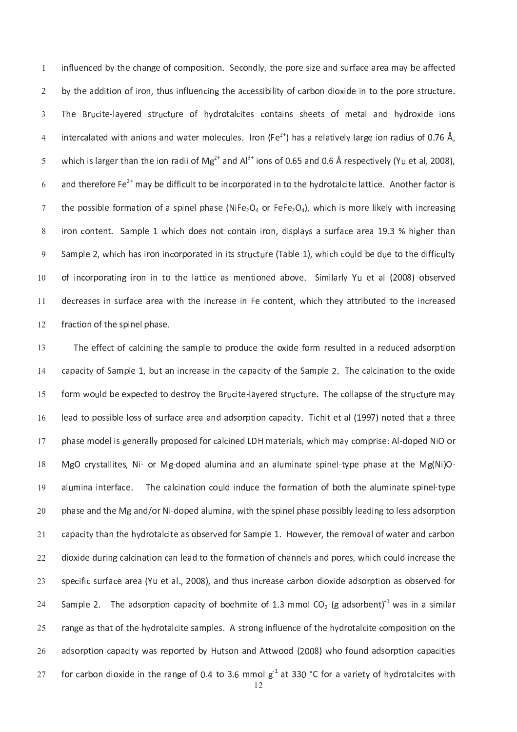r f a c o s i t i o n d l y , t h e p o r e p o r e s i d s e a n d s e a n d s e a r e a r e a f e a f e a f b <sup>y</sup> <sup>t</sup> <sup>h</sup> <sup>e</sup> <sup>a</sup> <sup>d</sup> <sup>d</sup> <sup>i</sup> t <sup>i</sup> <sup>o</sup> <sup>n</sup> <sup>o</sup> <sup>f</sup> <sup>i</sup> <sup>r</sup> <sup>o</sup> <sup>n</sup> , <sup>t</sup> <sup>h</sup> u s <sup>i</sup> <sup>n</sup> <sup>f</sup> <sup>l</sup> u e <sup>n</sup> <sup>c</sup> <sup>i</sup> <sup>n</sup> <sup>g</sup> <sup>t</sup> <sup>h</sup> <sup>e</sup> <sup>a</sup> <sup>c</sup> <sup>c</sup> <sup>e</sup> <sup>s</sup> <sup>s</sup> <sup>i</sup> <sup>b</sup> <sup>i</sup> <sup>l</sup> <sup>i</sup> t <sup>y</sup> <sup>o</sup> <sup>f</sup> <sup>c</sup> <sup>a</sup> <sup>r</sup> <sup>b</sup> <sup>o</sup> <sup>n</sup> <sup>d</sup> <sup>i</sup> <sup>o</sup> <sup>x</sup> <sup>i</sup> <sup>d</sup> <sup>e</sup> <sup>i</sup> <sup>n</sup> <sup>t</sup> <sup>o</sup> <sup>t</sup> <sup>h</sup> <sup>e</sup> <sup>p</sup> <sup>o</sup> <sup>r</sup> <sup>e</sup> <sup>s</sup> <sup>t</sup> <sup>r</sup> u c <sup>t</sup> u r <sup>e</sup> . —r e o f h y d r o t a l c i t e t a l a n d a i n s h e e t e t a l a n d e t a n d r o n d r o a n d r o n s i <sup>n</sup> <sup>t</sup> <sup>e</sup> <sup>r</sup> <sup>c</sup> <sup>a</sup> <sup>l</sup> <sup>a</sup> <sup>t</sup> <sup>e</sup> <sup>d</sup> <sup>w</sup> <sup>i</sup> t <sup>h</sup> <sup>a</sup> <sup>n</sup> <sup>i</sup> <sup>o</sup> <sup>n</sup> <sup>s</sup> <sup>a</sup> <sup>n</sup> <sup>d</sup> <sup>w</sup> <sup>a</sup> <sup>t</sup> <sup>e</sup> <sup>r</sup> <sup>m</sup> <sup>o</sup> <sup>l</sup> <sup>e</sup> <sup>c</sup> u l <sup>e</sup> <sup>s</sup> . <sup>I</sup> <sup>r</sup> <sup>o</sup> <sup>n</sup> ( <sup>F</sup> <sup>e</sup> ) <sup>h</sup> <sup>a</sup> <sup>s</sup> <sup>a</sup> <sup>r</sup> <sup>e</sup> <sup>l</sup> <sup>a</sup> <sup>t</sup> <sup>i</sup> v <sup>e</sup> <sup>l</sup> y <sup>l</sup> <sup>a</sup> <sup>r</sup> <sup>g</sup> <sup>e</sup> <sup>i</sup> <sup>o</sup> <sup>n</sup> <sup>r</sup> <sup>a</sup> <sup>d</sup> <sup>i</sup> u s <sup>o</sup> <sup>f</sup> 0 . <sup>7</sup> 6 <sup>Å</sup> , w <sup>h</sup> <sup>i</sup> <sup>c</sup> <sup>h</sup> <sup>i</sup> <sup>s</sup> <sup>l</sup> <sup>a</sup> <sup>r</sup> <sup>g</sup> <sup>e</sup> <sup>r</sup> <sup>t</sup> <sup>h</sup> <sup>a</sup> <sup>n</sup> <sup>t</sup> <sup>h</sup> <sup>e</sup> <sup>i</sup> <sup>o</sup> <sup>n</sup> <sup>r</sup> <sup>a</sup> <sup>d</sup> <sup>i</sup> <sup>i</sup> <sup>o</sup> <sup>f</sup> <sup>M</sup> <sup>g</sup> a <sup>n</sup> <sup>d</sup> <sup>A</sup> <sup>l</sup> i <sup>o</sup> <sup>n</sup> <sup>s</sup> <sup>o</sup> <sup>f</sup> 0 . 6 5 <sup>a</sup> <sup>n</sup> <sup>d</sup> 0 . 6 <sup>Å</sup> r <sup>e</sup> <sup>s</sup> <sup>p</sup> <sup>e</sup> <sup>c</sup> <sup>t</sup> <sup>i</sup> v <sup>e</sup> <sup>l</sup> y ( <sup>Y</sup> u e <sup>t</sup> <sup>a</sup> <sup>l</sup> , 2 <sup>0</sup> <sup>0</sup> 8 ) , and the finite or product the set of the set of the set of the set of the set of the set of the set of the set o i <sup>r</sup> <sup>o</sup> <sup>n</sup> <sup>c</sup> <sup>o</sup> <sup>n</sup> <sup>t</sup> <sup>e</sup> <sup>n</sup> <sup>t</sup> . <sup>S</sup> <sup>a</sup> <sup>m</sup> <sup>p</sup> <sup>l</sup> <sup>e</sup> <sup>1</sup> <sup>w</sup> <sup>h</sup> <sup>i</sup> <sup>c</sup> <sup>h</sup> <sup>d</sup> <sup>o</sup> <sup>e</sup> <sup>s</sup> <sup>n</sup> <sup>o</sup> <sup>t</sup> <sup>c</sup> <sup>o</sup> <sup>n</sup> <sup>t</sup> <sup>a</sup> <sup>i</sup> <sup>n</sup> <sup>i</sup> <sup>r</sup> <sup>o</sup> <sup>n</sup> , <sup>d</sup> <sup>i</sup> <sup>s</sup> <sup>p</sup> <sup>l</sup> <sup>a</sup> <sup>y</sup> <sup>s</sup> <sup>a</sup> <sup>s</sup> u r <sup>f</sup> <sup>a</sup> <sup>c</sup> <sup>e</sup> <sup>a</sup> <sup>r</sup> <sup>e</sup> <sup>a</sup> <sup>1</sup> 9 . <sup>3</sup> % <sup>h</sup> <sup>i</sup> g <sup>h</sup> <sup>e</sup> <sup>r</sup> <sup>t</sup> <sup>h</sup> <sup>a</sup> <sup>n</sup> s a m p l e d i n i t r o r a t r o r a b l e d i n i t e d i t e d i t e d i t e d i t e d i t e d i t e d i o r p o r a t a t i c e a s m e n t i o n e l a b o v e . S i m i l a r l y y l a r l y l a b o v e l a r l y 1 <sup>0</sup> d e c'herneg ar f a r e a r e a r e n t e n t e n t e n t e v a t t r e v a t r e v a t r e v a t r e v a t r 1 <sup>1</sup> f r a c t i o f t i o f t i o f t h e s p i o f t h e s p i n e s e s e s e s e s e s p i n e l p h a s e . 1 <sup>2</sup>

— e s a m p l e t o d a r o d e f o r e o d e f o r e f o r e f o r e f o r e d e f o r e f o r e f o r e f o r 1 <sup>3</sup> t a n i n i n t t a m p l e c a c i t y o f t h e s a m p l e c a c a c i t e c a t i t e o t t e o t t e o t t  $\overline{a}$ r a vez t r o d t e s t r o d e s t r e s t r e s t r e s t r e s t r e s e o f t h e s t r e s t r e s t r e s 1 5 r f a r e a n d a d s o r p t i o n c a c i t a c i t a t e t a c i t e t a l ( 1 d a c i t e t a t a t a t a 1 <sup>6</sup> : A s e d o r a l l i n e d l d d d a l d a l d a l s e r i a l d a g e r i s e r i s e r i s e r i a l s e d -M <sup>g</sup> <sup>O</sup> <sup>c</sup> <sup>r</sup> <sup>y</sup> <sup>s</sup> <sup>t</sup> <sup>a</sup> <sup>l</sup> <sup>l</sup> <sup>i</sup> t <sup>e</sup> <sup>s</sup> , <sup>N</sup> <sup>i</sup> ` <sup>o</sup> <sup>r</sup> <sup>M</sup> <sup>g</sup> ` <sup>d</sup> <sup>o</sup> <sup>p</sup> <sup>e</sup> <sup>d</sup> <sup>a</sup> <sup>l</sup> u m <sup>i</sup> <sup>n</sup> <sup>a</sup> <sup>a</sup> <sup>n</sup> <sup>d</sup> <sup>a</sup> <sup>n</sup> <sup>a</sup> <sup>l</sup> u m <sup>i</sup> <sup>n</sup> <sup>a</sup> <sup>t</sup> <sup>e</sup> <sup>s</sup> <sup>p</sup> <sup>i</sup> <sup>n</sup> <sup>e</sup> <sup>l</sup> ` <sup>t</sup> <sup>y</sup> <sup>p</sup> <sup>e</sup> <sup>p</sup> <sup>h</sup> <sup>a</sup> <sup>s</sup> <sup>e</sup> <sup>a</sup> <sup>t</sup> <sup>t</sup> <sup>h</sup> <sup>e</sup> <sup>M</sup> <sup>g</sup> ( <sup>N</sup> <sup>i</sup> ) <sup>O</sup> ` a <sup>l</sup> u mun a t o n a t i n d i n d i o t a t a t o r m a t i o n o f b o t d i o t a l d i o t a t e s p i o t a t a t 1 <sup>9</sup> m i n a s e a s e a s e s e s p i n e l p h a s e p o s e p o s i b l e a d i n e s a d s a d s o r p t i o n  $\sim$  $\sim$  $\alpha$  in a l c a contract of the f or more contract of the f or expectation of the f or  $\alpha$  in the f or expectation of  $\alpha$  $\sim$ ي الم الماضي المسلمات الماضي المسلمات المسلمات المن الماضي المسلمات المسلمات المسلمات المسلمات المسلمات المسلم  $\sim$ S a m p l e a c i t o c i t e o f a c i t e o f a c i n a s i m i l a d s o r b e n t i n a s i m i l a r b e n  $\sim$ r a n g e a m p l e s a m p l e s a m p o n f l e s a m p o n d r o t a l e c o m p o s i t e c o n o n o n t  $\sim$ a d a t t e d b y t a n d a t t y w a t t w a t t i o d a t t i t i s o r p a t t i t i o d a t t i t i e s o  $\sim$  $\epsilon$  and  $\epsilon$  is the second state of the second  $\epsilon$  is the second state of the second state  $\epsilon$  $\sim$ 

<sup>2</sup>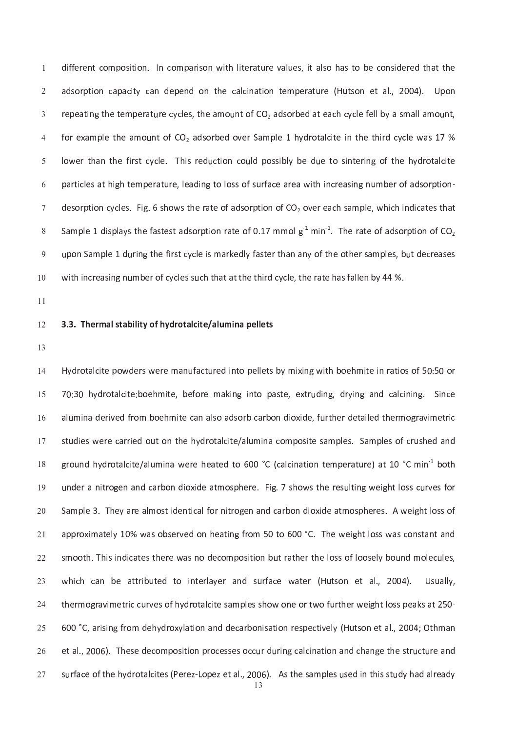$\mathbf{u}$  and  $\mathbf{v}$  are very assumed to the result of the results of the results of the results of the results of the results of the results of the results of the results of the results of the results of the results of a n d o r p e n d o n t a l c i n a t i o n t e m p e r a t e r a t e r a t e m p e r a t e r a t e r a t e r r <sup>e</sup> <sup>p</sup> <sup>e</sup> <sup>a</sup> <sup>t</sup> <sup>i</sup> <sup>n</sup> <sup>g</sup> <sup>t</sup> <sup>h</sup> <sup>e</sup> <sup>t</sup> <sup>e</sup> <sup>m</sup> <sup>p</sup> <sup>e</sup> <sup>r</sup> <sup>a</sup> <sup>t</sup> u r <sup>e</sup> <sup>c</sup> <sup>y</sup> <sup>c</sup> <sup>l</sup> <sup>e</sup> <sup>s</sup> , <sup>t</sup> <sup>h</sup> <sup>e</sup> <sup>a</sup> <sup>m</sup> <sup>o</sup> u n <sup>t</sup> <sup>o</sup> <sup>f</sup> <sup>C</sup> <sup>O</sup> <sup>2</sup> <sup>a</sup> <sup>d</sup> <sup>s</sup> <sup>o</sup> <sup>r</sup> <sup>b</sup> <sup>e</sup> <sup>d</sup> <sup>a</sup> <sup>t</sup> <sup>e</sup> <sup>a</sup> <sup>c</sup> <sup>h</sup> <sup>c</sup> <sup>y</sup> <sup>c</sup> <sup>l</sup> <sup>e</sup> <sup>f</sup> <sup>e</sup> <sup>l</sup> <sup>l</sup> <sup>b</sup> <sup>y</sup> <sup>a</sup> <sup>s</sup> <sup>m</sup> <sup>a</sup> <sup>l</sup> <sup>l</sup> <sup>a</sup> <sup>m</sup> <sup>o</sup> u n <sup>t</sup> , n t o f c o s o r b e d o v e r o v e r b e t e t e t e t a l c i t e i t e t h e t h e t h e t e w a s 1 y d l o n t i a n t a n t o n c o n c o s i s i d r o t a l e d r o t a l e r i d r o f t e h e h e h e h e h e h un e s a c e a c a r a c a r a c e a r a r e a r e a w i n c r e a s i n g n e a s i n e r e a s i n e a s i o  $\alpha$  . For a t constant  $\alpha$  is the set of a set of a set of a set of a m p l e s o f a t e s t h a t e s t h a t e s t h a t e s t h a t e s t h a t e s t h a t e s t h a t e s t h a t e s t h a t e s t h a t e s t h a t S <sup>a</sup> <sup>m</sup> <sup>p</sup> <sup>l</sup> <sup>e</sup> <sup>1</sup> <sup>d</sup> <sup>i</sup> <sup>s</sup> <sup>p</sup> <sup>l</sup> <sup>a</sup> <sup>y</sup> <sup>s</sup> <sup>t</sup> <sup>h</sup> <sup>e</sup> <sup>f</sup> <sup>a</sup> <sup>s</sup> <sup>t</sup> <sup>e</sup> <sup>s</sup> <sup>t</sup> <sup>a</sup> <sup>d</sup> <sup>s</sup> <sup>o</sup> <sup>r</sup> <sup>p</sup> <sup>t</sup> <sup>i</sup> <sup>o</sup> <sup>n</sup> <sup>r</sup> <sup>a</sup> <sup>t</sup> <sup>e</sup> <sup>o</sup> <sup>f</sup> 0 . <sup>1</sup> <sup>7</sup> <sup>m</sup> <sup>m</sup> <sup>o</sup> <sup>l</sup> <sup>g</sup> <sup>k</sup> <sup>1</sup> <sup>m</sup> <sup>i</sup> <sup>n</sup> <sup>k</sup> <sup>1</sup> . <sup>T</sup> <sup>h</sup> <sup>e</sup> <sup>r</sup> <sup>a</sup> <sup>t</sup> <sup>e</sup> <sup>o</sup> <sup>f</sup> <sup>a</sup> <sup>d</sup> <sup>s</sup> <sup>o</sup> <sup>r</sup> <sup>p</sup> <sup>t</sup> <sup>i</sup> <sup>o</sup> <sup>n</sup> <sup>o</sup> <sup>f</sup> <sup>C</sup> <sup>O</sup> <sup>2</sup> u p <sup>o</sup> <sup>n</sup> <sup>S</sup> <sup>a</sup> <sup>m</sup> <sup>p</sup> <sup>l</sup> <sup>e</sup> <sup>1</sup> <sup>d</sup> u r <sup>i</sup> <sup>n</sup> <sup>g</sup> <sup>t</sup> <sup>h</sup> <sup>e</sup> <sup>f</sup> <sup>i</sup> <sup>r</sup> <sup>s</sup> <sup>t</sup> <sup>c</sup> <sup>y</sup> <sup>c</sup> <sup>l</sup> <sup>e</sup> <sup>i</sup> <sup>s</sup> <sup>m</sup> <sup>a</sup> <sup>r</sup> <sup>k</sup> <sup>e</sup> <sup>d</sup> <sup>l</sup> y <sup>f</sup> <sup>a</sup> <sup>s</sup> <sup>t</sup> <sup>e</sup> <sup>r</sup> <sup>t</sup> <sup>h</sup> <sup>a</sup> <sup>n</sup> <sup>a</sup> <sup>n</sup> <sup>y</sup> <sup>o</sup> <sup>f</sup> <sup>t</sup> <sup>h</sup> <sup>e</sup> <sup>o</sup> <sup>t</sup> <sup>h</sup> <sup>e</sup> <sup>r</sup> <sup>s</sup> <sup>a</sup> <sup>m</sup> <sup>p</sup> <sup>l</sup> <sup>e</sup> <sup>s</sup> , <sup>b</sup> u t <sup>d</sup> <sup>e</sup> <sup>c</sup> <sup>r</sup> <sup>e</sup> <sup>a</sup> <sup>s</sup> <sup>e</sup> <sup>s</sup> w <sup>i</sup> t <sup>h</sup> <sup>i</sup> <sup>n</sup> <sup>c</sup> <sup>r</sup> <sup>e</sup> <sup>a</sup> <sup>s</sup> <sup>i</sup> <sup>n</sup> <sup>g</sup> <sup>n</sup> u m <sup>b</sup> <sup>e</sup> <sup>r</sup> <sup>o</sup> <sup>f</sup> <sup>c</sup> <sup>y</sup> <sup>c</sup> <sup>l</sup> <sup>e</sup> <sup>s</sup> <sup>s</sup> u c <sup>h</sup> <sup>t</sup> <sup>h</sup> <sup>a</sup> <sup>t</sup> <sup>a</sup> <sup>t</sup> <sup>t</sup> <sup>h</sup> <sup>e</sup> <sup>t</sup> <sup>h</sup> <sup>i</sup> <sup>r</sup> <sup>d</sup> <sup>c</sup> <sup>y</sup> <sup>c</sup> <sup>l</sup> <sup>e</sup> , <sup>t</sup> <sup>h</sup> <sup>e</sup> <sup>r</sup> <sup>a</sup> <sup>t</sup> <sup>e</sup> <sup>h</sup> <sup>a</sup> <sup>s</sup> <sup>f</sup> <sup>a</sup> <sup>l</sup> <sup>l</sup> <sup>e</sup> <sup>n</sup> <sup>b</sup> <sup>y</sup> 4 <sup>4</sup> % . 1 <sup>0</sup>

1 <sup>1</sup>

#### 3 . <sup>3</sup> . <sup>T</sup> <sup>h</sup> <sup>e</sup> <sup>r</sup> <sup>m</sup> <sup>a</sup> <sup>l</sup> <sup>s</sup> <sup>t</sup> <sup>a</sup> <sup>b</sup> <sup>i</sup> <sup>l</sup> <sup>i</sup> t <sup>y</sup> <sup>o</sup> <sup>f</sup> <sup>h</sup> <sup>y</sup> <sup>d</sup> <sup>r</sup> <sup>o</sup> <sup>t</sup> <sup>a</sup> <sup>l</sup> <sup>c</sup> <sup>i</sup> t <sup>e</sup> / <sup>a</sup> <sup>l</sup> <sup>u</sup> <sup>m</sup> <sup>i</sup> <sup>n</sup> <sup>a</sup> <sup>p</sup> <sup>e</sup> <sup>l</sup> <sup>l</sup> <sup>e</sup> <sup>t</sup> <sup>s</sup> 1 <sup>2</sup>

1 <sup>3</sup>

H <sup>y</sup> <sup>d</sup> <sup>r</sup> <sup>o</sup> <sup>t</sup> <sup>a</sup> <sup>l</sup> <sup>c</sup> <sup>i</sup> t <sup>e</sup> <sup>p</sup> <sup>o</sup> <sup>w</sup> <sup>d</sup> <sup>e</sup> <sup>r</sup> <sup>s</sup> <sup>w</sup> <sup>e</sup> <sup>r</sup> <sup>e</sup> <sup>m</sup> <sup>a</sup> <sup>n</sup> u f <sup>a</sup> <sup>c</sup> <sup>t</sup> u r <sup>e</sup> <sup>d</sup> <sup>i</sup> <sup>n</sup> <sup>t</sup> <sup>o</sup> <sup>p</sup> <sup>e</sup> <sup>l</sup> <sup>l</sup> <sup>e</sup> <sup>t</sup> <sup>s</sup> <sup>b</sup> <sup>y</sup> <sup>m</sup> <sup>i</sup> x <sup>i</sup> <sup>n</sup> <sup>g</sup> <sup>w</sup> <sup>i</sup> t <sup>h</sup> <sup>b</sup> <sup>o</sup> <sup>e</sup> <sup>h</sup> <sup>m</sup> <sup>i</sup> t <sup>e</sup> <sup>i</sup> <sup>n</sup> <sup>r</sup> <sup>a</sup> <sup>t</sup> <sup>i</sup> <sup>o</sup> <sup>s</sup> <sup>o</sup> <sup>f</sup> <sup>5</sup> 0 : 5 0 o <sup>r</sup>  $\overline{a}$ 7 0 : 3 0 h <sup>y</sup> <sup>d</sup> <sup>r</sup> <sup>o</sup> <sup>t</sup> <sup>a</sup> <sup>l</sup> <sup>c</sup> <sup>i</sup> t <sup>e</sup> : b <sup>o</sup> <sup>e</sup> <sup>h</sup> <sup>m</sup> <sup>i</sup> t <sup>e</sup> , <sup>b</sup> <sup>e</sup> <sup>f</sup> <sup>o</sup> <sup>r</sup> <sup>e</sup> <sup>m</sup> <sup>a</sup> <sup>k</sup> <sup>i</sup> <sup>n</sup> <sup>g</sup> <sup>i</sup> <sup>n</sup> <sup>t</sup> <sup>o</sup> <sup>p</sup> <sup>a</sup> <sup>s</sup> <sup>t</sup> <sup>e</sup> , <sup>e</sup> <sup>x</sup> <sup>t</sup> <sup>r</sup> u d <sup>i</sup> <sup>n</sup> <sup>g</sup> , <sup>d</sup> <sup>r</sup> <sup>y</sup> <sup>i</sup> <sup>n</sup> <sup>g</sup> <sup>a</sup> <sup>n</sup> <sup>d</sup> <sup>c</sup> <sup>a</sup> <sup>l</sup> <sup>c</sup> <sup>i</sup> <sup>n</sup> <sup>i</sup> <sup>n</sup> <sup>g</sup> . <sup>S</sup> <sup>i</sup> <sup>n</sup> <sup>c</sup> <sup>e</sup> 1 5 a l s o can a d s o r o can a r b o n d i o n d e s o r a r b o n d e t a r b o n d e r a r a v i d e r a v i d 1 <sup>6</sup> s <sup>t</sup> u d <sup>i</sup> <sup>e</sup> <sup>s</sup> <sup>w</sup> <sup>e</sup> <sup>r</sup> <sup>e</sup> <sup>c</sup> <sup>a</sup> <sup>r</sup> <sup>r</sup> <sup>i</sup> <sup>e</sup> <sup>d</sup> <sup>o</sup> u t <sup>o</sup> <sup>n</sup> <sup>t</sup> <sup>h</sup> <sup>e</sup> <sup>h</sup> <sup>y</sup> <sup>d</sup> <sup>r</sup> <sup>o</sup> <sup>t</sup> <sup>a</sup> <sup>l</sup> <sup>c</sup> <sup>i</sup> t <sup>e</sup> / <sup>a</sup> <sup>l</sup> u m <sup>i</sup> <sup>n</sup> <sup>a</sup> <sup>c</sup> <sup>o</sup> <sup>m</sup> <sup>p</sup> <sup>o</sup> <sup>s</sup> <sup>i</sup> t <sup>e</sup> <sup>s</sup> <sup>a</sup> <sup>m</sup> <sup>p</sup> <sup>l</sup> <sup>e</sup> <sup>s</sup> . <sup>S</sup> <sup>a</sup> <sup>m</sup> <sup>p</sup> <sup>l</sup> <sup>e</sup> <sup>s</sup> <sup>o</sup> <sup>f</sup> <sup>c</sup> <sup>r</sup> u s <sup>h</sup> <sup>e</sup> <sup>d</sup> <sup>a</sup> <sup>n</sup> <sup>d</sup> g <sup>r</sup> <sup>o</sup> u n <sup>d</sup> <sup>h</sup> <sup>y</sup> <sup>d</sup> <sup>r</sup> <sup>o</sup> <sup>t</sup> <sup>a</sup> <sup>l</sup> <sup>c</sup> <sup>i</sup> t <sup>e</sup> / <sup>a</sup> <sup>l</sup> u m <sup>i</sup> <sup>n</sup> <sup>a</sup> <sup>w</sup> <sup>e</sup> <sup>r</sup> <sup>e</sup> <sup>h</sup> <sup>e</sup> <sup>a</sup> <sup>t</sup> <sup>e</sup> <sup>d</sup> <sup>t</sup> <sup>o</sup> 6 <sup>0</sup> <sup>0</sup> ° C ( <sup>c</sup> <sup>a</sup> <sup>l</sup> <sup>c</sup> <sup>i</sup> <sup>n</sup> <sup>a</sup> <sup>t</sup> <sup>i</sup> <sup>o</sup> <sup>n</sup> <sup>t</sup> <sup>e</sup> <sup>m</sup> <sup>p</sup> <sup>e</sup> <sup>r</sup> <sup>a</sup> <sup>t</sup> u r <sup>e</sup> ) <sup>a</sup> <sup>t</sup> <sup>1</sup> 0 ° C <sup>m</sup> <sup>i</sup> <sup>n</sup> <sup>k</sup> <sup>1</sup> <sup>b</sup> <sup>o</sup> <sup>t</sup> <sup>h</sup> u n <sup>d</sup> <sup>e</sup> <sup>r</sup> <sup>a</sup> <sup>n</sup> <sup>i</sup> t <sup>r</sup> <sup>o</sup> <sup>g</sup> <sup>e</sup> <sup>n</sup> <sup>a</sup> <sup>n</sup> <sup>d</sup> <sup>c</sup> <sup>a</sup> <sup>r</sup> <sup>b</sup> <sup>o</sup> <sup>n</sup> <sup>d</sup> <sup>i</sup> <sup>o</sup> <sup>x</sup> <sup>i</sup> <sup>d</sup> <sup>e</sup> <sup>a</sup> <sup>t</sup> <sup>m</sup> <sup>o</sup> <sup>s</sup> <sup>p</sup> <sup>h</sup> <sup>e</sup> <sup>r</sup> <sup>e</sup> . <sup>F</sup> <sup>i</sup> g . <sup>7</sup> <sup>s</sup> <sup>h</sup> <sup>o</sup> <sup>w</sup> <sup>s</sup> <sup>t</sup> <sup>h</sup> <sup>e</sup> <sup>r</sup> <sup>e</sup> <sup>s</sup> u l t <sup>i</sup> <sup>n</sup> <sup>g</sup> <sup>w</sup> <sup>e</sup> <sup>i</sup> g <sup>h</sup> <sup>t</sup> <sup>l</sup> <sup>o</sup> <sup>s</sup> <sup>s</sup> <sup>c</sup> u r <sup>v</sup> <sup>e</sup> <sup>s</sup> <sup>f</sup> <sup>o</sup> <sup>r</sup> 1 <sup>9</sup>  $\sim$  $\mathbf{a}$  and  $\mathbf{a}$  i n  $\mathbf{b}$  in  $\mathbf{c}$  . Then  $\mathbf{c}$  and  $\mathbf{c}$  and  $\mathbf{c}$  in the set of  $\mathbf{c}$  is the set of  $\mathbf{c}$  is the set of  $\mathbf{c}$  is the set of  $\mathbf{c}$  is the set of  $\mathbf{c}$  is the set of  $\math$  $\sim$ un d a t h i s i cheannair an an bhaile ann an bhaile an an bhaile an an bhaile an bhaile an bhaile an bhaile  $\sim$ un t r i ben de t o i n t e r l a t e r a t e r a t e r a t e r a t e r a t e r a t e r a t e r a t e r a t e r u l l l y se  $\sim$ un a v e s o contra mortal de la contra mortal de la contra mortal de la contra mortal de la contra mortal de  $\sim$ 6 <sup>0</sup> <sup>0</sup> ° C , <sup>a</sup> <sup>r</sup> <sup>i</sup> <sup>s</sup> <sup>i</sup> <sup>n</sup> <sup>g</sup> <sup>f</sup> <sup>r</sup> <sup>o</sup> <sup>m</sup> <sup>d</sup> <sup>e</sup> <sup>h</sup> <sup>y</sup> <sup>d</sup> <sup>r</sup> <sup>o</sup> <sup>x</sup> <sup>y</sup> <sup>l</sup> <sup>a</sup> <sup>t</sup> <sup>i</sup> <sup>o</sup> <sup>n</sup> <sup>a</sup> <sup>n</sup> <sup>d</sup> <sup>d</sup> <sup>e</sup> <sup>c</sup> <sup>a</sup> <sup>r</sup> <sup>b</sup> <sup>o</sup> <sup>n</sup> <sup>i</sup> <sup>s</sup> <sup>a</sup> <sup>t</sup> <sup>i</sup> <sup>o</sup> <sup>n</sup> <sup>r</sup> <sup>e</sup> <sup>s</sup> <sup>p</sup> <sup>e</sup> <sup>c</sup> <sup>t</sup> <sup>i</sup> v <sup>e</sup> <sup>l</sup> y ( <sup>H</sup> u t <sup>s</sup> <sup>o</sup> <sup>n</sup> <sup>e</sup> <sup>t</sup> <sup>a</sup> <sup>l</sup> . , 2 <sup>0</sup> <sup>0</sup> <sup>4</sup> ; <sup>O</sup> <sup>t</sup> <sup>h</sup> <sup>m</sup> <sup>a</sup> <sup>n</sup>  $\sim$ e <sup>t</sup> <sup>a</sup> <sup>l</sup> . , 2 <sup>0</sup> <sup>0</sup> <sup>6</sup> ) . <sup>T</sup> <sup>h</sup> <sup>e</sup> <sup>s</sup> <sup>e</sup> <sup>d</sup> <sup>e</sup> <sup>c</sup> <sup>o</sup> <sup>m</sup> <sup>p</sup> <sup>o</sup> <sup>s</sup> <sup>i</sup> t <sup>i</sup> <sup>o</sup> <sup>n</sup> <sup>p</sup> <sup>r</sup> <sup>o</sup> <sup>c</sup> <sup>e</sup> <sup>s</sup> <sup>s</sup> <sup>e</sup> <sup>s</sup> <sup>o</sup> <sup>c</sup> <sup>c</sup> u r <sup>d</sup> u r <sup>i</sup> <sup>n</sup> <sup>g</sup> <sup>c</sup> <sup>a</sup> <sup>l</sup> <sup>c</sup> <sup>i</sup> <sup>n</sup> <sup>a</sup> <sup>t</sup> <sup>i</sup> <sup>o</sup> <sup>n</sup> <sup>a</sup> <sup>n</sup> <sup>d</sup> <sup>c</sup> <sup>h</sup> <sup>a</sup> <sup>n</sup> <sup>g</sup> <sup>e</sup> <sup>t</sup> <sup>h</sup> <sup>e</sup> <sup>s</sup> <sup>t</sup> <sup>r</sup> u c <sup>t</sup> u r <sup>e</sup> <sup>a</sup> <sup>n</sup> <sup>d</sup>  $\sim$ s u r <sup>f</sup> <sup>a</sup> <sup>c</sup> <sup>e</sup> <sup>o</sup> <sup>f</sup> <sup>t</sup> <sup>h</sup> <sup>e</sup> <sup>h</sup> <sup>y</sup> <sup>d</sup> <sup>r</sup> <sup>o</sup> <sup>t</sup> <sup>a</sup> <sup>l</sup> <sup>c</sup> <sup>i</sup> t <sup>e</sup> <sup>s</sup> ( <sup>P</sup> <sup>e</sup> <sup>r</sup> <sup>e</sup> <sup>z</sup> ` <sup>L</sup> <sup>o</sup> <sup>p</sup> <sup>e</sup> <sup>z</sup> <sup>e</sup> <sup>t</sup> <sup>a</sup> <sup>l</sup> . , 2 <sup>0</sup> <sup>0</sup> <sup>6</sup> ) . <sup>A</sup> <sup>s</sup> <sup>t</sup> <sup>h</sup> <sup>e</sup> <sup>s</sup> <sup>a</sup> <sup>m</sup> <sup>p</sup> <sup>l</sup> <sup>e</sup> <sup>s</sup> u s <sup>e</sup> <sup>d</sup> <sup>i</sup> <sup>n</sup> <sup>t</sup> <sup>h</sup> <sup>i</sup> <sup>s</sup> <sup>s</sup> <sup>t</sup> u d <sup>y</sup> <sup>h</sup> <sup>a</sup> <sup>d</sup> <sup>a</sup> <sup>l</sup> <sup>r</sup> <sup>e</sup> <sup>a</sup> <sup>d</sup> <sup>y</sup>  $\sim$ 

 $\sim$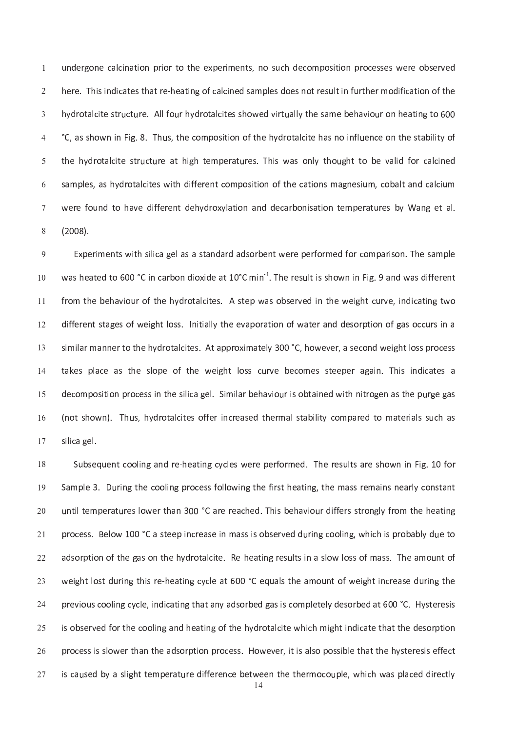un d e r g o n e r i o n a t i o n o s e r i o s e s e r e s e r e r o s e r o s e s e s e s e s e r e r e r o i e r e r e a t e s a m p l e s d o e s n o e s n o e s n o e s n e s n e s n o e s n e s d o e s n e s d o e s huidhe ann an chomhair an chomhair an chomhair an chomhair an chomhair an chomhair an chomhair an chomhair an ° C , <sup>a</sup> <sup>s</sup> <sup>s</sup> <sup>h</sup> <sup>o</sup> <sup>w</sup> <sup>n</sup> <sup>i</sup> <sup>n</sup> <sup>F</sup> <sup>i</sup> g . <sup>8</sup> . <sup>T</sup> <sup>h</sup> u s , <sup>t</sup> <sup>h</sup> <sup>e</sup> <sup>c</sup> <sup>o</sup> <sup>m</sup> <sup>p</sup> <sup>o</sup> <sup>s</sup> <sup>i</sup> t <sup>i</sup> <sup>o</sup> <sup>n</sup> <sup>o</sup> <sup>f</sup> <sup>t</sup> <sup>h</sup> <sup>e</sup> <sup>h</sup> <sup>y</sup> <sup>d</sup> <sup>r</sup> <sup>o</sup> <sup>t</sup> <sup>a</sup> <sup>l</sup> <sup>c</sup> <sup>i</sup> t <sup>e</sup> <sup>h</sup> <sup>a</sup> <sup>s</sup> <sup>n</sup> <sup>o</sup> <sup>i</sup> <sup>n</sup> <sup>f</sup> <sup>l</sup> u e <sup>n</sup> <sup>c</sup> <sup>e</sup> <sup>o</sup> <sup>n</sup> <sup>t</sup> <sup>h</sup> <sup>e</sup> <sup>s</sup> <sup>t</sup> <sup>a</sup> <sup>b</sup> <sup>i</sup> <sup>l</sup> <sup>i</sup> t <sup>y</sup> <sup>o</sup> <sup>f</sup> t <sup>h</sup> <sup>e</sup> <sup>h</sup> <sup>y</sup> <sup>d</sup> <sup>r</sup> <sup>o</sup> <sup>t</sup> <sup>a</sup> <sup>l</sup> <sup>c</sup> <sup>i</sup> t <sup>e</sup> <sup>s</sup> <sup>t</sup> <sup>r</sup> u c <sup>t</sup> u r <sup>e</sup> <sup>a</sup> <sup>t</sup> <sup>h</sup> <sup>i</sup> g <sup>h</sup> <sup>t</sup> <sup>e</sup> <sup>m</sup> <sup>p</sup> <sup>e</sup> <sup>r</sup> <sup>a</sup> <sup>t</sup> u r <sup>e</sup> <sup>s</sup> . <sup>T</sup> <sup>h</sup> <sup>i</sup> <sup>s</sup> <sup>w</sup> <sup>a</sup> <sup>s</sup> <sup>o</sup> <sup>n</sup> <sup>l</sup> y <sup>t</sup> <sup>h</sup> <sup>o</sup> u g <sup>h</sup> <sup>t</sup> <sup>t</sup> <sup>o</sup> <sup>b</sup> <sup>e</sup> <sup>v</sup> <sup>a</sup> <sup>l</sup> <sup>i</sup> <sup>d</sup> <sup>f</sup> <sup>o</sup> <sup>r</sup> <sup>c</sup> <sup>a</sup> <sup>l</sup> <sup>c</sup> <sup>i</sup> <sup>n</sup> <sup>e</sup> <sup>d</sup> s a m p l e r o m p o s i t i o n o f t h e c a t i o f t h e c a t i o n e s i t i o f t a t i o f t a t i o f un de la t o h a v l a t o n a n d e c a r b o n d e c a r b o n t a t a t e r a t e r a t a t e r a t e r a t  $\lambda = 0$  .  $\lambda$ 

ومن الماضي على الماض الماضي التي يتم الموضوع الماضي الموضوع الماضي الماضي الموضوع الماضي الماضي الماضي الماضي 1 <sup>0</sup> f r o f t h e h e s s e s t e s e r o b s e r v e r v e r v e v e w e w e i n t c a t e w a s e r v e v e v e 1 <sup>1</sup> d <sup>i</sup> f <sup>f</sup> <sup>e</sup> <sup>r</sup> <sup>e</sup> <sup>n</sup> <sup>t</sup> <sup>s</sup> <sup>t</sup> <sup>a</sup> <sup>g</sup> <sup>e</sup> <sup>s</sup> <sup>o</sup> <sup>f</sup> <sup>w</sup> <sup>e</sup> <sup>i</sup> g <sup>h</sup> <sup>t</sup> <sup>l</sup> <sup>o</sup> <sup>s</sup> <sup>s</sup> . <sup>I</sup> <sup>n</sup> <sup>i</sup> t <sup>i</sup> <sup>a</sup> <sup>l</sup> <sup>l</sup> y <sup>t</sup> <sup>h</sup> <sup>e</sup> <sup>e</sup> <sup>v</sup> <sup>a</sup> <sup>p</sup> <sup>o</sup> <sup>r</sup> <sup>a</sup> <sup>t</sup> <sup>i</sup> <sup>o</sup> <sup>n</sup> <sup>o</sup> <sup>f</sup> <sup>w</sup> <sup>a</sup> <sup>t</sup> <sup>e</sup> <sup>r</sup> <sup>a</sup> <sup>n</sup> <sup>d</sup> <sup>d</sup> <sup>e</sup> <sup>s</sup> <sup>o</sup> <sup>r</sup> <sup>p</sup> <sup>t</sup> <sup>i</sup> <sup>o</sup> <sup>n</sup> <sup>o</sup> <sup>f</sup> <sup>g</sup> <sup>a</sup> <sup>s</sup> <sup>o</sup> <sup>c</sup> <sup>c</sup> u r <sup>s</sup> <sup>i</sup> <sup>n</sup> <sup>a</sup> 1 <sup>2</sup> s i l a r m a t a p r o t a p r o t a c o n d w e s e s e s e r o c o n d w e i g h t l o s e s p r o c e s p 1 <sup>3</sup> r v e o f t h e s t h e w e i g h t l o s s t e c o m e s t e p e r a i n d i n d i n d i s i n d i c a t e s  $\overline{a}$ r i c a g e l i m i l a r b e h a r b e h a v i o b e h a r b e h a v i d e g e n i s e n a s t h e p e g a s 1 5 t s i t s s s o f e r o t a s e r o m a l s t a b i l i t a b i l s s e r e d t o m a t e r i a l s s s s s s 1 <sup>6</sup> s is in the case of the case of the case of the case of the case of the case of the case of the case of the case of the case of the case of the case of the case of the case of the case of the case of the case of the case -

S u b <sup>s</sup> <sup>e</sup> <sup>q</sup> u e <sup>n</sup> <sup>t</sup> <sup>c</sup> <sup>o</sup> <sup>o</sup> <sup>l</sup> <sup>i</sup> <sup>n</sup> <sup>g</sup> <sup>a</sup> <sup>n</sup> <sup>d</sup> <sup>r</sup> <sup>e</sup> ` <sup>h</sup> <sup>e</sup> <sup>a</sup> <sup>t</sup> <sup>i</sup> <sup>n</sup> <sup>g</sup> <sup>c</sup> <sup>y</sup> <sup>c</sup> <sup>l</sup> <sup>e</sup> <sup>s</sup> <sup>w</sup> <sup>e</sup> <sup>r</sup> <sup>e</sup> <sup>p</sup> <sup>e</sup> <sup>r</sup> <sup>f</sup> <sup>o</sup> <sup>r</sup> <sup>m</sup> <sup>e</sup> <sup>d</sup> . <sup>T</sup> <sup>h</sup> <sup>e</sup> <sup>r</sup> <sup>e</sup> <sup>s</sup> u l t <sup>s</sup> <sup>a</sup> <sup>r</sup> <sup>e</sup> <sup>s</sup> <sup>h</sup> <sup>o</sup> <sup>w</sup> <sup>n</sup> <sup>i</sup> <sup>n</sup> <sup>F</sup> <sup>i</sup> g . <sup>1</sup> 0 f <sup>o</sup> <sup>r</sup> -S a m p l e s f o l l o l i r o l i r s t h e a t i r s t h e m a s r e m a i n e m a r e m a r l y c o n s t a 1 <sup>9</sup> u n <sup>t</sup> <sup>i</sup> <sup>l</sup> <sup>t</sup> <sup>e</sup> <sup>m</sup> <sup>p</sup> <sup>e</sup> <sup>r</sup> <sup>a</sup> <sup>t</sup> u r <sup>e</sup> <sup>s</sup> <sup>l</sup> <sup>o</sup> <sup>w</sup> <sup>e</sup> <sup>r</sup> <sup>t</sup> <sup>h</sup> <sup>a</sup> <sup>n</sup> <sup>3</sup> 0 <sup>0</sup> ° C <sup>a</sup> <sup>r</sup> <sup>e</sup> <sup>r</sup> <sup>e</sup> <sup>a</sup> <sup>c</sup> <sup>h</sup> <sup>e</sup> <sup>d</sup> . <sup>T</sup> <sup>h</sup> <sup>i</sup> <sup>s</sup> <sup>b</sup> <sup>e</sup> <sup>h</sup> <sup>a</sup> <sup>v</sup> <sup>i</sup> <sup>o</sup> u r <sup>d</sup> <sup>i</sup> f <sup>f</sup> <sup>e</sup> <sup>r</sup> <sup>s</sup> <sup>s</sup> <sup>t</sup> <sup>r</sup> <sup>o</sup> <sup>n</sup> <sup>g</sup> <sup>l</sup> y <sup>f</sup> <sup>r</sup> <sup>o</sup> <sup>m</sup> <sup>t</sup> <sup>h</sup> <sup>e</sup> <sup>h</sup> <sup>e</sup> <sup>a</sup> <sup>t</sup> <sup>i</sup> <sup>n</sup> <sup>g</sup>  $\sim$ r i n genne de la servició de la servició de la servició de la servició de la servició de la servició de la se  $\sim$ a d r o t a l c i t e a t e a t i n a t i n g r e s e s e s e s e a t i n a s o f m a s e a m o s e a m o s e  $\sim$ r i n g h t l o s t d'a t l e a t d'a t l e a t d'a t d'a t d'a t d'a t d'a t d'a t d'a t d'a t d'a t d'a t d'  $\sim$ r e v i o l i n de seus de la t e d a t a t a t e t e s i s t e s o r b e d a t e d a t e d a t e s o r b e d  $\sim$  $\sim$  $\sim$ i <sup>s</sup> <sup>c</sup> <sup>a</sup> u s <sup>e</sup> <sup>d</sup> <sup>b</sup> <sup>y</sup> <sup>a</sup> <sup>s</sup> <sup>l</sup> <sup>i</sup> g <sup>h</sup> <sup>t</sup> <sup>t</sup> <sup>e</sup> <sup>m</sup> <sup>p</sup> <sup>e</sup> <sup>r</sup> <sup>a</sup> <sup>t</sup> u r <sup>e</sup> <sup>d</sup> <sup>i</sup> f <sup>f</sup> <sup>e</sup> <sup>r</sup> <sup>e</sup> <sup>n</sup> <sup>c</sup> <sup>e</sup> <sup>b</sup> <sup>e</sup> <sup>t</sup> <sup>w</sup> <sup>e</sup> <sup>e</sup> <sup>n</sup> <sup>t</sup> <sup>h</sup> <sup>e</sup> <sup>t</sup> <sup>h</sup> <sup>e</sup> <sup>r</sup> <sup>m</sup> <sup>o</sup> <sup>c</sup> <sup>o</sup> u p <sup>l</sup> <sup>e</sup> , <sup>w</sup> <sup>h</sup> <sup>i</sup> <sup>c</sup> <sup>h</sup> <sup>w</sup> <sup>a</sup> <sup>s</sup> <sup>p</sup> <sup>l</sup> <sup>a</sup> <sup>c</sup> <sup>e</sup> <sup>d</sup> <sup>d</sup> <sup>i</sup> <sup>r</sup> <sup>e</sup> <sup>c</sup> <sup>t</sup> <sup>l</sup> y  $\sim$ 

 $\overline{a}$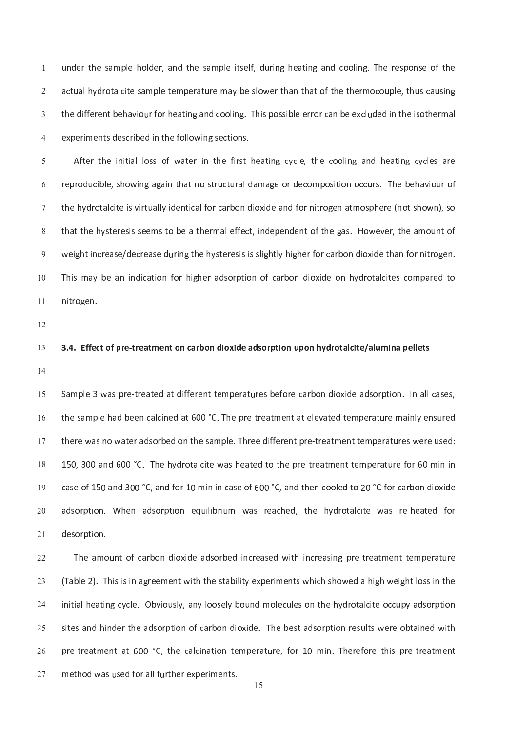u n <sup>d</sup> <sup>e</sup> <sup>r</sup> <sup>t</sup> <sup>h</sup> <sup>e</sup> <sup>s</sup> <sup>a</sup> <sup>m</sup> <sup>p</sup> <sup>l</sup> <sup>e</sup> <sup>h</sup> <sup>o</sup> <sup>l</sup> <sup>d</sup> <sup>e</sup> <sup>r</sup> , <sup>a</sup> <sup>n</sup> <sup>d</sup> <sup>t</sup> <sup>h</sup> <sup>e</sup> <sup>s</sup> <sup>a</sup> <sup>m</sup> <sup>p</sup> <sup>l</sup> <sup>e</sup> <sup>i</sup> t <sup>s</sup> <sup>e</sup> <sup>l</sup> f , <sup>d</sup> u r <sup>i</sup> <sup>n</sup> <sup>g</sup> <sup>h</sup> <sup>e</sup> <sup>a</sup> <sup>t</sup> <sup>i</sup> <sup>n</sup> <sup>g</sup> <sup>a</sup> <sup>n</sup> <sup>d</sup> <sup>c</sup> <sup>o</sup> <sup>o</sup> <sup>l</sup> <sup>i</sup> <sup>n</sup> <sup>g</sup> . <sup>T</sup> <sup>h</sup> <sup>e</sup> <sup>r</sup> <sup>e</sup> <sup>s</sup> <sup>p</sup> <sup>o</sup> <sup>n</sup> <sup>s</sup> <sup>e</sup> <sup>o</sup> <sup>f</sup> <sup>t</sup> <sup>h</sup> <sup>e</sup> un de la tradición de la companyación de la companyación de la companyación de la companyación de la companyació un fioso de la contra de la contra de la contra de la contra de la contra de la contra de la contra de la cont

r e contra de la contra de la contra de la contra de la contra de la contra de la contra de la contra de la co and the second contract the second contract  $\alpha$  is the second contract of  $\alpha$  or  $\alpha$  is one of  $\alpha$  or  $\alpha$  or  $\alpha$ t h a t h e r m a l e f e f e f e c t o f e n d e p e n d e n t o f e g a s . H o w e v e r , t h e a m o w e r i n c r e r e s i s i s l i g h t l y h i g h e r f o r c a r b o n d i o x i d e t h a n f o r n i t r o r o 1 <sup>0</sup> 1 <sup>1</sup>

1 <sup>2</sup>

## 3 . E f e c a r e a r e a d a d a d s o r p o n d i o n h y d r o n d r o t a l c i t e l u m i n a l u m i n 1 <sup>3</sup>

 $\overline{a}$ 

s a m p l e r e r e r e r e r e r e r e r e c a r e r e r e r e a d e a d s o r e a d s o r e r e a r e r e r 1 5 r e c'hoarier a tallet a t renn a t r e m e r a t a t a t e v a t e m e r a t e m e r a t a t e m a t e m e r 1 <sup>6</sup> t h e r e vez a m p l e r a m p l e r e r e r e r e r e r e r e a t m e n t e m p e r e r e r e r e r e r e r e -1 <sup>5</sup> 0 , <sup>3</sup> 0 <sup>0</sup> a <sup>n</sup> <sup>d</sup> 6 <sup>0</sup> <sup>0</sup> ° C . <sup>T</sup> <sup>h</sup> <sup>e</sup> <sup>h</sup> <sup>y</sup> <sup>d</sup> <sup>r</sup> <sup>o</sup> <sup>t</sup> <sup>a</sup> <sup>l</sup> <sup>c</sup> <sup>i</sup> t <sup>e</sup> <sup>w</sup> <sup>a</sup> <sup>s</sup> <sup>h</sup> <sup>e</sup> <sup>a</sup> <sup>t</sup> <sup>e</sup> <sup>d</sup> <sup>t</sup> <sup>o</sup> <sup>t</sup> <sup>h</sup> <sup>e</sup> <sup>p</sup> <sup>r</sup> <sup>e</sup> ` <sup>t</sup> <sup>r</sup> <sup>e</sup> <sup>a</sup> <sup>t</sup> <sup>m</sup> <sup>e</sup> <sup>n</sup> <sup>t</sup> <sup>t</sup> <sup>e</sup> <sup>m</sup> <sup>p</sup> <sup>e</sup> <sup>r</sup> <sup>a</sup> <sup>t</sup> u r <sup>e</sup> <sup>f</sup> <sup>o</sup> <sup>r</sup> 6 <sup>0</sup> m <sup>i</sup> <sup>n</sup> <sup>i</sup> <sup>n</sup> c <sup>a</sup> <sup>s</sup> <sup>e</sup> <sup>o</sup> <sup>f</sup> <sup>1</sup> <sup>5</sup> 0 a <sup>n</sup> <sup>d</sup> <sup>3</sup> 0 <sup>0</sup> ° C , <sup>a</sup> <sup>n</sup> <sup>d</sup> <sup>f</sup> <sup>o</sup> <sup>r</sup> <sup>1</sup> 0 m <sup>i</sup> <sup>n</sup> <sup>i</sup> <sup>n</sup> <sup>c</sup> <sup>a</sup> <sup>s</sup> <sup>e</sup> <sup>o</sup> <sup>f</sup> 6 <sup>0</sup> <sup>0</sup> ° C , <sup>a</sup> <sup>n</sup> <sup>d</sup> <sup>t</sup> <sup>h</sup> <sup>e</sup> <sup>n</sup> <sup>c</sup> <sup>o</sup> <sup>o</sup> <sup>l</sup> <sup>e</sup> <sup>d</sup> <sup>t</sup> <sup>o</sup> 2 <sup>0</sup> ° C <sup>f</sup> <sup>o</sup> <sup>r</sup> <sup>c</sup> <sup>a</sup> <sup>r</sup> <sup>b</sup> <sup>o</sup> <sup>n</sup> <sup>d</sup> <sup>i</sup> <sup>o</sup> <sup>x</sup> <sup>i</sup> <sup>d</sup> <sup>e</sup> 1 <sup>9</sup> a d s o r p t i d i b r i d r i o r a c a c h e d a t h e h e h e h e h e h e a t e w a s r e a t e a t e a t  $\sim$  $\sim$ 

T h e a con de a contra de la contra de la contra de la contra de la contra de la contra de la contra de la co  $\sim$ ) . The set of the set of the set of the set of the set of the set of the set of the set of the set of the set of the set of the set of the set of the set of the set of the set of the set of the set of the set of the set  $\sim$ i n a n y l o o s e l e contra de la contra de la contra de la contra de la contra de la contra de la contra d  $\sim$ l t e r t a r b o n d i o x i d e a r p t a d s o r p t a d s o r p t i o n r e s o r e s o r e s o r e s o r  $\sim$ p <sup>r</sup> <sup>e</sup> ` <sup>t</sup> <sup>r</sup> <sup>e</sup> <sup>a</sup> <sup>t</sup> <sup>m</sup> <sup>e</sup> <sup>n</sup> <sup>t</sup> <sup>a</sup> <sup>t</sup> 6 <sup>0</sup> <sup>0</sup> ° C , <sup>t</sup> <sup>h</sup> <sup>e</sup> <sup>c</sup> <sup>a</sup> <sup>l</sup> <sup>c</sup> <sup>i</sup> <sup>n</sup> <sup>a</sup> <sup>t</sup> <sup>i</sup> <sup>o</sup> <sup>n</sup> <sup>t</sup> <sup>e</sup> <sup>m</sup> <sup>p</sup> <sup>e</sup> <sup>r</sup> <sup>a</sup> <sup>t</sup> u r <sup>e</sup> , <sup>f</sup> <sup>o</sup> <sup>r</sup> <sup>1</sup> 0 m <sup>i</sup> <sup>n</sup> . <sup>T</sup> <sup>h</sup> <sup>e</sup> <sup>r</sup> <sup>e</sup> <sup>f</sup> <sup>o</sup> <sup>r</sup> <sup>e</sup> <sup>t</sup> <sup>h</sup> <sup>i</sup> <sup>s</sup> <sup>p</sup> <sup>r</sup> <sup>e</sup> ` <sup>t</sup> <sup>r</sup> <sup>e</sup> <sup>a</sup> <sup>t</sup> <sup>m</sup> <sup>e</sup> <sup>n</sup> <sup>t</sup>  $\sim$ und the second three seconds are the results of the results of the results of the results of the results of th  $\sim$ 

1 5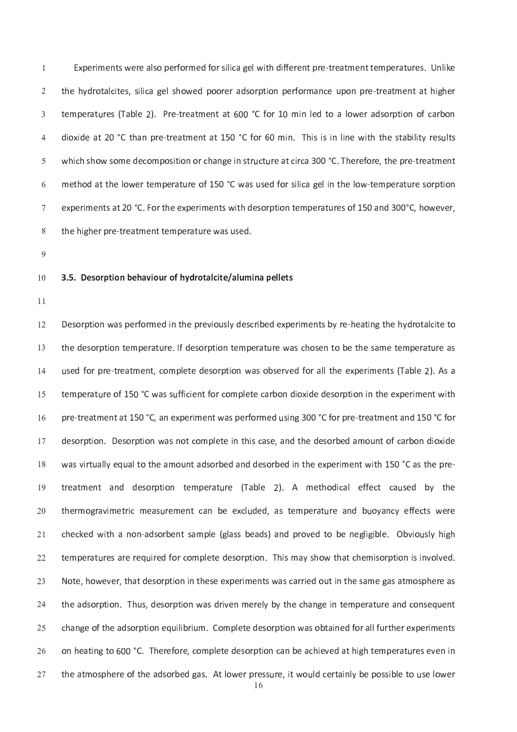$\Gamma$  is a great contract of the set of the result of the method in the set of the method in the method in the method in the method in the method in the method in the method in the method in the method in the method in the t <sup>h</sup> <sup>e</sup> <sup>h</sup> <sup>y</sup> <sup>d</sup> <sup>r</sup> <sup>o</sup> <sup>t</sup> <sup>a</sup> <sup>l</sup> <sup>c</sup> <sup>i</sup> t <sup>e</sup> <sup>s</sup> , <sup>s</sup> <sup>i</sup> <sup>l</sup> <sup>i</sup> <sup>c</sup> <sup>a</sup> <sup>g</sup> <sup>e</sup> <sup>l</sup> <sup>s</sup> <sup>h</sup> <sup>o</sup> <sup>w</sup> <sup>e</sup> <sup>d</sup> <sup>p</sup> <sup>o</sup> <sup>o</sup> <sup>r</sup> <sup>e</sup> <sup>r</sup> <sup>a</sup> <sup>d</sup> <sup>s</sup> <sup>o</sup> <sup>r</sup> <sup>p</sup> <sup>t</sup> <sup>i</sup> <sup>o</sup> <sup>n</sup> <sup>p</sup> <sup>e</sup> <sup>r</sup> <sup>f</sup> <sup>o</sup> <sup>r</sup> <sup>m</sup> <sup>a</sup> <sup>n</sup> <sup>c</sup> <sup>e</sup> u p <sup>o</sup> <sup>n</sup> <sup>p</sup> <sup>r</sup> <sup>e</sup> ` <sup>t</sup> <sup>r</sup> <sup>e</sup> <sup>a</sup> <sup>t</sup> <sup>m</sup> <sup>e</sup> <sup>n</sup> <sup>t</sup> <sup>a</sup> <sup>t</sup> <sup>h</sup> <sup>i</sup> g <sup>h</sup> <sup>e</sup> <sup>r</sup>  $\mathcal{L} = \mathcal{L} = \mathcal{L} = \mathcal{L} = \mathcal{L} = \mathcal{L} = \mathcal{L} = \mathcal{L} = \mathcal{L} = \mathcal{L} = \mathcal{L} = \mathcal{L} = \mathcal{L} = \mathcal{L} = \mathcal{L} = \mathcal{L} = \mathcal{L} = \mathcal{L} = \mathcal{L} = \mathcal{L} = \mathcal{L} = \mathcal{L} = \mathcal{L} = \mathcal{L} = \mathcal{L} = \mathcal{L} = \mathcal{L} = \mathcal{L} = \mathcal{L} = \mathcal{L} = \mathcal{L} = \mathcal$  $\mathbf{a}$  and  $\mathbf{a}$  and  $\mathbf{a}$  is in the set of  $\mathbf{a}$  and  $\mathbf{a}$  is in the set of  $\mathbf{a}$  is in the set of  $\mathbf{a}$ w <sup>h</sup> <sup>i</sup> <sup>c</sup> <sup>h</sup> <sup>s</sup> <sup>h</sup> <sup>o</sup> <sup>w</sup> <sup>s</sup> <sup>o</sup> <sup>m</sup> <sup>e</sup> <sup>d</sup> <sup>e</sup> <sup>c</sup> <sup>o</sup> <sup>m</sup> <sup>p</sup> <sup>o</sup> <sup>s</sup> <sup>i</sup> t <sup>i</sup> <sup>o</sup> <sup>n</sup> <sup>o</sup> <sup>r</sup> <sup>c</sup> <sup>h</sup> <sup>a</sup> <sup>n</sup> <sup>g</sup> <sup>e</sup> <sup>i</sup> <sup>n</sup> <sup>s</sup> <sup>t</sup> <sup>r</sup> u c <sup>t</sup> u r <sup>e</sup> <sup>a</sup> <sup>t</sup> <sup>c</sup> <sup>i</sup> <sup>r</sup> <sup>c</sup> <sup>a</sup> <sup>3</sup> 0 <sup>0</sup> ° C . <sup>T</sup> <sup>h</sup> <sup>e</sup> <sup>r</sup> <sup>e</sup> <sup>f</sup> <sup>o</sup> <sup>r</sup> <sup>e</sup> , <sup>t</sup> <sup>h</sup> <sup>e</sup> <sup>p</sup> <sup>r</sup> <sup>e</sup> ` <sup>t</sup> <sup>r</sup> <sup>e</sup> <sup>a</sup> <sup>t</sup> <sup>m</sup> <sup>e</sup> <sup>n</sup> <sup>t</sup> r e o f 1 5 de jan p e r t e l i n t e r a t e m p e r a t e l i n t e l o w a t e r a t e r a t e r a t e r a  $\mathbf{r} = \mathbf{r} \cdot \mathbf{r}$  i t s  $\mathbf{r} = \mathbf{r} \cdot \mathbf{r}$  is the set of  $\mathbf{r} = \mathbf{r} \cdot \mathbf{r}$  is the set of  $\mathbf{r} = \mathbf{r} \cdot \mathbf{r}$  is the set of  $\mathbf{r} = \mathbf{r} \cdot \mathbf{r}$  is the set of  $\mathbf{r} = \mathbf{r} \cdot \mathbf{r}$  is the set of t h e r e r e r e a t r e a t r e a t e m p e r a t e a t r e a t e m p e r a t e m p e r a t e m p e r a t e

#### 3 . S . D e s o r o r o r o t a l u m i n a l u m i n a l u m i n a l e l e l e l e l e l u m i n a p e l e t 1 <sup>0</sup>

1 <sup>1</sup>

un e s o r p e s c r i b e d e s c r i d e r i m e n t a t e a t e a t e a t e d r o t e d r o t a l c i t e t 1 <sup>2</sup> t h e s o r p t d e s o r p e r a t e m p e r a t e s a m e r a t e s e s e t e s a m e t e s a m e r a t e s 1 <sup>3</sup> under the second contract the second contract of the second contract of the second contract of the second contract of the second contract of the second contract of the second contract of the second contract of the second c  $\overline{a}$ t <sup>e</sup> <sup>m</sup> <sup>p</sup> <sup>e</sup> <sup>r</sup> <sup>a</sup> <sup>t</sup> u r <sup>e</sup> <sup>o</sup> <sup>f</sup> <sup>1</sup> <sup>5</sup> 0 ° C <sup>w</sup> <sup>a</sup> <sup>s</sup> <sup>s</sup> u f <sup>f</sup> <sup>i</sup> <sup>c</sup> <sup>i</sup> <sup>e</sup> <sup>n</sup> <sup>t</sup> <sup>f</sup> <sup>o</sup> <sup>r</sup> <sup>c</sup> <sup>o</sup> <sup>m</sup> <sup>p</sup> <sup>l</sup> <sup>e</sup> <sup>t</sup> <sup>e</sup> <sup>c</sup> <sup>a</sup> <sup>r</sup> <sup>b</sup> <sup>o</sup> <sup>n</sup> <sup>d</sup> <sup>i</sup> <sup>o</sup> <sup>x</sup> <sup>i</sup> <sup>d</sup> <sup>e</sup> <sup>d</sup> <sup>e</sup> <sup>s</sup> <sup>o</sup> <sup>r</sup> <sup>p</sup> <sup>t</sup> <sup>i</sup> <sup>o</sup> <sup>n</sup> <sup>i</sup> <sup>n</sup> <sup>t</sup> <sup>h</sup> <sup>e</sup> <sup>e</sup> <sup>x</sup> <sup>p</sup> <sup>e</sup> <sup>r</sup> <sup>i</sup> <sup>m</sup> <sup>e</sup> <sup>n</sup> <sup>t</sup> <sup>w</sup> <sup>i</sup> t <sup>h</sup> 1 5 p <sup>r</sup> <sup>e</sup> ` <sup>t</sup> <sup>r</sup> <sup>e</sup> <sup>a</sup> <sup>t</sup> <sup>m</sup> <sup>e</sup> <sup>n</sup> <sup>t</sup> <sup>a</sup> <sup>t</sup> <sup>1</sup> <sup>5</sup> 0 ° C , <sup>a</sup> <sup>n</sup> <sup>e</sup> <sup>x</sup> <sup>p</sup> <sup>e</sup> <sup>r</sup> <sup>i</sup> <sup>m</sup> <sup>e</sup> <sup>n</sup> <sup>t</sup> <sup>w</sup> <sup>a</sup> <sup>s</sup> <sup>p</sup> <sup>e</sup> <sup>r</sup> <sup>f</sup> <sup>o</sup> <sup>r</sup> <sup>m</sup> <sup>e</sup> <sup>d</sup> u s <sup>i</sup> <sup>n</sup> <sup>g</sup> <sup>3</sup> 0 <sup>0</sup> ° C <sup>f</sup> <sup>o</sup> <sup>r</sup> <sup>p</sup> <sup>r</sup> <sup>e</sup> ` <sup>t</sup> <sup>r</sup> <sup>e</sup> <sup>a</sup> <sup>t</sup> <sup>m</sup> <sup>e</sup> <sup>n</sup> <sup>t</sup> <sup>a</sup> <sup>n</sup> <sup>d</sup> <sup>1</sup> <sup>5</sup> 0 ° C <sup>f</sup> <sup>o</sup> <sup>r</sup> 1 <sup>6</sup> n t o r p t o m p l e t e t e i s e s e s e s e s e s e s o r b e d a m o r b e d a m o r b e d a m o n d a m o un t a d'an de s o r b e d a n d d e s o r b e d e s o r b e r b e r b e r b e r b e r b e r b e r b e r b e r t r e s o r p t i o n t e r a t a b l e f e c'hoal e r a b e r a b e r a b e f e f e f e c'hoal e f e f e f e 1 <sup>9</sup> un e a s t e m e n t c a n b e e c'hell a n b e a n b e r a n b e r a n b e e a n b e e a n b e e e a n b e e  $\sim$ un e c a m p l e ( g l a s s a d s e a d p r o v e d t o b e n e n e n e g l i b l e . O b v i o b v i o b v i  $\sim$ t e m p e r a r e s a r e s a r e s a r e s m a t i o m a t e m a t c h e m i s o r p t i o n i o l v o l v e  $\sim$ N o w e v e s e s e r e s e r a t d e s a r r a r r a r r i e d o s e r e s a r r e s a s a s a s a r r i e r  $\sim$ un de s o r p t i o n m e r e r e r e l y b y t h e c h a n g e r e m p e r e r a t e r e r a t e m e r e r e m  $\sim$ i l i l i de a d s o r p t i o r e s o r a s o r e r e r e s o r e d f o r a l f o r a l f o r e r e r e r e r  $\sim$ r e r e com p l e s o r e s o r p t i o n b e a n b e a c h i e v e s e s e s e r a t e r a t e r a t e r a t  $\sim$ un e a s . A t l o w e r p r e s s s i t w o s i b e s i b e s i b e p o s i b e p o s i b e s i b e s i b e r  $\sim$ 

 $\overline{a}$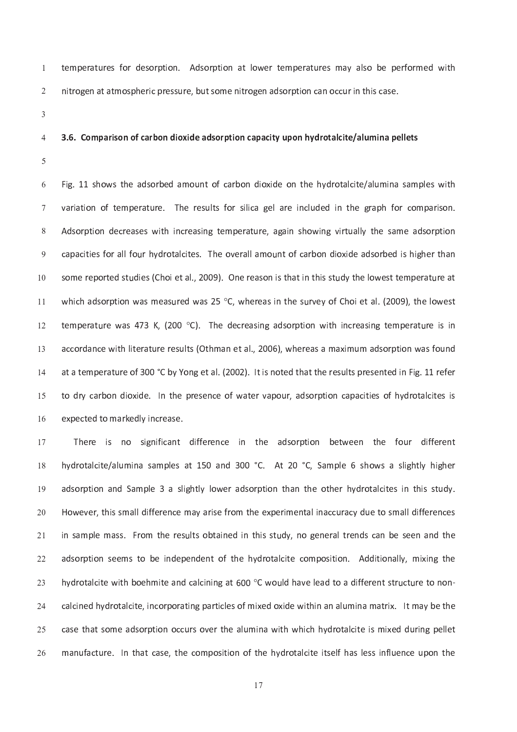t e m p e r a t i o r p t i o n a t l o w e r e m p e r a t e r a t e r a t e r a t e r a t e r e r e r a t e n <sup>i</sup> t <sup>r</sup> <sup>o</sup> <sup>g</sup> <sup>e</sup> <sup>n</sup> <sup>a</sup> <sup>t</sup> <sup>a</sup> <sup>t</sup> <sup>m</sup> <sup>o</sup> <sup>s</sup> <sup>p</sup> <sup>h</sup> <sup>e</sup> <sup>r</sup> <sup>i</sup> <sup>c</sup> <sup>p</sup> <sup>r</sup> <sup>e</sup> <sup>s</sup> <sup>s</sup> u r <sup>e</sup> , <sup>b</sup> u t <sup>s</sup> <sup>o</sup> <sup>m</sup> <sup>e</sup> <sup>n</sup> <sup>i</sup> t <sup>r</sup> <sup>o</sup> <sup>g</sup> <sup>e</sup> <sup>n</sup> <sup>a</sup> <sup>d</sup> <sup>s</sup> <sup>o</sup> <sup>r</sup> <sup>p</sup> <sup>t</sup> <sup>i</sup> <sup>o</sup> <sup>n</sup> <sup>c</sup> <sup>a</sup> <sup>n</sup> <sup>o</sup> <sup>c</sup> <sup>c</sup> u r <sup>i</sup> <sup>n</sup> <sup>t</sup> <sup>h</sup> <sup>i</sup> <sup>s</sup> <sup>c</sup> <sup>a</sup> <sup>s</sup> <sup>e</sup> .

n t o f i o f c a r b o n d i o n d i o n t e o n t h e h y d r o t a l c i t e l c i t e l c i t e l c i t e

## 3 . <sup>6</sup> . <sup>C</sup> <sup>o</sup> <sup>m</sup> <sup>p</sup> <sup>a</sup> <sup>r</sup> <sup>i</sup> <sup>s</sup> <sup>o</sup> <sup>n</sup> <sup>o</sup> <sup>f</sup> <sup>c</sup> <sup>a</sup> <sup>r</sup> <sup>b</sup> <sup>o</sup> <sup>n</sup> <sup>d</sup> <sup>i</sup> <sup>o</sup> <sup>x</sup> <sup>i</sup> <sup>d</sup> <sup>e</sup> <sup>a</sup> <sup>d</sup> <sup>s</sup> <sup>o</sup> <sup>r</sup> <sup>p</sup> <sup>t</sup> <sup>i</sup> <sup>o</sup> <sup>n</sup> <sup>c</sup> <sup>a</sup> <sup>p</sup> <sup>a</sup> <sup>c</sup> <sup>i</sup> t <sup>y</sup> <sup>u</sup> <sup>p</sup> <sup>o</sup> <sup>n</sup> <sup>h</sup> <sup>y</sup> <sup>d</sup> <sup>r</sup> <sup>o</sup> <sup>t</sup> <sup>a</sup> <sup>l</sup> <sup>c</sup> <sup>i</sup> t <sup>e</sup> / <sup>a</sup> <sup>l</sup> <sup>u</sup> <sup>m</sup> <sup>i</sup> <sup>n</sup> <sup>a</sup> <sup>p</sup> <sup>e</sup> <sup>l</sup> <sup>l</sup> <sup>e</sup> <sup>t</sup> <sup>s</sup>

v <sup>a</sup> <sup>r</sup> <sup>i</sup> <sup>a</sup> <sup>t</sup> <sup>i</sup> <sup>o</sup> <sup>n</sup> <sup>o</sup> <sup>f</sup> <sup>t</sup> <sup>e</sup> <sup>m</sup> <sup>p</sup> <sup>e</sup> <sup>r</sup> <sup>a</sup> <sup>t</sup> u r <sup>e</sup> . <sup>T</sup> <sup>h</sup> <sup>e</sup> <sup>r</sup> <sup>e</sup> <sup>s</sup> u l t <sup>s</sup> <sup>f</sup> <sup>o</sup> <sup>r</sup> <sup>s</sup> <sup>i</sup> <sup>l</sup> <sup>i</sup> <sup>c</sup> <sup>a</sup> <sup>g</sup> <sup>e</sup> <sup>l</sup> <sup>a</sup> <sup>r</sup> <sup>e</sup> <sup>i</sup> <sup>n</sup> <sup>c</sup> <sup>l</sup> u d <sup>e</sup> <sup>d</sup> <sup>i</sup> <sup>n</sup> <sup>t</sup> <sup>h</sup> <sup>e</sup> <sup>g</sup> <sup>r</sup> <sup>a</sup> <sup>p</sup> <sup>h</sup> <sup>f</sup> <sup>o</sup> <sup>r</sup> <sup>c</sup> <sup>o</sup> <sup>m</sup> <sup>p</sup> <sup>a</sup> <sup>r</sup> <sup>i</sup> <sup>s</sup> <sup>o</sup> <sup>n</sup> . a d s o r p t i n d e r e r a t a t a s a g a i n s h o w i r t e s a m p e r a t a m e a s a m e a s a s a s un t o r a l f o r a c a c a m o n o n o r a m o n o n d i o n d i o x i d e a d e a n o r a n o r a n o r a n s <sup>o</sup> <sup>m</sup> <sup>e</sup> <sup>r</sup> <sup>e</sup> <sup>p</sup> <sup>o</sup> <sup>r</sup> <sup>t</sup> <sup>e</sup> <sup>d</sup> <sup>s</sup> <sup>t</sup> u d <sup>i</sup> <sup>e</sup> <sup>s</sup> ( <sup>C</sup> <sup>h</sup> <sup>o</sup> <sup>i</sup> <sup>e</sup> <sup>t</sup> <sup>a</sup> <sup>l</sup> . , 2 <sup>0</sup> <sup>0</sup> <sup>9</sup> ) . <sup>O</sup> <sup>n</sup> <sup>e</sup> <sup>r</sup> <sup>e</sup> <sup>a</sup> <sup>s</sup> <sup>o</sup> <sup>n</sup> <sup>i</sup> <sup>s</sup> <sup>t</sup> <sup>h</sup> <sup>a</sup> <sup>t</sup> <sup>i</sup> <sup>n</sup> <sup>t</sup> <sup>h</sup> <sup>i</sup> <sup>s</sup> <sup>s</sup> <sup>t</sup> u d <sup>y</sup> <sup>t</sup> <sup>h</sup> <sup>e</sup> <sup>l</sup> <sup>o</sup> <sup>w</sup> <sup>e</sup> <sup>s</sup> <sup>t</sup> <sup>t</sup> <sup>e</sup> <sup>m</sup> <sup>p</sup> <sup>e</sup> <sup>r</sup> <sup>a</sup> <sup>t</sup> u r <sup>e</sup> <sup>a</sup> <sup>t</sup> 1 <sup>0</sup> which adsorption was measured was 25 °C, whereas in the survey of Choi et al. (2009), the lowes 1 <sup>1</sup> temperature was 473 K, (200 °C). The decreasing adsorption with increasing temperature is i 1 <sup>2</sup> a <sup>c</sup> <sup>c</sup> <sup>o</sup> <sup>r</sup> <sup>d</sup> <sup>a</sup> <sup>n</sup> <sup>c</sup> <sup>e</sup> <sup>w</sup> <sup>i</sup> t <sup>h</sup> <sup>l</sup> <sup>i</sup> t <sup>e</sup> <sup>r</sup> <sup>a</sup> <sup>t</sup> u r <sup>e</sup> <sup>r</sup> <sup>e</sup> <sup>s</sup> u l t <sup>s</sup> ( <sup>O</sup> <sup>t</sup> <sup>h</sup> <sup>m</sup> <sup>a</sup> <sup>n</sup> <sup>e</sup> <sup>t</sup> <sup>a</sup> <sup>l</sup> . , 2 <sup>0</sup> <sup>0</sup> <sup>6</sup> ) , <sup>w</sup> <sup>h</sup> <sup>e</sup> <sup>r</sup> <sup>e</sup> <sup>a</sup> <sup>s</sup> <sup>a</sup> <sup>m</sup> <sup>a</sup> <sup>x</sup> <sup>i</sup> <sup>m</sup> u m <sup>a</sup> <sup>d</sup> <sup>s</sup> <sup>o</sup> <sup>r</sup> <sup>p</sup> <sup>t</sup> <sup>i</sup> <sup>o</sup> <sup>n</sup> <sup>w</sup> <sup>a</sup> <sup>s</sup> <sup>f</sup> <sup>o</sup> u n <sup>d</sup>  $\sim$ a <sup>t</sup> <sup>a</sup> <sup>t</sup> <sup>e</sup> <sup>m</sup> <sup>p</sup> <sup>e</sup> <sup>r</sup> <sup>a</sup> <sup>t</sup> u r <sup>e</sup> <sup>o</sup> <sup>f</sup> <sup>3</sup> 0 <sup>0</sup> ° C <sup>b</sup> <sup>y</sup> <sup>Y</sup> <sup>o</sup> <sup>n</sup> <sup>g</sup> <sup>e</sup> <sup>t</sup> <sup>a</sup> <sup>l</sup> . ( 2 <sup>0</sup> <sup>0</sup> <sup>2</sup> ) . <sup>I</sup> t <sup>i</sup> <sup>s</sup> <sup>n</sup> <sup>o</sup> <sup>t</sup> <sup>e</sup> <sup>d</sup> <sup>t</sup> <sup>h</sup> <sup>a</sup> <sup>t</sup> <sup>t</sup> <sup>h</sup> <sup>e</sup> <sup>r</sup> <sup>e</sup> <sup>s</sup> u l t <sup>s</sup> <sup>p</sup> <sup>r</sup> <sup>e</sup> <sup>s</sup> <sup>e</sup> <sup>n</sup> <sup>t</sup> <sup>e</sup> <sup>d</sup> <sup>i</sup> <sup>n</sup> <sup>F</sup> <sup>i</sup> g . <sup>1</sup> <sup>1</sup> <sup>r</sup> <sup>e</sup> <sup>f</sup> <sup>e</sup> <sup>r</sup> 1 <sup>4</sup> t o d'ar ben d'ar ben d'ar an d'ar an t-ais an t-ais an t-ais an t-ais an t-ais an t-ais an t-ais an t-ais an 1 5  $\overline{a}$ 

T <sup>h</sup> <sup>e</sup> <sup>r</sup> <sup>e</sup> <sup>i</sup> <sup>s</sup> <sup>n</sup> <sup>o</sup> <sup>s</sup> <sup>i</sup> g <sup>n</sup> <sup>i</sup> f <sup>i</sup> <sup>c</sup> <sup>a</sup> <sup>n</sup> <sup>t</sup> <sup>d</sup> <sup>i</sup> f <sup>f</sup> <sup>e</sup> <sup>r</sup> <sup>e</sup> <sup>n</sup> <sup>c</sup> <sup>e</sup> <sup>i</sup> <sup>n</sup> <sup>t</sup> <sup>h</sup> <sup>e</sup> <sup>a</sup> <sup>d</sup> <sup>s</sup> <sup>o</sup> <sup>r</sup> <sup>p</sup> <sup>t</sup> <sup>i</sup> <sup>o</sup> <sup>n</sup> <sup>b</sup> <sup>e</sup> <sup>t</sup> <sup>w</sup> <sup>e</sup> <sup>e</sup> <sup>n</sup> <sup>t</sup> <sup>h</sup> <sup>e</sup> <sup>f</sup> <sup>o</sup> u r <sup>d</sup> <sup>i</sup> f <sup>f</sup> <sup>e</sup> <sup>r</sup> <sup>e</sup> <sup>n</sup> <sup>t</sup> 1 7 h <sup>y</sup> <sup>d</sup> <sup>r</sup> <sup>o</sup> <sup>t</sup> <sup>a</sup> <sup>l</sup> <sup>c</sup> <sup>i</sup> t <sup>e</sup> / <sup>a</sup> <sup>l</sup> u m <sup>i</sup> <sup>n</sup> <sup>a</sup> <sup>s</sup> <sup>a</sup> <sup>m</sup> <sup>p</sup> <sup>l</sup> <sup>e</sup> <sup>s</sup> <sup>a</sup> <sup>t</sup> <sup>1</sup> <sup>5</sup> 0 a <sup>n</sup> <sup>d</sup> <sup>3</sup> 0 <sup>0</sup> ° C . <sup>A</sup> <sup>t</sup> 2 <sup>0</sup> ° C , <sup>S</sup> <sup>a</sup> <sup>m</sup> <sup>p</sup> <sup>l</sup> <sup>e</sup> 6 s <sup>h</sup> <sup>o</sup> <sup>w</sup> <sup>s</sup> <sup>a</sup> <sup>s</sup> <sup>l</sup> <sup>i</sup> g <sup>h</sup> <sup>t</sup> <sup>l</sup> y <sup>h</sup> <sup>i</sup> g <sup>h</sup> <sup>e</sup> <sup>r</sup> a d s o r p t i o w e r a d s o r p t i o n t h a n t h e o t h e r o t a l c i t e s i n t e s i n t h i s t h 1 <sup>9</sup> H <sup>o</sup> <sup>w</sup> <sup>e</sup> <sup>v</sup> <sup>e</sup> <sup>r</sup> , <sup>t</sup> <sup>h</sup> <sup>i</sup> <sup>s</sup> <sup>s</sup> <sup>m</sup> <sup>a</sup> <sup>l</sup> <sup>l</sup> <sup>d</sup> <sup>i</sup> f <sup>f</sup> <sup>e</sup> <sup>r</sup> <sup>e</sup> <sup>n</sup> <sup>c</sup> <sup>e</sup> <sup>m</sup> <sup>a</sup> <sup>y</sup> <sup>a</sup> <sup>r</sup> <sup>i</sup> <sup>s</sup> <sup>e</sup> <sup>f</sup> <sup>r</sup> <sup>o</sup> <sup>m</sup> <sup>t</sup> <sup>h</sup> <sup>e</sup> <sup>e</sup> <sup>x</sup> <sup>p</sup> <sup>e</sup> <sup>r</sup> <sup>i</sup> <sup>m</sup> <sup>e</sup> <sup>n</sup> <sup>t</sup> <sup>a</sup> <sup>l</sup> <sup>i</sup> <sup>n</sup> <sup>a</sup> <sup>c</sup> <sup>c</sup> u r <sup>a</sup> <sup>c</sup> <sup>y</sup> <sup>d</sup> u e <sup>t</sup> <sup>o</sup> <sup>s</sup> <sup>m</sup> <sup>a</sup> <sup>l</sup> <sup>l</sup> <sup>d</sup> <sup>i</sup> f <sup>f</sup> <sup>e</sup> <sup>r</sup> <sup>e</sup> <sup>n</sup> <sup>c</sup> <sup>e</sup> <sup>s</sup>  $\sim$ i n s a m p l e r o b t a i n e r o b i s t a n e s t a n e r a n e r a n d s e n d s e n e s e n d t h e s e  $\sim$  $\sim$ hydrotalcite with boehmite and calcining at 600 °C would have lead to a different structure to non  $\sim$ c <sup>a</sup> <sup>l</sup> <sup>c</sup> <sup>i</sup> <sup>n</sup> <sup>e</sup> <sup>d</sup> <sup>h</sup> <sup>y</sup> <sup>d</sup> <sup>r</sup> <sup>o</sup> <sup>t</sup> <sup>a</sup> <sup>l</sup> <sup>c</sup> <sup>i</sup> t <sup>e</sup> , <sup>i</sup> <sup>n</sup> <sup>c</sup> <sup>o</sup> <sup>r</sup> <sup>p</sup> <sup>o</sup> <sup>r</sup> <sup>a</sup> <sup>t</sup> <sup>i</sup> <sup>n</sup> <sup>g</sup> <sup>p</sup> <sup>a</sup> <sup>r</sup> <sup>t</sup> <sup>i</sup> <sup>c</sup> <sup>l</sup> <sup>e</sup> <sup>s</sup> <sup>o</sup> <sup>f</sup> <sup>m</sup> <sup>i</sup> x <sup>e</sup> <sup>d</sup> <sup>o</sup> <sup>x</sup> <sup>i</sup> <sup>d</sup> <sup>e</sup> <sup>w</sup> <sup>i</sup> t <sup>h</sup> <sup>i</sup> <sup>n</sup> <sup>a</sup> <sup>n</sup> <sup>a</sup> <sup>l</sup> u m <sup>i</sup> <sup>n</sup> <sup>a</sup> <sup>m</sup> <sup>a</sup> <sup>t</sup> <sup>r</sup> <sup>i</sup> x . <sup>I</sup> t <sup>m</sup> <sup>a</sup> <sup>y</sup> <sup>b</sup> <sup>e</sup> <sup>t</sup> <sup>h</sup> <sup>e</sup>  $\sim$ r s o v e r t h a v e a la c'hoariezh ar s o r p t a v e v e a la c'hoariezh ar s e v e v e v e v e v e v e v e  $\sim$ un t h a t h a t i o n o f t h a t h a s e l c i t e i t e l f h a s l e s e l e s i n f l e s i n f l e s e l  $\sim$ 

-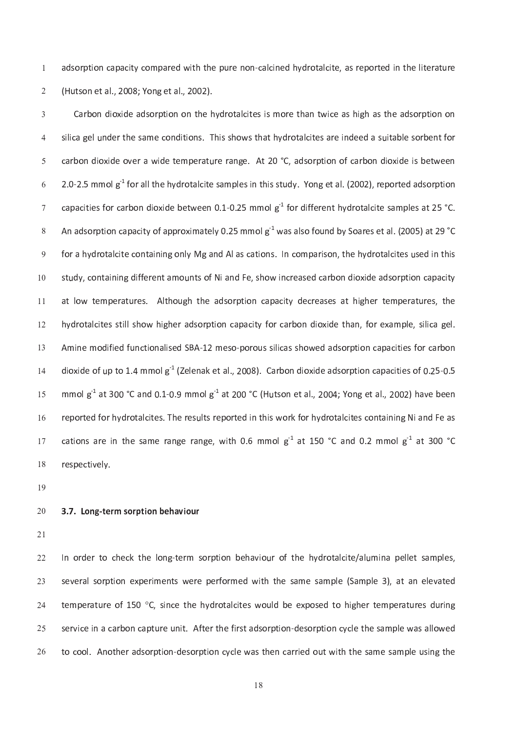a d s o r p a r e n o n o n e d a l c i n e d r o t a l c i t e r e p o r e p o r e l c i n t e l i t e r a t  $\mathbf{u}$  is the second of the three terms in the second  $\mathbf{u}$ 

i s a g e r t a b i s a m e s a t a t a t a t a l e s a r e s a r e e d a s e d a s e d a s e s a s e d a s e c <sup>a</sup> <sup>r</sup> <sup>b</sup> <sup>o</sup> <sup>n</sup> <sup>d</sup> <sup>i</sup> <sup>o</sup> <sup>x</sup> <sup>i</sup> <sup>d</sup> <sup>e</sup> <sup>o</sup> <sup>v</sup> <sup>e</sup> <sup>r</sup> <sup>a</sup> <sup>w</sup> <sup>i</sup> <sup>d</sup> <sup>e</sup> <sup>t</sup> <sup>e</sup> <sup>m</sup> <sup>p</sup> <sup>e</sup> <sup>r</sup> <sup>a</sup> <sup>t</sup> u r <sup>e</sup> <sup>r</sup> <sup>a</sup> <sup>n</sup> <sup>g</sup> <sup>e</sup> . <sup>A</sup> <sup>t</sup> 2 <sup>0</sup> ° C , <sup>a</sup> <sup>d</sup> <sup>s</sup> <sup>o</sup> <sup>r</sup> <sup>p</sup> <sup>t</sup> <sup>i</sup> <sup>o</sup> <sup>n</sup> <sup>o</sup> <sup>f</sup> <sup>c</sup> <sup>a</sup> <sup>r</sup> <sup>b</sup> <sup>o</sup> <sup>n</sup> <sup>d</sup> <sup>i</sup> <sup>o</sup> <sup>x</sup> <sup>i</sup> <sup>d</sup> <sup>e</sup> <sup>i</sup> <sup>s</sup> <sup>b</sup> <sup>e</sup> <sup>t</sup> <sup>w</sup> <sup>e</sup> <sup>e</sup> <sup>n</sup> 2 . 0 ` 2 . <sup>5</sup> <sup>m</sup> <sup>m</sup> <sup>o</sup> <sup>l</sup> <sup>g</sup> <sup>k</sup> <sup>1</sup> <sup>f</sup> <sup>o</sup> <sup>r</sup> <sup>a</sup> <sup>l</sup> <sup>l</sup> <sup>t</sup> <sup>h</sup> <sup>e</sup> <sup>h</sup> <sup>y</sup> <sup>d</sup> <sup>r</sup> <sup>o</sup> <sup>t</sup> <sup>a</sup> <sup>l</sup> <sup>c</sup> <sup>i</sup> t <sup>e</sup> <sup>s</sup> <sup>a</sup> <sup>m</sup> <sup>p</sup> <sup>l</sup> <sup>e</sup> <sup>s</sup> <sup>i</sup> <sup>n</sup> <sup>t</sup> <sup>h</sup> <sup>i</sup> <sup>s</sup> <sup>s</sup> <sup>t</sup> u d <sup>y</sup> . <sup>Y</sup> <sup>o</sup> <sup>n</sup> <sup>g</sup> <sup>e</sup> <sup>t</sup> <sup>a</sup> <sup>l</sup> . ( 2 <sup>0</sup> <sup>0</sup> <sup>2</sup> ) , <sup>r</sup> <sup>e</sup> <sup>p</sup> <sup>o</sup> <sup>r</sup> <sup>t</sup> <sup>e</sup> <sup>d</sup> <sup>a</sup> <sup>d</sup> <sup>s</sup> <sup>o</sup> <sup>r</sup> <sup>p</sup> <sup>t</sup> <sup>i</sup> <sup>o</sup> <sup>n</sup> مع عليه الله الله عليه الله عن الله عليه الله عن الله عليه الله عليه الله عليه الله عليه الله عليه الله عليه ا ده م الم الم العام التي تقدم التي تقدم التي تقدم التي تقدم التي تقدم التي تقدم التي تقدم التي تقدم التي تقدم ا f o r a c i n d a l a s c a t i o n s . I n c o m p a r i s o n s o n s o n d r o t a l c i t e s o n s o n s s t s o f N i a n d i f e r e r e r e r e a s e d c a r e a r e d i o x i d e a d s o r p t i o n c a c i t y 1 <sup>0</sup> a <sup>t</sup> <sup>l</sup> <sup>o</sup> <sup>w</sup> <sup>t</sup> <sup>e</sup> <sup>m</sup> <sup>p</sup> <sup>e</sup> <sup>r</sup> <sup>a</sup> <sup>t</sup> u r <sup>e</sup> <sup>s</sup> . <sup>A</sup> <sup>l</sup> t <sup>h</sup> <sup>o</sup> u g <sup>h</sup> <sup>t</sup> <sup>h</sup> <sup>e</sup> <sup>a</sup> <sup>d</sup> <sup>s</sup> <sup>o</sup> <sup>r</sup> <sup>p</sup> <sup>t</sup> <sup>i</sup> <sup>o</sup> <sup>n</sup> <sup>c</sup> <sup>a</sup> <sup>p</sup> <sup>a</sup> <sup>c</sup> <sup>i</sup> t <sup>y</sup> <sup>d</sup> <sup>e</sup> <sup>c</sup> <sup>r</sup> <sup>e</sup> <sup>a</sup> <sup>s</sup> <sup>e</sup> <sup>s</sup> <sup>a</sup> <sup>t</sup> <sup>h</sup> <sup>i</sup> g <sup>h</sup> <sup>e</sup> <sup>r</sup> <sup>t</sup> <sup>e</sup> <sup>m</sup> <sup>p</sup> <sup>e</sup> <sup>r</sup> <sup>a</sup> <sup>t</sup> u r <sup>e</sup> <sup>s</sup> , <sup>t</sup> <sup>h</sup> <sup>e</sup> 1 <sup>1</sup> h y d r o t a l s h o w h i g h o w h i d i o n d i o x i d e t h a n d e t h a n d e t h a n d e t e t a g e<br>L a n d i o x i d e t h a n d e t h a n d e t h a n e s i l i c a g e l . F o r e x a m p l e , s i l i c a g 1 <sup>2</sup>  $\mathbf{r} = \mathbf{r}$  , and the significant contract the significant contract the significant contract of the significant contract of the significant contract of the significant contract of the significant contract of the signi 1 <sup>3</sup>  $\frac{1}{2}$  .  $\frac{1}{2}$  .  $\frac{1}{2}$  .  $\frac{1}{2}$  .  $\frac{1}{2}$  .  $\frac{1}{2}$  .  $\frac{1}{2}$  .  $\frac{1}{2}$  .  $\frac{1}{2}$  .  $\frac{1}{2}$  .  $\frac{1}{2}$  .  $\frac{1}{2}$  .  $\frac{1}{2}$  .  $\frac{1}{2}$  .  $\frac{1}{2}$  .  $\frac{1}{2}$  .  $\frac{1}{2}$  .  $\frac{1}{2}$  .  $\frac{1$  $\overline{a}$ m <sup>m</sup> <sup>o</sup> <sup>l</sup> <sup>g</sup> <sup>k</sup> <sup>1</sup> <sup>a</sup> <sup>t</sup> <sup>3</sup> 0 <sup>0</sup> ° C <sup>a</sup> <sup>n</sup> <sup>d</sup> 0 . <sup>1</sup> ` 0 . 9 m <sup>m</sup> <sup>o</sup> <sup>l</sup> <sup>g</sup> <sup>k</sup> <sup>1</sup> <sup>a</sup> <sup>t</sup> 2 <sup>0</sup> <sup>0</sup> ° C ( <sup>H</sup> u t <sup>s</sup> <sup>o</sup> <sup>n</sup> <sup>e</sup> <sup>t</sup> <sup>a</sup> <sup>l</sup> . , 2 <sup>0</sup> <sup>0</sup> <sup>4</sup> ; <sup>Y</sup> <sup>o</sup> <sup>n</sup> <sup>g</sup> <sup>e</sup> <sup>t</sup> <sup>a</sup> <sup>l</sup> . , 2 <sup>0</sup> <sup>0</sup> <sup>2</sup> ) <sup>h</sup> <sup>a</sup> <sup>v</sup> <sup>e</sup> <sup>b</sup> <sup>e</sup> <sup>e</sup> <sup>n</sup> 1 5 r <sup>e</sup> <sup>p</sup> <sup>o</sup> <sup>r</sup> <sup>t</sup> <sup>e</sup> <sup>d</sup> <sup>f</sup> <sup>o</sup> <sup>r</sup> <sup>h</sup> <sup>y</sup> <sup>d</sup> <sup>r</sup> <sup>o</sup> <sup>t</sup> <sup>a</sup> <sup>l</sup> <sup>c</sup> <sup>i</sup> t <sup>e</sup> <sup>s</sup> . <sup>T</sup> <sup>h</sup> <sup>e</sup> <sup>r</sup> <sup>e</sup> <sup>s</sup> u l t <sup>s</sup> <sup>r</sup> <sup>e</sup> <sup>p</sup> <sup>o</sup> <sup>r</sup> <sup>t</sup> <sup>e</sup> <sup>d</sup> <sup>i</sup> <sup>n</sup> <sup>t</sup> <sup>h</sup> <sup>i</sup> <sup>s</sup> <sup>w</sup> <sup>o</sup> <sup>r</sup> <sup>k</sup> <sup>f</sup> <sup>o</sup> <sup>r</sup> <sup>h</sup> <sup>y</sup> <sup>d</sup> <sup>r</sup> <sup>o</sup> <sup>t</sup> <sup>a</sup> <sup>l</sup> <sup>c</sup> <sup>i</sup> t <sup>e</sup> <sup>s</sup> <sup>c</sup> <sup>o</sup> <sup>n</sup> <sup>t</sup> <sup>a</sup> <sup>i</sup> <sup>n</sup> <sup>i</sup> <sup>n</sup> <sup>g</sup> <sup>N</sup> <sup>i</sup> <sup>a</sup> <sup>n</sup> <sup>d</sup> <sup>F</sup> <sup>e</sup> <sup>a</sup> <sup>s</sup> 1 <sup>6</sup> يم معمال العام المعامل المعامل العام العام العام العام العام العام العام العام العام العام العام العام العام ا --

1 <sup>9</sup>

#### 3 . <sup>7</sup> . <sup>L</sup> <sup>o</sup> <sup>n</sup> <sup>g</sup> <sup>t</sup> <sup>e</sup> <sup>r</sup> <sup>m</sup> <sup>s</sup> <sup>o</sup> <sup>r</sup> <sup>p</sup> <sup>t</sup> <sup>i</sup> <sup>o</sup> <sup>n</sup> <sup>b</sup> <sup>e</sup> <sup>h</sup> <sup>a</sup> <sup>v</sup> <sup>i</sup> <sup>o</sup> <sup>u</sup> <sup>r</sup>  $\sim$

 $\sim$ 

r o r de la contrada de la contrada de la contrada de la contrada de la contrada de la contrada de la contrada  $\sim$  $\sim$ temperature of 150 °C, since the hydrotalcites would be exposed to higher temperatures durin  $\sim$ s e r b o n a f t e f i r s t a d s o r p t i o n a m p l e s a m p l e t a m p l e s a m p l e w a l l o w e  $\sim$ t o c'hoarier e r an den e r an den e n c'hoarier e n an den e n a r r i e n c'hoarier e general e n a r r i e  $\sim$ 

-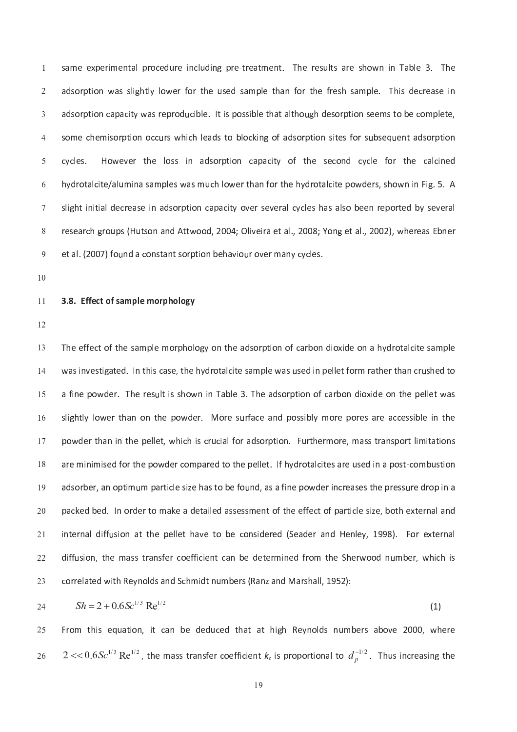s <sup>a</sup> <sup>m</sup> <sup>e</sup> <sup>e</sup> <sup>x</sup> <sup>p</sup> <sup>e</sup> <sup>r</sup> <sup>i</sup> <sup>m</sup> <sup>e</sup> <sup>n</sup> <sup>t</sup> <sup>a</sup> <sup>l</sup> <sup>p</sup> <sup>r</sup> <sup>o</sup> <sup>c</sup> <sup>e</sup> <sup>d</sup> u r <sup>e</sup> <sup>i</sup> <sup>n</sup> <sup>c</sup> <sup>l</sup> u d <sup>i</sup> <sup>n</sup> <sup>g</sup> <sup>p</sup> <sup>r</sup> <sup>e</sup> ` <sup>t</sup> <sup>r</sup> <sup>e</sup> <sup>a</sup> <sup>t</sup> <sup>m</sup> <sup>e</sup> <sup>n</sup> <sup>t</sup> . <sup>T</sup> <sup>h</sup> <sup>e</sup> <sup>r</sup> <sup>e</sup> <sup>s</sup> u l t <sup>s</sup> <sup>a</sup> <sup>r</sup> <sup>e</sup> <sup>s</sup> <sup>h</sup> <sup>o</sup> <sup>w</sup> <sup>n</sup> <sup>i</sup> <sup>n</sup> <sup>T</sup> <sup>a</sup> <sup>b</sup> <sup>l</sup> <sup>e</sup> <sup>3</sup> . <sup>T</sup> <sup>h</sup> <sup>e</sup> a d s o r p l o r t h e f o r t l o r t h a n f o r t h e f r e f r e f r e s h e . T h i s d e c r e c r e a un l e . I t i s p o s s i b l e t a l e t a l t h o s e s o r p t i o n s e e m s e m s e m p l e t e t e t e un e c'hoariel e an den e an den en den e an den e an den e s i t e s f o r s o r p t a de s o r p t a de s o cycles. However the loss in adsorption capacity of the second cycle for the calcined n a s a s a s a m p l o contra n f o r t a n f o r o t a l o t a l o w d e r t e r t a n f i g . S . A n i g a  $\mathbf{r} = \mathbf{r} - \mathbf{r}$  , we have the result of the result of the result of the result of the result of the result of the result of the result of the result of the result of the result of the result of the result of the re e <sup>t</sup> <sup>a</sup> <sup>l</sup> . ( 2 <sup>0</sup> <sup>0</sup> 7 ) <sup>f</sup> <sup>o</sup> u n <sup>d</sup> <sup>a</sup> <sup>c</sup> <sup>o</sup> <sup>n</sup> <sup>s</sup> <sup>t</sup> <sup>a</sup> <sup>n</sup> <sup>t</sup> <sup>s</sup> <sup>o</sup> <sup>r</sup> <sup>p</sup> <sup>t</sup> <sup>i</sup> <sup>o</sup> <sup>n</sup> <sup>b</sup> <sup>e</sup> <sup>h</sup> <sup>a</sup> <sup>v</sup> <sup>i</sup> <sup>o</sup> u r <sup>o</sup> <sup>v</sup> <sup>e</sup> <sup>r</sup> <sup>m</sup> <sup>a</sup> <sup>n</sup> <sup>y</sup> <sup>c</sup> <sup>y</sup> <sup>c</sup> <sup>l</sup> <sup>e</sup> <sup>s</sup> .

1 <sup>0</sup>

#### 3 . <sup>8</sup> . <sup>E</sup> <sup>f</sup> <sup>f</sup> <sup>e</sup> <sup>c</sup> <sup>t</sup> <sup>o</sup> <sup>f</sup> <sup>s</sup> <sup>a</sup> <sup>m</sup> <sup>p</sup> <sup>l</sup> <sup>e</sup> <sup>m</sup> <sup>o</sup> <sup>r</sup> <sup>p</sup> <sup>h</sup> <sup>o</sup> <sup>l</sup> <sup>o</sup> <sup>g</sup> <sup>y</sup> 1 <sup>1</sup>

1 <sup>2</sup>

1 <sup>3</sup> un e d r o t a l e t a l e s a m p l e w a s a m p l e w a s a m p l e w a s a m p l e r t e r t e r t e r t e  $\overline{a}$ un t i s s h o w n i n i n i o n i o s o r p t i o n o f c a r b o n d i o n d i o n t h e o n t h e p e l e t 1 5 r f a c e r e r e s i b l o r e s a c e a n d p o s i b l y m o r e s a r e s a r e a r e s i b l e i s i b l 1 <sup>6</sup> un t h a l f o r a l e r a d s o r a d s o r a n s o r a n a s e r a n s o r a n s e r a n s o r a t i o n s o un i n i m i s e d t o t a r e t a r e t a r o t a l e t a r e s a r e s a r e s a r e s a r e s a r e s a r e a <sup>d</sup> <sup>s</sup> <sup>o</sup> <sup>r</sup> <sup>b</sup> <sup>e</sup> <sup>r</sup> , <sup>a</sup> <sup>n</sup> <sup>o</sup> <sup>p</sup> <sup>t</sup> <sup>i</sup> <sup>m</sup> u m <sup>p</sup> <sup>a</sup> <sup>r</sup> <sup>t</sup> <sup>i</sup> <sup>c</sup> <sup>l</sup> <sup>e</sup> <sup>s</sup> <sup>i</sup> <sup>z</sup> <sup>e</sup> <sup>h</sup> <sup>a</sup> <sup>s</sup> <sup>t</sup> <sup>o</sup> <sup>b</sup> <sup>e</sup> <sup>f</sup> <sup>o</sup> u n <sup>d</sup> , <sup>a</sup> <sup>s</sup> <sup>a</sup> <sup>f</sup> <sup>i</sup> <sup>n</sup> <sup>e</sup> <sup>p</sup> <sup>o</sup> <sup>w</sup> <sup>d</sup> <sup>e</sup> <sup>r</sup> <sup>i</sup> <sup>n</sup> <sup>c</sup> <sup>r</sup> <sup>e</sup> <sup>a</sup> <sup>s</sup> <sup>e</sup> <sup>s</sup> <sup>t</sup> <sup>h</sup> <sup>e</sup> <sup>p</sup> <sup>r</sup> <sup>e</sup> <sup>s</sup> <sup>s</sup> u r <sup>e</sup> <sup>d</sup> <sup>r</sup> <sup>o</sup> <sup>p</sup> <sup>i</sup> <sup>n</sup> <sup>a</sup> 1 <sup>9</sup>  $\sim$  $\mathbf{r}$  into the contract of the results of the results of the results of the results of the results of the results of the results of the results of the results of the results of the results of the results of the results  $\sim$  $\alpha$  in the set of the set of the set of the set of the set of the set of the set of the set of the set of the set of the set of the set of the set of the set of the set of the set of the set of the set of the set of the  $\sim$ ذا و القطوط التي يقول التي تقول التي تقول التي تقول التي تقول التي تقول التي تقول التي تقول التي تقول التي تقول ا<br>وقال التي تقول التي تقول التي تقول التي تقول التي تقول التي تقول التي تقول التي تقول التي تقول التي تقول ال  $\sim$ 

$$
24 \t\t Sh = 2 + 0.6Sc^{1/3} \text{Re}^{1/2} \t\t(1)
$$

 $\sim$  $2 < 0.6 S c^{1/3} \text{ Re}^{1/2}$ , the mass transfer coefficient  $k_c$  is proportional to  $d_n^{-1/2}$ <sup>d</sup> . <sup>T</sup> <sup>h</sup> u s <sup>i</sup> <sup>n</sup> <sup>c</sup> <sup>r</sup> <sup>e</sup> <sup>a</sup> <sup>s</sup> <sup>i</sup> <sup>n</sup> <sup>g</sup> <sup>t</sup> <sup>h</sup> <sup>e</sup>  $\sim$ 

F <sup>r</sup> <sup>o</sup> <sup>m</sup> <sup>t</sup> <sup>h</sup> <sup>i</sup> <sup>s</sup> <sup>e</sup> <sup>q</sup> u a <sup>t</sup> <sup>i</sup> <sup>o</sup> <sup>n</sup> , <sup>i</sup> t <sup>c</sup> <sup>a</sup> <sup>n</sup> <sup>b</sup> <sup>e</sup> <sup>d</sup> <sup>e</sup> <sup>d</sup> u c <sup>e</sup> <sup>d</sup> <sup>t</sup> <sup>h</sup> <sup>a</sup> <sup>t</sup> <sup>a</sup> <sup>t</sup> <sup>h</sup> <sup>i</sup> g <sup>h</sup> <sup>R</sup> <sup>e</sup> <sup>y</sup> <sup>n</sup> <sup>o</sup> <sup>l</sup> <sup>d</sup> <sup>s</sup> <sup>n</sup> u m <sup>b</sup> <sup>e</sup> <sup>r</sup> <sup>s</sup> <sup>a</sup> <sup>b</sup> <sup>o</sup> <sup>v</sup> <sup>e</sup> 2 <sup>0</sup> <sup>0</sup> <sup>0</sup> , <sup>w</sup> <sup>h</sup> <sup>e</sup> <sup>r</sup> <sup>e</sup>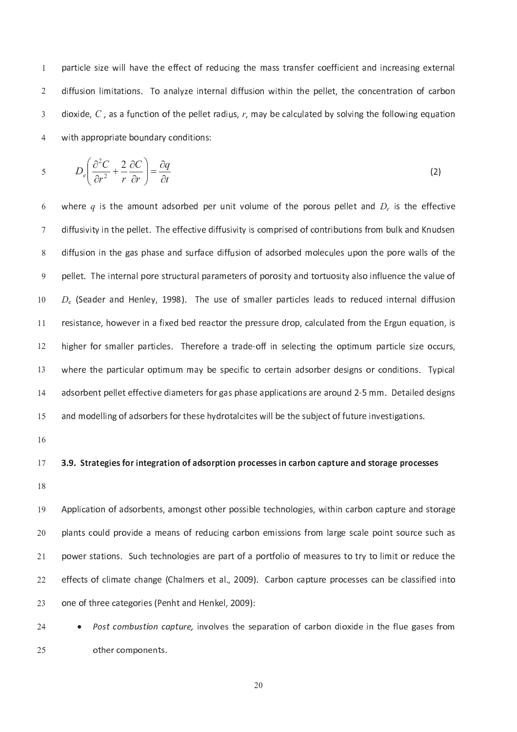c in the contract of the matrix  $\alpha$  in the set of the set of the set of the set of the set of the set of the s  $\alpha$  is the set in the contract of the problem of the problem of the problem of the problem of the problem of the problem of the problem of the problem of the problem of the problem of the problem of the problem of the pr  $\alpha$  is a set of the problem of the first problem of the first problem of the first problem of the first problem of the first problem of the first problem of the first problem of the first problem of the first problem of where the p r o p r o p r o n d i t i o n d a r y c o n d a r y c o n d a r y c o n d a r y c o n d i t i o n s

$$
5 \t D_e \left( \frac{\partial^2 C}{\partial r^2} + \frac{2}{r} \frac{\partial C}{\partial r} \right) = \frac{\partial q}{\partial t}
$$
 (2)

w <sup>h</sup> <sup>e</sup> <sup>r</sup> <sup>e</sup> <sup>q</sup> <sup>i</sup> <sup>s</sup> <sup>t</sup> <sup>h</sup> <sup>e</sup> <sup>a</sup> <sup>m</sup> <sup>o</sup> u n <sup>t</sup> <sup>a</sup> <sup>d</sup> <sup>s</sup> <sup>o</sup> <sup>r</sup> <sup>b</sup> <sup>e</sup> <sup>d</sup> <sup>p</sup> <sup>e</sup> <sup>r</sup> u n <sup>i</sup> t <sup>v</sup> <sup>o</sup> <sup>l</sup> u m <sup>e</sup> <sup>o</sup> <sup>f</sup> <sup>t</sup> <sup>h</sup> <sup>e</sup> <sup>p</sup> <sup>o</sup> <sup>r</sup> <sup>o</sup> u s <sup>p</sup> <sup>e</sup> <sup>l</sup> <sup>l</sup> <sup>e</sup> <sup>t</sup> <sup>a</sup> <sup>n</sup> <sup>d</sup> <sup>D</sup> <sup>e</sup> <sup>i</sup> <sup>s</sup> <sup>t</sup> <sup>h</sup> <sup>e</sup> <sup>e</sup> <sup>f</sup> <sup>f</sup> <sup>e</sup> <sup>c</sup> <sup>t</sup> <sup>i</sup> v <sup>e</sup>  $\mathbf{u} \in \mathbb{R}$  is the contract of the final contract of the contract of the final contract of the final contract of the contract of the contract of the contract of the contract of the contract of the contract of the con  $\mathbf{u}$  is the contract of the grade  $\mathbf{u}$  for a substitution of the position of the position of the position of the contract of the position of the position of the position of the position of the position of the posi un a l p a r a m e t e r a r a n d t a n d t o r a n d t o r a n d t o r a n d t o r a n d t o r a n d t o r a  $\mathcal{D} = \{a, b, c, d, d, c, d\}$  . The set of the set of the set of the set of the set of the set of the set of the set of the set of the set of the set of the set of the set of the set of the set of the set of the set of the s 1 <sup>0</sup> r <sup>e</sup> <sup>s</sup> <sup>i</sup> <sup>s</sup> <sup>t</sup> <sup>a</sup> <sup>n</sup> <sup>c</sup> <sup>e</sup> , <sup>h</sup> <sup>o</sup> <sup>w</sup> <sup>e</sup> <sup>v</sup> <sup>e</sup> <sup>r</sup> <sup>i</sup> <sup>n</sup> <sup>a</sup> <sup>f</sup> <sup>i</sup> x <sup>e</sup> <sup>d</sup> <sup>b</sup> <sup>e</sup> <sup>d</sup> <sup>r</sup> <sup>e</sup> <sup>a</sup> <sup>c</sup> <sup>t</sup> <sup>o</sup> <sup>r</sup> <sup>t</sup> <sup>h</sup> <sup>e</sup> <sup>p</sup> <sup>r</sup> <sup>e</sup> <sup>s</sup> <sup>s</sup> u r <sup>e</sup> <sup>d</sup> <sup>r</sup> <sup>o</sup> <sup>p</sup> , <sup>c</sup> <sup>a</sup> <sup>l</sup> <sup>c</sup> u l <sup>a</sup> <sup>t</sup> <sup>e</sup> <sup>d</sup> <sup>f</sup> <sup>r</sup> <sup>o</sup> <sup>m</sup> <sup>t</sup> <sup>h</sup> <sup>e</sup> <sup>E</sup> <sup>r</sup> <sup>g</sup> u n <sup>e</sup> <sup>q</sup> u a <sup>t</sup> <sup>i</sup> <sup>o</sup> <sup>n</sup> , <sup>i</sup> <sup>s</sup> 1 <sup>1</sup> n e r e r e f o r e a t r a d e c'h e r e d e c'h e c'h e o p t i m e o p t i m e o p t i m e o p t i m e o p 1 <sup>2</sup> w h e s p a r o p a r o c e r o c e r t a i n a d s o r b e r d e s i g n s o r c o n d i t i o n d i t i o n 1 <sup>3</sup> a d s o r b e r s a s e a p a s e a p l i c a t i o n s a r e a r o r o n s e a r o n s a r e a r e s a r e a r  $\overline{a}$ un d r o t a l i l i l a l c i t e s w i l l b e t h e s w i l b e t h e s w i l l b e t h e s w i l l b e t h 1 5

 $\overline{a}$ 

### 3 . <sup>9</sup> . <sup>S</sup> <sup>t</sup> <sup>r</sup> <sup>a</sup> <sup>t</sup> <sup>e</sup> <sup>g</sup> <sup>i</sup> <sup>e</sup> <sup>s</sup> <sup>f</sup> <sup>o</sup> <sup>r</sup> <sup>i</sup> <sup>n</sup> <sup>t</sup> <sup>e</sup> <sup>g</sup> <sup>r</sup> <sup>a</sup> <sup>t</sup> <sup>i</sup> <sup>o</sup> <sup>n</sup> <sup>o</sup> <sup>f</sup> <sup>a</sup> <sup>d</sup> <sup>s</sup> <sup>o</sup> <sup>r</sup> <sup>p</sup> <sup>t</sup> <sup>i</sup> <sup>o</sup> <sup>n</sup> <sup>p</sup> <sup>r</sup> <sup>o</sup> <sup>c</sup> <sup>e</sup> <sup>s</sup> <sup>s</sup> <sup>e</sup> <sup>s</sup> <sup>i</sup> <sup>n</sup> <sup>c</sup> <sup>a</sup> <sup>r</sup> <sup>b</sup> <sup>o</sup> <sup>n</sup> <sup>c</sup> <sup>a</sup> <sup>p</sup> <sup>t</sup> <sup>u</sup> <sup>r</sup> <sup>e</sup> <sup>a</sup> <sup>n</sup> <sup>d</sup> <sup>s</sup> <sup>t</sup> <sup>o</sup> <sup>r</sup> <sup>a</sup> <sup>g</sup> <sup>e</sup> <sup>p</sup> <sup>r</sup> <sup>o</sup> <sup>c</sup> <sup>e</sup> <sup>s</sup> <sup>s</sup> <sup>e</sup> <sup>s</sup> -

1 <sup>8</sup>

r e n o f a d s o r b e r p o s i b l e t e c h n o l o l o g i e s i d e s i d e s e c a p t h i n c a r b o n 1 <sup>9</sup> un d c o contra contra contra contra contra contra contra contra contra contra contra contra contra contra con  $\sim$ un o l o l o l o l o f a r e s a r e constante de la parte de la parte de la parte de la parte de la parte de  $-2$  $\epsilon$  and  $\epsilon$  is a constant of the constant of the constant of the constant of the constant of the constant of the constant of the constant of the constant of the constant of the constant of the constant of the constant o  $\sim$ o f t h r e e c a t e c a t e s ( P e n d e n d e n d e n h e n d e n h e n h e n d H e n d H e n d H e l o 9 0  $\sim$ 

• Post combustion capture, involves the separation of carbon dioxide in the flue gases from 24 o ther components. 25

 $\sim$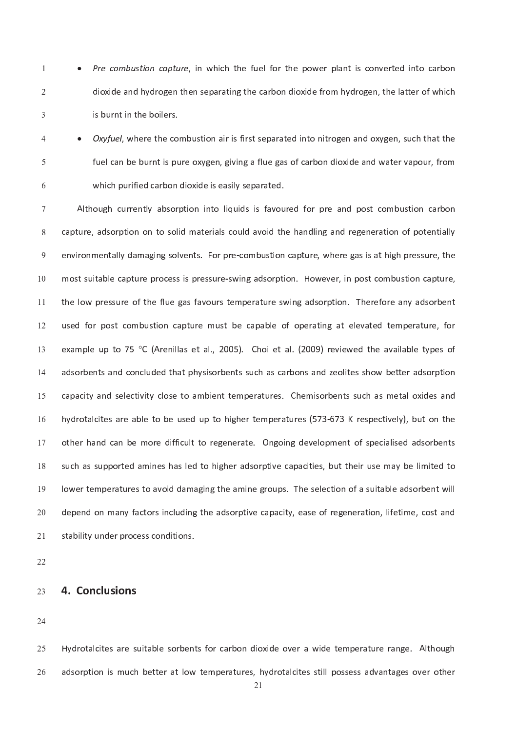• Pre combustion capture, in which the fuel for the power plant is converted into carbon <sup>1</sup> dioxide and hydrogen then separating the carbon dioxide from hydrogen, the latter of which <sup>2</sup> is burnt in the boilers. <sup>3</sup>

Oxyfuel, where the combustion air is first separated into nitrogen and oxygen, such that the <sup>4</sup> fuel can be burnt is pure oxygen, giving a flue gas of carbon dioxide and water vapour, from <sup>5</sup> which purified carbon dioxide is easily separated. <sup>6</sup>

Although currently absorption into liquids is favoured for pre and post combustion carbo <sup>7</sup> 8 capture, adsorption on to solid materials could avoid the handling and regeneration of potentially environmentally damaging solvents. For pre-combustion capture, where gas is at high pressure, the <sup>9</sup> most suitable capture process is pressure-swing adsorption. However, in post combustion capture, <sup>1</sup> <sup>0</sup> the low pressure of the flue gas favours temperature swing adsorption. Therefore any adsorbent **11** used for post combustion capture must be capable of operating at elevated temperature, for 12 example up to 75 °C (Arenillas et al., 2005). Choi et al. (2009) reviewed the available types o 13 adsorbents and concluded that physisorbents such as carbons and zeolites show better adsorption <sup>1</sup> <sup>4</sup> capacity and selectivity close to ambient temperatures. Chemisorbents such as metal oxides and <sup>1</sup> <sup>5</sup> hydrotalcites are able to be used up to higher temperatures (573-673 K respectively), but on the <sup>1</sup> <sup>6</sup> other hand can be more difficult to regenerate. Ongoing development of specialised adsorbents <sup>1</sup> <sup>7</sup> such as supported amines has led to higher adsorptive capacities, but their use may be limited to <sup>1</sup> <sup>8</sup> lower temperatures to avoid damaging the amine groups. The selection of a suitable adsorbent will 19 depend on many factors including the adsorptive capacity, ease of regeneration, lifetime, cost and 20 stability under process conditions. 21

22

#### 4. Conclusions 23

24

Hydrotalcites are suitable sorbents for carbon dioxide over a wide temperature range. Althoug 25 adsorption is much better at low temperatures, hydrotalcites still possess advantages over other 26

21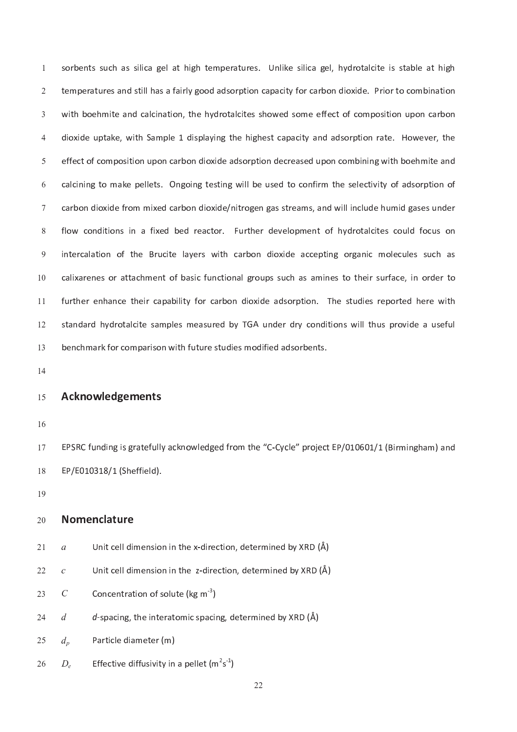sorbents such as silica gel at high temperatures. Unlike silica gel, hydrotalcite is stable at high <sup>1</sup> temperatures and still has a fairly good adsorption capacity for carbon dioxide. Prior to combination <sup>2</sup> with boehmite and calcination, the hydrotalcites showed some effect of composition upon carbon <sup>3</sup> dioxide uptake, with Sample 1 displaying the highest capacity and adsorption rate. However, the <sup>4</sup> effect of composition upon carbon dioxide adsorption decreased upon combining with boehmite and <sup>5</sup> calcining to make pellets. Ongoing testing will be used to confirm the selectivity of adsorption of <sup>6</sup> carbon dioxide from mixed carbon dioxide/nitrogen gas streams, and will include humid gases under <sup>7</sup> flow conditions in a fixed bed reactor. Further development of hydrotalcites could focus on <sup>8</sup> intercalation of the Brucite layers with carbon dioxide accepting organic molecules such as <sup>9</sup> calixarenes or attachment of basic functional groups such as amines to their surface, in order to <sup>1</sup> <sup>0</sup> further enhance their capability for carbon dioxide adsorption. The studies reported here with **11** standard hydrotalcite samples measured by TGA under dry conditions will thus provide a usefu 12 b en ch mark for comparison with future studies modified adsorbents. 13

<sup>1</sup> <sup>4</sup>

#### A cknowled gements <sup>1</sup> <sup>5</sup>

16

- EPSRC funding is gratefully acknowledged from the "C-Cycle" project EP/010601/1 (Birmingham) an <sup>1</sup> <sup>7</sup> EP/E010318/1 (Sheffield). <sup>1</sup> <sup>8</sup>
- 19

#### **Nomenclature** 20

- <sup>a</sup> Unit cell dimension in the x-direction, determined by XRD (Å) 21
- <sup>c</sup> Unit cell dimension in the z-direction, determined by XRD (Å) 22
- $\overline{C}$ Concentration of solute ( $kg \text{ m}^{-3}$ ) 23
- $d$ d-spacing, the interatomic spacing, determined by XRD ( $\AA$ ) 24

 $d_n$ Particle diameter (m) 25

 $D_e$ Effective diffusivity in a pellet (m´s  $^\mathrm{+}$ 26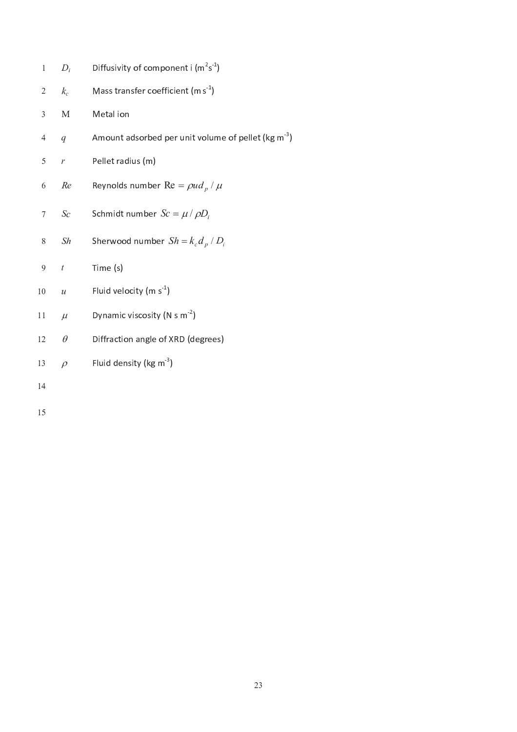| $\mathbf{1}$ | $D_i$            | Diffusivity of component i $(m^2s^1)$                        |
|--------------|------------------|--------------------------------------------------------------|
| $\mathbf{2}$ | $k_c$            | Mass transfer coefficient (m $s-1$ )                         |
| 3            | $\mathbf M$      | Metal ion                                                    |
| 4            | $\overline{q}$   | Amount adsorbed per unit volume of pellet (kg m <sup>3</sup> |
| 5            | $\overline{r}$   | Pellet radius (m)                                            |
| 6            | Re               | Reynolds number Re = $\rho ud_p / \mu$                       |
| $\tau$       | Sc               | Schmidt number $Sc = \mu / \rho D_i$                         |
| $8\,$        | Sh               | Sherwood number $Sh = k_c d_p / D_i$                         |
| 9            | $\boldsymbol{t}$ | Time (s)                                                     |
| 10           | $\mathcal{U}$    | Fluid velocity (m s <sup>-1</sup> )                          |
| 11           | $\mu$            | Dynamic viscosity (N s $m-2$ )                               |
| 12           | $\theta$         | Diffraction angle of XRD (degrees)                           |
| 13           | $\rho$           | Fluid density (kg m $3$ )                                    |
| 14           |                  |                                                              |
| 15           |                  |                                                              |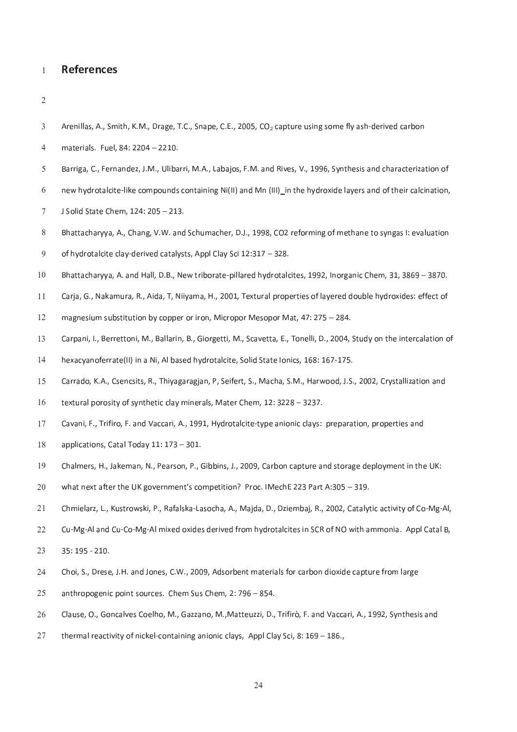#### **References** <sup>1</sup>

<sup>2</sup>

- Arenillas, A., Smith, K.M., Drage, T.C., Snape, C.E., 2005,  $CO<sub>2</sub>$  capture using some fly ash-derived carbon <sup>3</sup>
- 4 materials. Fuel, 84: 2204 2210.
- 5 Barriga, C., Fernandez, J.M., Ulibarri, M.A., Labajos, F.M. and Rives, V., 1996, Synthesis and characterization of
- 6 new hydrotalcite-like compounds containing Ni(II) and Mn (III) in the hydroxide layers and of their calcination,
- J Solid State Chem, 124: 205 213.
- <sup>B</sup> <sup>h</sup> <sup>a</sup> <sup>t</sup> <sup>t</sup> <sup>a</sup> <sup>c</sup> <sup>h</sup> <sup>a</sup> <sup>r</sup> <sup>y</sup> <sup>y</sup> <sup>a</sup> , <sup>A</sup> . , <sup>C</sup> <sup>h</sup> <sup>a</sup> <sup>n</sup> <sup>g</sup> , <sup>V</sup> . <sup>W</sup> . <sup>a</sup> <sup>n</sup> <sup>d</sup> <sup>S</sup> <sup>c</sup> <sup>h</sup> <sup>u</sup> <sup>m</sup> <sup>a</sup> <sup>c</sup> <sup>h</sup> <sup>e</sup> <sup>r</sup> , <sup>D</sup> . <sup>J</sup> . , <sup>1</sup> <sup>9</sup> <sup>9</sup> <sup>8</sup> , <sup>C</sup> <sup>O</sup> <sup>2</sup> <sup>r</sup> <sup>e</sup> <sup>f</sup> <sup>o</sup> <sup>r</sup> <sup>m</sup> <sup>i</sup> <sup>n</sup> <sup>g</sup> <sup>o</sup> <sup>f</sup> <sup>m</sup> <sup>e</sup> <sup>t</sup> <sup>h</sup> <sup>a</sup> <sup>n</sup> <sup>e</sup> <sup>t</sup> <sup>o</sup> <sup>s</sup> <sup>y</sup> <sup>n</sup> <sup>g</sup> <sup>a</sup> <sup>s</sup> <sup>I</sup> : <sup>e</sup> <sup>v</sup> <sup>a</sup> <sup>l</sup> <sup>u</sup> <sup>a</sup> <sup>t</sup> <sup>i</sup> <sup>o</sup> <sup>n</sup> <sup>8</sup>
- $9$  of hydrotalcite clay-derived catalysts, Appl Clay Sci 12:317 328.
- ة القادة العامل التي تقدم المقدم التي التي التي تقدم التي تقدم التي تقدم التي التي يقدم التي التي ال
- 11 Carja, G., Nakamura, R., Aida, T, Niiyama, H., 2001, Textural properties of layered double hydroxides: effect of
- 12 magnesium substitution by copper or iron, Micropor Mesopor Mat, 47: 275 284.
- 13 Carpani, I., Berrettoni, M., Ballarin, B., Giorgetti, M., Scavetta, E., Tonelli, D., 2004, Study on the intercalation of
- h ex a cyanoferrate (II) in a Ni, Al based hydrotalcite, Solid State Ionics, 168: 167-175.
- Carrado, K.A., Csencsits, R., Thiyagaragjan, P, Seifert, S., Macha, S.M., Harwood, J.S., 2002, Crystallization and 15
- 16 textural porosity of synthetic clay minerals, Mater Chem, 12: 3228 3237.
- Cavani, F., Trifiro, F. and Vaccari, A., 1991, Hydrotalcite-type anionic clays: preparation, properties and <sup>1</sup> <sup>7</sup>
- $18$  applications, Catal Today 11: 173 301.
- 19 Chalmers, H., Jakeman, N., Pearson, P., Gibbins, J., 2009, Carbon capture and storage deployment in the UK:
- <sup>w</sup> <sup>h</sup> <sup>a</sup> <sup>t</sup> <sup>n</sup> <sup>e</sup> <sup>x</sup> <sup>t</sup> <sup>a</sup> <sup>f</sup> <sup>t</sup> <sup>e</sup> <sup>r</sup> <sup>t</sup> <sup>h</sup> <sup>e</sup> <sup>U</sup> <sup>K</sup> <sup>g</sup> <sup>o</sup> <sup>v</sup> <sup>e</sup> <sup>r</sup> <sup>n</sup> <sup>m</sup> <sup>e</sup> <sup>n</sup> <sup>t</sup> ' <sup>s</sup> <sup>c</sup> <sup>o</sup> <sup>m</sup> <sup>p</sup> <sup>e</sup> <sup>t</sup> <sup>i</sup> <sup>t</sup> <sup>i</sup> <sup>o</sup> <sup>n</sup> ? <sup>P</sup> <sup>r</sup> <sup>o</sup> <sup>c</sup> . <sup>I</sup> <sup>M</sup> <sup>e</sup> <sup>c</sup> <sup>h</sup> <sup>E</sup> <sup>2</sup> <sup>2</sup> <sup>3</sup> <sup>P</sup> <sup>a</sup> <sup>r</sup> <sup>t</sup> <sup>A</sup> : 3 <sup>0</sup> <sup>5</sup> <sup>3</sup> <sup>1</sup> <sup>9</sup> . <sup>2</sup> <sup>0</sup>
- 21 Chmielarz, L., Kustrowski, P., Rafalska-Lasocha, A., Majda, D., Dziembaj, R., 2002, Catalytic activity of Co-Mg-Al,
- co a n d a l a a n i d r o m h y d r o t a m a m o n s i n s i n d r o f n m m o n i a m m o n i a t a t a t a
- 23 35:195 210.
- 24 Choi, S., Drese, J.H. and Jones, C.W., 2009, Adsorbent materials for carbon dioxide capture from large
- 25 anthropogenic point sources. Chem Sus Chem, 2: 796 854.
- Clause, O., Goncalves Coelho, M., Gazzano, M., Matteuzzi, D., Trifirò, F. and Vaccari, A., 1992, Synthesis and 26
- thermal reactivity of nickel-containing anionic clays, Appl Clay Sci, 8: 169 186., 27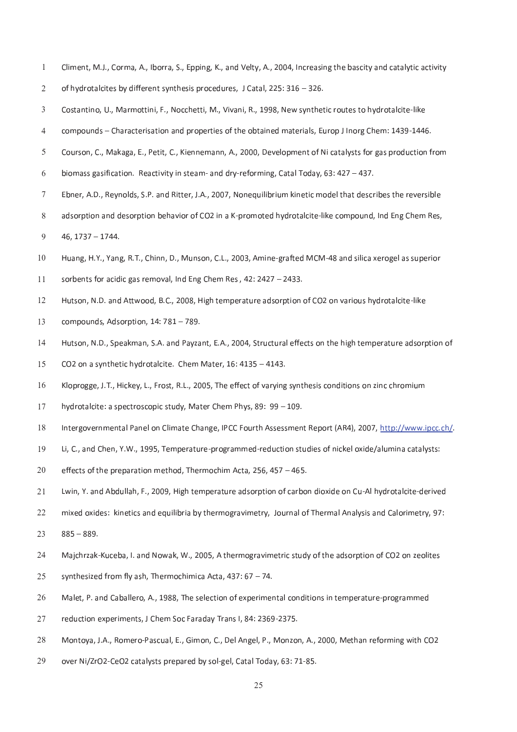- 1 Climent, M.J., Corma, A., Iborra, S., Epping, K., and Velty, A., 2004, Increasing the bascity and catalytic activity
- $2$  of hydrotal cites by different synthesis procedures, J Catal, 225: 316 326.
- 3 Costantino, U., Marmottini, F., Nocchetti, M., Vivani, R., 1998, New synthetic routes to hydrotalcite-like
- compounds Characterisation and properties of the obtained materials, Europ J Inorg Chem: 1439-1446.
- Courson, C., Makaga, E., Petit, C., Kiennemann, A., 2000, Development of Ni catalysts for gas production from <sup>5</sup>
- 6 biomass gasification. Reactivity in steam- and dry-reforming, Catal Today, 63: 427 437.
- 7 Ebner, A.D., Reynolds, S.P. and Ritter, J.A., 2007, Nonequilibrium kinetic model that describes the reversible
- 8 adsorption and desorption behavior of CO2 in a K-promoted hydrotalcite-like compound, Ind Eng Chem Res,  $9$  46, 1737 – 1744.
- 10 Huang, H.Y., Yang, R.T., Chinn, D., Munson, C.L., 2003, Amine-grafted MCM-48 and silica xerogel as superior
- 11 sorbents for acidic gas removal, Ind Eng Chem Res,  $42:2427 2433$ .
- . A . D . a s o o o d a t w o o d a t i d r o f a t i d r o d l i t e l i t e l i t e l i t e l i t e l i t e
- $13$  compounds, Adsorption,  $14:781-789$ .
- Hutson, N.D., Speakman, S.A. and Payzant, E.A., 2004, Structural effects on the high temperature adsorption of
- 15 CO2 on a synthetic hydrotalcite. Chem Mater, 16: 4135 4143.
- K loprogge, J.T., Hickey, L., Frost, R.L., 2005, The effect of varying synthesis conditions on zinc chromium <sup>1</sup> <sup>6</sup>
- hy d rotal cite: a spect roscopic study, Mater Chem Phys, 89: 99 109. 17
- 18 Intergovernmental Panel on Climate Change, IPCC Fourth Assessment Report (AR4), 2007, http://www.ipcc.ch/.
- 19 Li, C., and Chen, Y.W., 1995, Temperature-programmed-reduction studies of nickel oxide/alumina catalysts:
- 20 effects of the preparation method, Thermochim Acta, 256, 457 465.
- Lwin, Y. and Abdullah, F., 2009, High temperature adsorption of carbon dioxide on Cu-Al hydrotalcite-derived 21
- 22 mixed oxides: kinetics and equilibria by thermogravimetry, Journal of Thermal Analysis and Calorimetry, 97:
- $23$  885 889.
- 24 Majchrzak-Kuceba, I. and Nowak, W., 2005, A thermogravimetric study of the adsorption of CO2 on zeolites
- 25 synthesized from fly ash, Thermochimica Acta, 437: 67 74.
- Malet, P. and Caballero, A., 1988, The selection of experimental conditions in temperature-programmed 26
- reduction experiments, J Chem Soc Faraday Trans I, 84: 2369-2375. 27
- Montoya, J.A., Romero-Pascual, E., Gimon, C., Del Angel, P., Monzon, A., 2000, Methan reforming with CO2 28
- 29 over Ni/ZrO2-CeO2 catalysts prepared by sol-gel, Catal Today, 63: 71-85.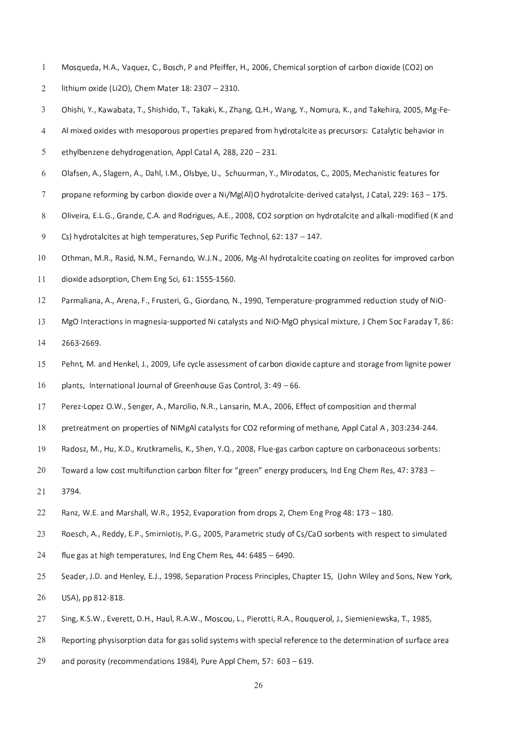- Mosqueda, H.A., Vaquez, C., Bosch, P and Pfeiffer, H., 2006, Chemical sorption of carbon dioxide (CO2) on <sup>1</sup>
- 2 lithium oxide (Li2O), Chem Mater 18: 2307 2310.
- Ohishi, Y., Kawabata, T., Shishido, T., Takaki, K., Zhang, Q.H., Wang, Y., Nomura, K., and Takehira, 2005, Mg-Fe-
- AI mixed oxides with mesoporous properties prepared from hydrotalcite as precursors: Catalytic behavior in <sup>4</sup>
- 5 ethylbenzene dehydrogenation, Appl Catal A, 288, 220 231.
- 6 Olafsen, A., Slagern, A., Dahl, I.M., Olsbye, U., Schuurman, Y., Mirodatos, C., 2005, Mechanistic features for
- 7 propane reforming by carbon dioxide over a Ni/Mg(Al)O hydrotalcite-derived catalyst, J Catal, 229: 163 175.
- Oliveira, E.L.G., Grande, C.A. and Rodrigues, A.E., 2008, CO2 sorption on hydrotalcite and alkali-modified (K and <sup>8</sup>
- 9 Cs) hydrotalcites at high temperatures, Sep Purific Technol, 62: 137 147.
- Othman, M.R., Rasid, N.M., Fernando, W.J.N., 2006, Mg-Al hydrotalcite coating on zeolites for improved carbon <sup>1</sup> <sup>0</sup>
- $11$  dioxide adsorption, Chem Eng Sci, 61: 1555-1560.
- 12 Parmaliana, A., Arena, F., Frusteri, G., Giordano, N., 1990, Temperature-programmed reduction study of NiO-
- 13 MgO Interactions in magnesia-supported Ni catalysts and NiO-MgO physical mixture, J Chem Soc Faraday T, 86: 14 2663-2669.
- 15 Pehnt, M. and Henkel, J., 2009, Life cycle assessment of carbon dioxide capture and storage from lignite power
- 16 plants, International Journal of Greenhouse Gas Control, 3: 49 66.
- Perez-Lopez O.W., Senger, A., Marcilio, N.R., Lansarin, M.A., 2006, Effect of composition and thermal 17
- 18 pretreatment on properties of NiMgAl catalysts for CO2 reforming of methane, Appl Catal A, 303:234-244.
- 19 Radosz, M., Hu, X.D., Krutkramelis, K., Shen, Y.Q., 2008, Flue-gas carbon capture on carbonaceous sorbents:
- $20 7$  and a law cost multifunction contain filter for  $\ell$  and  $n = 1$  , we denote the Chang Dec.  $47.2702$
- 21 3794.
- 22 Ranz, W.E. and Marshall, W.R., 1952, Evaporation from drops 2, Chem Eng Prog 48: 173 180.
- Roesch, A., Reddy, E.P., Smirniotis, P.G., 2005, Parametric study of Cs/CaO sorbents with respect to simulated 23
- $24$  flue gas at high temperatures, Ind Eng Chem Res, 44: 6485 6490.
- 25 Seader, J.D. and Henley, E.J., 1998, Separation Process Principles, Chapter 15, (John Wiley and Sons, New York,
- 26 USA), pp 812-818.
- Sing, K.S.W., Everett, D.H., Haul, R.A.W., Moscou, L., Pierotti, R.A., Rouquerol, J., Siemieniewska, T., 1985, 27
- 28 Reporting physisorption data for gas solid systems with special reference to the determination of surface area
- 29 and porosity (recommendations 1984), Pure Appl Chem, 57:  $603 619$ .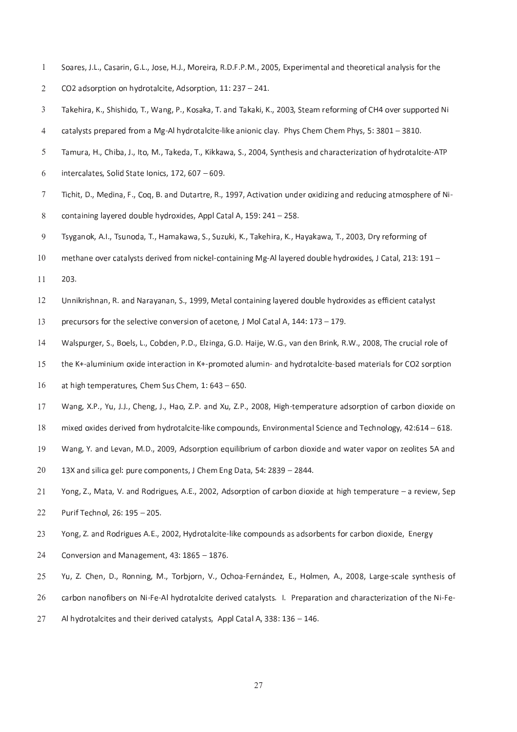- 1 Soares, J.L., Casarin, G.L., Jose, H.J., Moreira, R.D.F.P.M., 2005, Experimental and theoretical analysis for the
- $2$  CO2 adsorption on hydrotalcite, Adsorption, 11: 237 241.
- Takehira, K., Shishido, T., Wang, P., Kosaka, T. and Takaki, K., 2003, Steam reforming of CH4 over supported Ni
- catalysts prepared from a Mg-Al hydrotalcite-like anionic clay. Phys Chem Chem Phys, 5: 3801 3810.
- Tamura, H., Chiba, J., Ito, M., Takeda, T., Kikkawa, S., 2004, Synthesis and characterization of hydrotalcite-ATP <sup>5</sup>
- $6$  intercalates, Solid State Ionics, 172, 607 609.
- <sup>T</sup> <sup>i</sup> <sup>c</sup> <sup>h</sup> <sup>i</sup> <sup>t</sup> , <sup>D</sup> . , <sup>M</sup> <sup>e</sup> <sup>d</sup> <sup>i</sup> <sup>n</sup> <sup>a</sup> , <sup>F</sup> . , <sup>C</sup> <sup>o</sup> <sup>q</sup> , <sup>B</sup> . <sup>a</sup> <sup>n</sup> <sup>d</sup> <sup>D</sup> <sup>u</sup> <sup>t</sup> <sup>a</sup> <sup>r</sup> <sup>t</sup> <sup>r</sup> <sup>e</sup> , <sup>R</sup> . , <sup>1</sup> <sup>9</sup> <sup>9</sup> <sup>7</sup> , <sup>A</sup> <sup>c</sup> <sup>t</sup> <sup>i</sup> <sup>v</sup> <sup>a</sup> <sup>t</sup> <sup>i</sup> <sup>o</sup> <sup>n</sup> <sup>u</sup> <sup>n</sup> <sup>d</sup> <sup>e</sup> <sup>r</sup> <sup>o</sup> <sup>x</sup> <sup>i</sup> <sup>d</sup> <sup>i</sup> <sup>z</sup> <sup>i</sup> <sup>n</sup> <sup>g</sup> <sup>a</sup> <sup>n</sup> <sup>d</sup> <sup>r</sup> <sup>e</sup> <sup>d</sup> <sup>u</sup> <sup>c</sup> <sup>i</sup> <sup>n</sup> <sup>g</sup> <sup>a</sup> <sup>t</sup> <sup>m</sup> <sup>o</sup> <sup>s</sup> <sup>p</sup> <sup>h</sup> <sup>e</sup> <sup>r</sup> <sup>e</sup> <sup>o</sup> <sup>f</sup> <sup>N</sup> <sup>i</sup> <sup>7</sup>
- 8 containing layered double hydroxides, Appl Catal A,  $159: 241 258$ .
- 9 Tsyganok, A.I., Tsunoda, T., Hamakawa, S., Suzuki, K., Takehira, K., Hayakawa, T., 2003, Dry reforming of
- 10 methane over catalysts derived from nickel-containing Mg-Al layered double hydroxides, J Catal, 213: 191 –
- $11 203.$
- 12 Unnikrishnan, R. and Narayanan, S., 1999, Metal containing layered double hydroxides as efficient catalyst
- 13 precursors for the selective conversion of acetone, J Mol Catal A, 144: 173 179.
- 14 Walspurger, S., Boels, L., Cobden, P.D., Elzinga, G.D. Haije, W.G., van den Brink, R.W., 2008, The crucial role of
- the K+-aluminium oxide interaction in K+-promoted alumin- and hydrotalcite-based materials for CO2 sorption <sup>1</sup> <sup>5</sup>
- $16$  at high temperatures, Chem Sus Chem, 1: 643 650.
- Wang, X.P., Yu, J.J., Cheng, J., Hao, Z.P. and Xu, Z.P., 2008, High-temperature adsorption of carbon dioxide on <sup>1</sup> <sup>7</sup>
- 18 mixed oxides derived from hydrotalcite-like compounds, Environmental Science and Technology, 42:614 618.
- Wang, Y. and Levan, M.D., 2009, Adsorption equilibrium of carbon dioxide and water vapor on zeolites 5A and 19
- $13X$  and silica gel: pure components, J Chem Eng Data, 54: 2839 2844.
- Yong, Z., Mata, V. and Rodrigues, A.E., 2002, Adsorption of carbon dioxide at high temperature a review, Sep 21 22 Purif Technol, 26: 195 - 205.
- 23 Yong, Z. and Rodrigues A.E., 2002, Hydrotalcite-like compounds as adsorbents for carbon dioxide, Energy
- $24$  Conversion and Management, 43: 1865 1876.
- 25 Yu, Z. Chen, D., Ronning, M., Torbjorn, V., Ochoa-Fernández, E., Holmen, A., 2008, Large-scale synthesis of
- 26 carbon nanofibers on Ni-Fe-Al hydrotalcite derived catalysts. I. Preparation and characterization of the Ni-Fe-
- Al hydrotalcites and their derived catalysts, Appl Catal A, 338: 136 146. 27

<sup>2</sup> <sup>7</sup>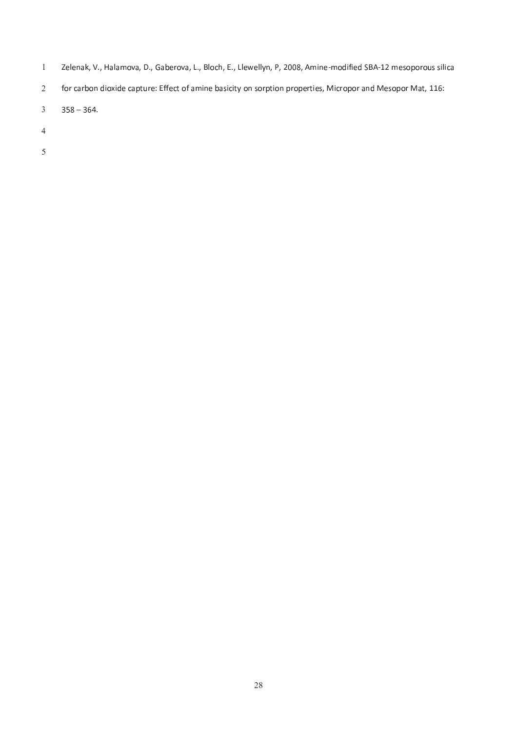- 1 Zelenak, V., Halamova, D., Gaberova, L., Bloch, E., Llewellyn, P, 2008, Amine-modified SBA-12 mesoporous silica
- 2 for carbon dioxide capture: Effect of amine basicity on sorption properties, Micropor and Mesopor Mat, 116:
- 358 364.
- 
-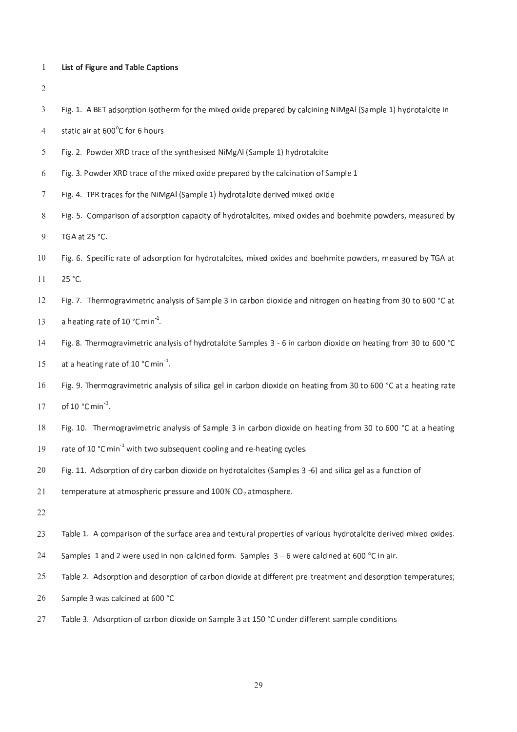- 1 List of Figure and Table Captions
- <sup>2</sup>
- <sup>F</sup> <sup>i</sup> <sup>g</sup> . <sup>1</sup> . <sup>A</sup> <sup>B</sup> <sup>E</sup> <sup>T</sup> <sup>a</sup> <sup>d</sup> <sup>s</sup> <sup>o</sup> <sup>r</sup> <sup>p</sup> <sup>t</sup> <sup>i</sup> <sup>o</sup> <sup>n</sup> <sup>i</sup> <sup>s</sup> <sup>o</sup> <sup>t</sup> <sup>h</sup> <sup>e</sup> <sup>r</sup> <sup>m</sup> <sup>f</sup> <sup>o</sup> <sup>r</sup> <sup>t</sup> <sup>h</sup> <sup>e</sup> <sup>m</sup> <sup>i</sup> <sup>x</sup> <sup>e</sup> <sup>d</sup> <sup>o</sup> <sup>x</sup> <sup>i</sup> <sup>d</sup> <sup>e</sup> <sup>p</sup> <sup>r</sup> <sup>e</sup> <sup>p</sup> <sup>a</sup> <sup>r</sup> <sup>e</sup> <sup>d</sup> <sup>b</sup> <sup>y</sup> <sup>c</sup> <sup>a</sup> <sup>l</sup> <sup>c</sup> <sup>i</sup> <sup>n</sup> <sup>i</sup> <sup>n</sup> <sup>g</sup> <sup>N</sup> <sup>i</sup> <sup>M</sup> <sup>g</sup> <sup>A</sup> <sup>l</sup> ( <sup>S</sup> <sup>a</sup> <sup>m</sup> <sup>p</sup> <sup>l</sup> <sup>e</sup> <sup>1</sup> ) <sup>h</sup> <sup>y</sup> <sup>d</sup> <sup>r</sup> <sup>o</sup> <sup>t</sup> <sup>a</sup> <sup>l</sup> <sup>c</sup> <sup>i</sup> <sup>t</sup> <sup>e</sup> <sup>i</sup> <sup>n</sup> <sup>3</sup>

4 static air at  $600^{\circ}$ C for 6 hours

- 5 Fig. 2. Powder XRD trace of the synthesised NiMgAl (Sample 1) hydrotalcite
- Fig. 3. Powder XRD trace of the mixed oxide prepared by the calcination of Sample 1 <sup>6</sup>
- 7 Fig. 4. TPR traces for the NiMgAl (Sample 1) hydrotalcite derived mixed oxide
- 8 Fig. 5. Comparison of adsorption capacity of hydrotalcites, mixed oxides and boehmite powders, measured by
- 9 TGA at 25 °C.
- 10 Fig. 6. Specific rate of adsorption for hydrotalcites, mixed oxides and boehmite powders, measured by TGA at  $11 \t 25 °C$ .
- 12 Fig. 7. Thermogravimetric analysis of Sample 3 in carbon dioxide and nitrogen on heating from 30 to 600 °C at
- 13 a heating rate of 10  $^{\circ}$ C min<sup>-1</sup>.
- Fig. 8. Thermogravimetric analysis of hydrotalcite Samples 3 6 in carbon dioxide on heating from 30 to 600 °C <sup>1</sup> <sup>4</sup>
- 15 at a heating rate of 10  $^{\circ}$ C min<sup>-1</sup>.
- 16 Fig. 9. Thermogravimetric analysis of silica gel in carbon dioxide on heating from 30 to 600 °C at a heating rate of 10  $^{\circ}$ C min<sup>-1</sup>. 17
- 18 Fig. 10. Thermogravimetric analysis of Sample 3 in carbon dioxide on heating from 30 to 600 °C at a heating
- 19 rate of 10  $^{\circ}$ C min<sup>1</sup> with two subsequent cooling and re-heating cycles.
- 20 Fig. 11. Adsorption of dry carbon dioxide on hydrotalcites (Samples 3 -6) and silica gel as a function of
- 21 temperature at atmospheric pressure and 100%  $CO<sub>2</sub>$  atmosphere.
- 22
- 23 Table 1. A comparison of the surface area and textural properties of various hydrotalcite derived mixed oxides.
- 24 Samples 1 and 2 were used in non-calcined form. Samples  $3-6$  were calcined at 600  $^{\circ}$ C in air
- 25 Table 2. Adsorption and desorption of carbon dioxide at different pre-treatment and desorption temperatures;
- Sample 3 was calcined at 600 °C 26
- Table 3. Adsorption of carbon dioxide on Sample 3 at 150 °C under different sample conditions 27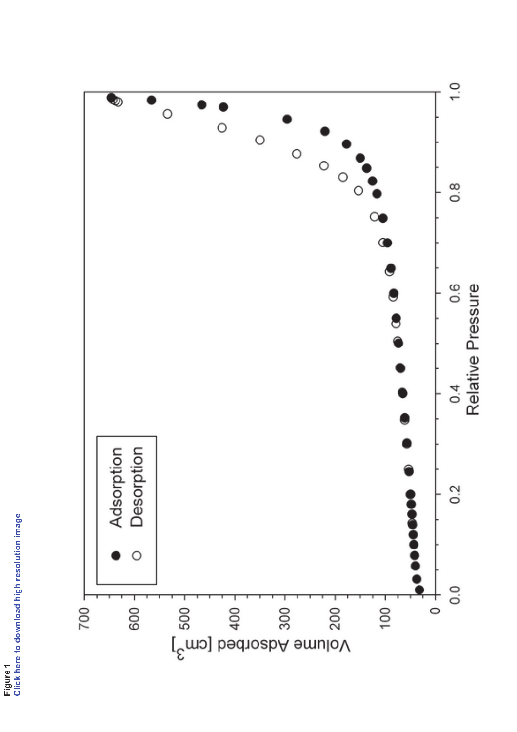

Figure 1<br>Click here to download high resolution image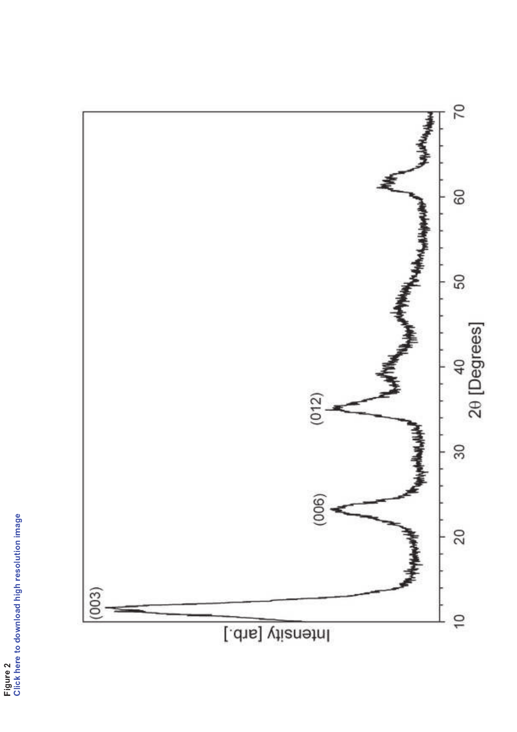

Figure 2<br>Click here to download high resolution image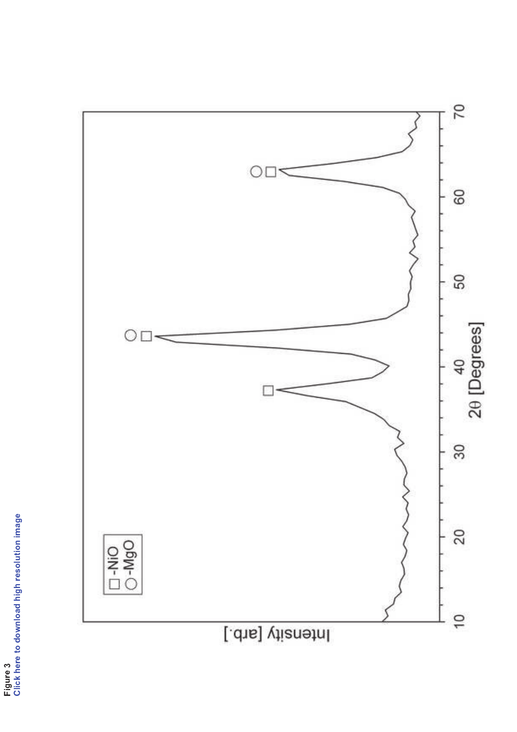

Figure 3<br>Click here to download high resolution image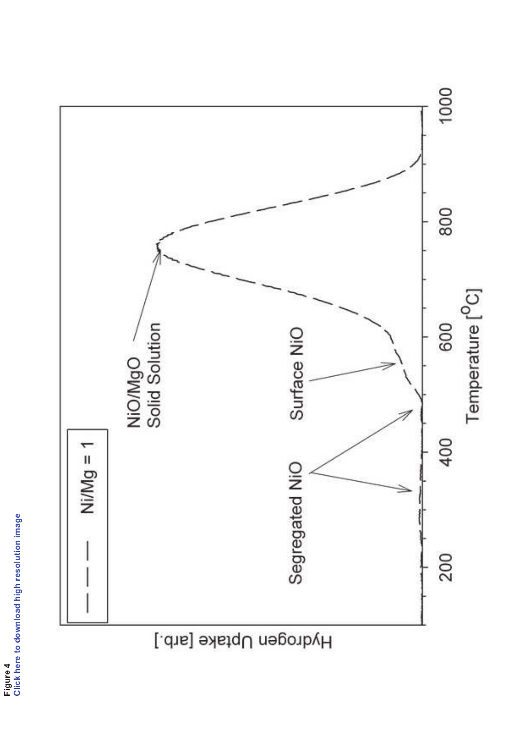

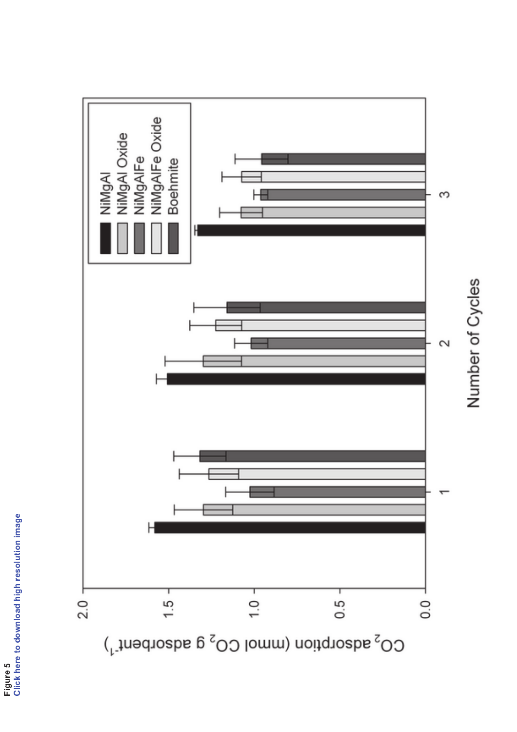



Number of Cycles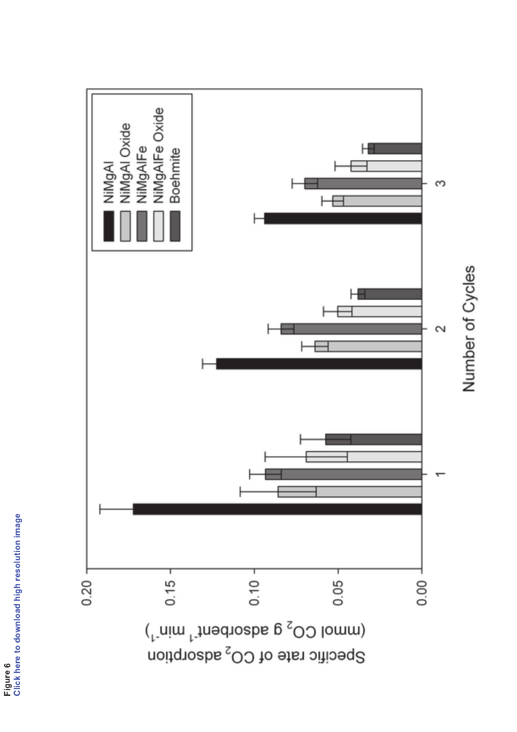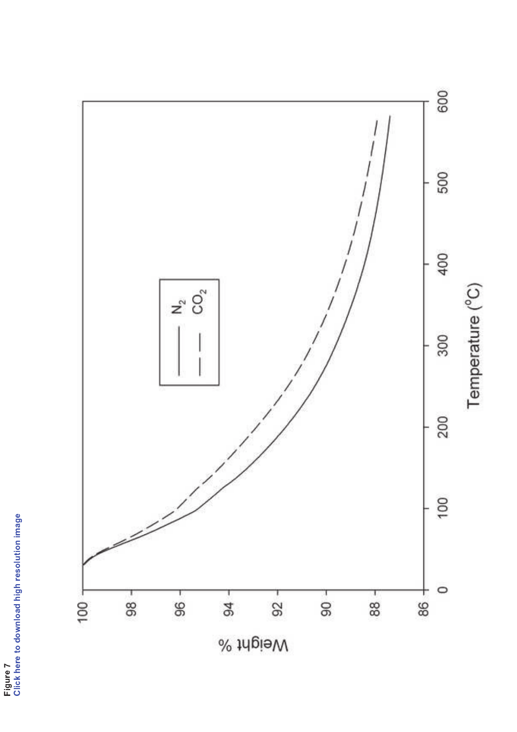

Figure 7<br>Click here to download high resolution image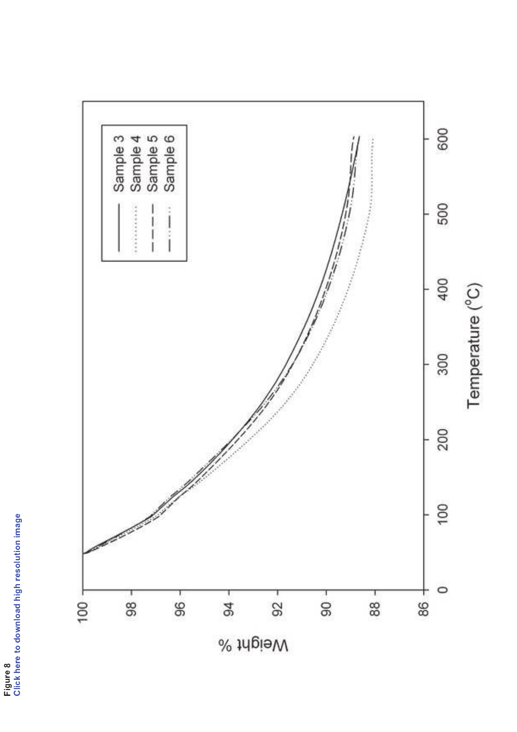

Figure 8<br>Click here to download high resolution image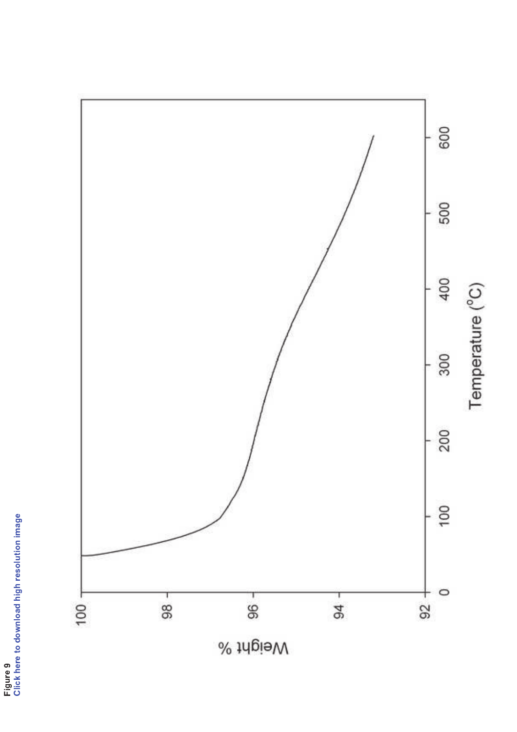

Figure 9<br>Click here to download high resolution image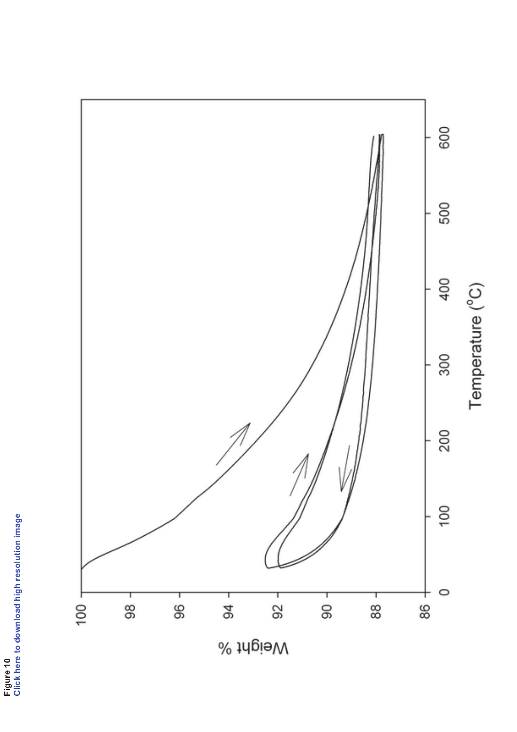

Figure 10<br>Click here to download high resolution image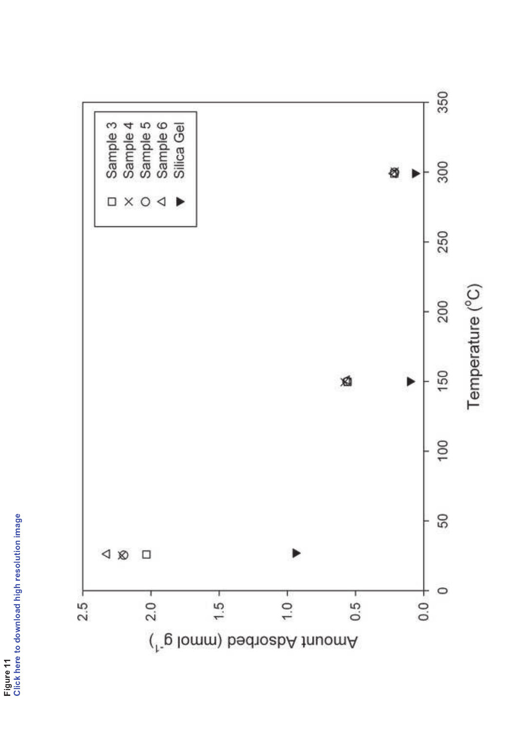

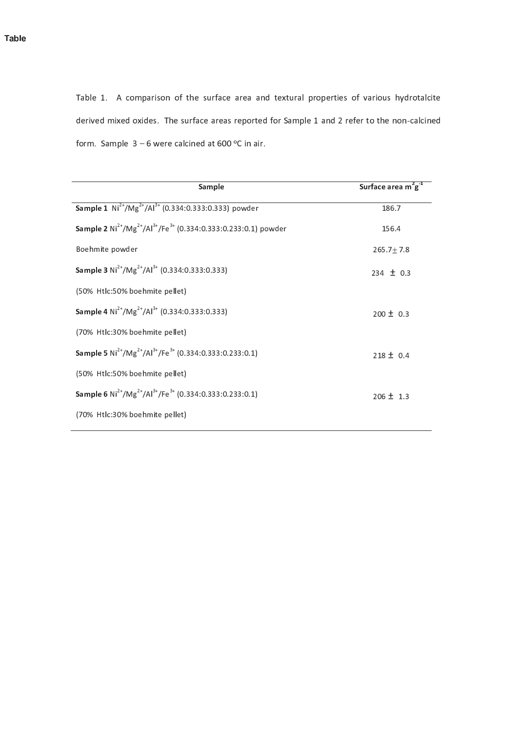Table 1. A comparison of the surface area and textural properties of various hydrotalcite derived mixed oxides. The surface areas reported for Sample 1 and 2 refer to the non-calcined form. Sample  $3 - 6$  were calcined at  $600^{\circ}$ C in air.

| Sample                                                                                   | Surface area $m^2g^1$ |
|------------------------------------------------------------------------------------------|-----------------------|
| <b>Sample 1</b> $Ni^{2+}/Mg^{2+}/Al^{3+}$ (0.334:0.333:0.333) powder                     | 186.7                 |
| <b>Sample 2</b> $Ni^{2+}/Mg^{2+}/Al^{3+}/Fe^{3+}$ (0.334:0.333:0.233:0.1) powder         | 156.4                 |
| Boehmite powder                                                                          | $265.7 \pm 7.8$       |
| <b>Sample 3</b> $Ni^{2+}/Mg^{2+}/Al^{3+}$ (0.334:0.333:0.333)                            | $234 \pm 0.3$         |
| (50% Htlc:50% boehmite pellet)                                                           |                       |
| <b>Sample 4</b> Ni <sup>2+</sup> /Mg <sup>2+</sup> /Al <sup>3+</sup> (0.334:0.333:0.333) | $200 \pm 0.3$         |
| (70% Htlc:30% boehmite pellet)                                                           |                       |
| Sample 5 $Ni^{2+}/Mg^{2+}/Al^{3+}/Fe^{3+}$ (0.334:0.333:0.233:0.1)                       | $218 \pm 0.4$         |
| (50% Htlc:50% boehmite pellet)                                                           |                       |
| <b>Sample 6</b> $Ni^{2+}/Mg^{2+}/Al^{3+}/Fe^{3+}$ (0.334:0.333:0.233:0.1)                | $206 \pm 1.3$         |
| (70% Htlc:30% boehmite pellet)                                                           |                       |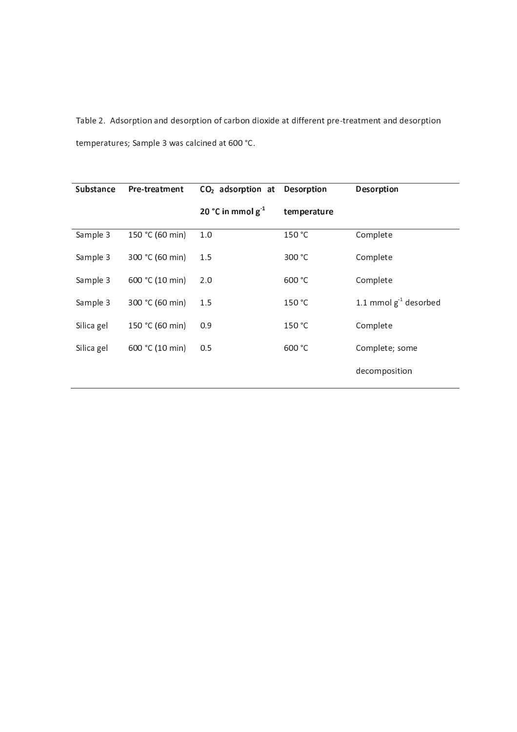Table 2. Adsorption and desorption of carbon dioxide at different pre-treatment and desorption t em peratures; Sample 3 was calcined at 600 °C.

| <b>Substance</b> | <b>Pre-treatment</b> | CO <sub>2</sub> adsorption at Desorption |             | <b>Desorption</b>          |
|------------------|----------------------|------------------------------------------|-------------|----------------------------|
|                  |                      | 20 °C in mmol $g^{-1}$                   | temperature |                            |
| Sample 3         | 150 °C (60 min)      | 1.0                                      | 150 °C      | Complete                   |
| Sample 3         | 300 °C (60 min)      | 1.5                                      | 300 °C      | Complete                   |
| Sample 3         | 600 °C (10 min)      | 2.0                                      | 600 °C      | Complete                   |
| Sample 3         | 300 °C (60 min)      | 1.5                                      | 150 °C      | 1.1 mmol $g^{-1}$ desorbed |
| Silica gel       | 150 °C (60 min)      | 0.9                                      | 150 °C      | Complete                   |
| Silica gel       | 600 °C (10 min)      | 0.5                                      | 600 °C      | Complete; some             |
|                  |                      |                                          |             | decomposition              |